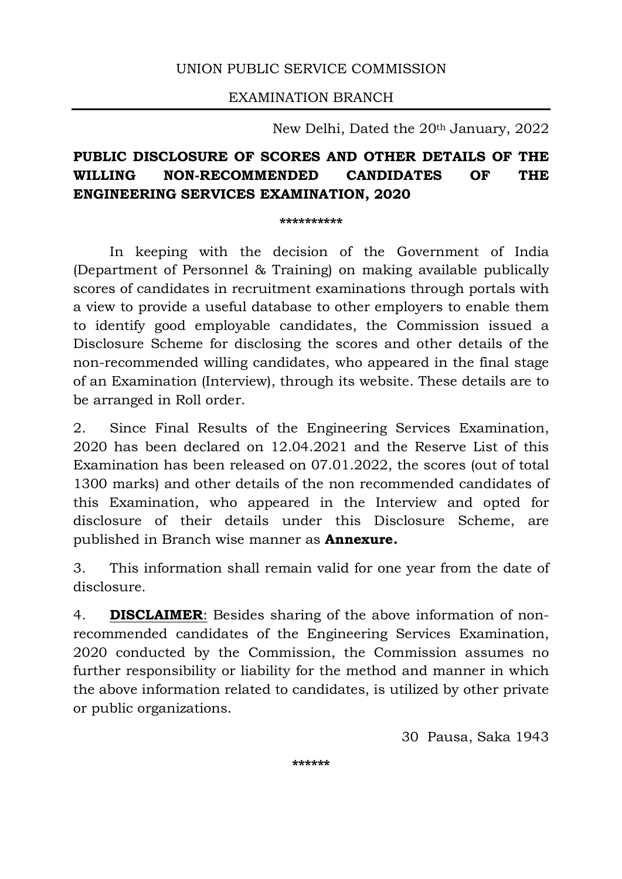## UNION PUBLIC SERVICE COMMISSION

EXAMINATION BRANCH

New Delhi, Dated the 20th January, 2022

# PUBLIC DISCLOSURE OF SCORES AND OTHER DETAILS OF THE WILLING NON-RECOMMENDED CANDIDATES OF THE ENGINEERING SERVICES EXAMINATION, 2020

\*\*\*\*\*\*\*\*\*\*

 In keeping with the decision of the Government of India (Department of Personnel & Training) on making available publically scores of candidates in recruitment examinations through portals with a view to provide a useful database to other employers to enable them to identify good employable candidates, the Commission issued a Disclosure Scheme for disclosing the scores and other details of the non-recommended willing candidates, who appeared in the final stage of an Examination (Interview), through its website. These details are to be arranged in Roll order.

2. Since Final Results of the Engineering Services Examination, 2020 has been declared on 12.04.2021 and the Reserve List of this Examination has been released on 07.01.2022, the scores (out of total 1300 marks) and other details of the non recommended candidates of this Examination, who appeared in the Interview and opted for disclosure of their details under this Disclosure Scheme, are published in Branch wise manner as **Annexure.** 

3. This information shall remain valid for one year from the date of disclosure.

4. **DISCLAIMER:** Besides sharing of the above information of nonrecommended candidates of the Engineering Services Examination, 2020 conducted by the Commission, the Commission assumes no further responsibility or liability for the method and manner in which the above information related to candidates, is utilized by other private or public organizations.

30 Pausa, Saka 1943

\*\*\*\*\*\*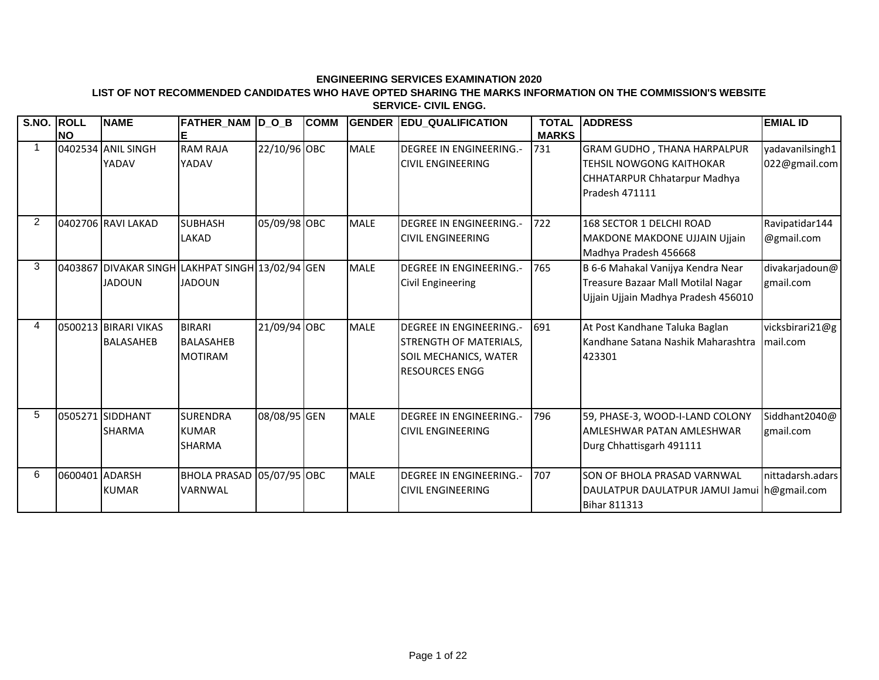#### **LIST OF NOT RECOMMENDED CANDIDATES WHO HAVE OPTED SHARING THE MARKS INFORMATION ON THE COMMISSION'S WEBSITE SERVICE- CIVIL ENGG.**

| S.NO. ROLL     |                | <b>NAME</b>                              | FATHER NAM D O B                                                  |              | <b>COMM</b> | <b>GENDER</b> | <b>EDU_QUALIFICATION</b>                                                                                          | <b>TOTAL</b> | <b>ADDRESS</b>                                                                                                          | <b>EMIAL ID</b>                  |
|----------------|----------------|------------------------------------------|-------------------------------------------------------------------|--------------|-------------|---------------|-------------------------------------------------------------------------------------------------------------------|--------------|-------------------------------------------------------------------------------------------------------------------------|----------------------------------|
|                | <b>NO</b>      |                                          | Е                                                                 |              |             |               |                                                                                                                   | <b>MARKS</b> |                                                                                                                         |                                  |
|                |                | 0402534 ANIL SINGH<br>YADAV              | <b>RAM RAJA</b><br>YADAV                                          | 22/10/96 OBC |             | <b>MALE</b>   | <b>DEGREE IN ENGINEERING.-</b><br><b>CIVIL ENGINEERING</b>                                                        | 731          | <b>GRAM GUDHO, THANA HARPALPUR</b><br><b>TEHSIL NOWGONG KAITHOKAR</b><br>CHHATARPUR Chhatarpur Madhya<br>Pradesh 471111 | yadavanilsingh1<br>022@gmail.com |
| $\overline{2}$ |                | 0402706 RAVI LAKAD                       | <b>SUBHASH</b><br><b>LAKAD</b>                                    | 05/09/98 OBC |             | <b>MALE</b>   | <b>DEGREE IN ENGINEERING.-</b><br><b>CIVIL ENGINEERING</b>                                                        | 722          | 168 SECTOR 1 DELCHI ROAD<br><b>MAKDONE MAKDONE UJJAIN Ujjain</b><br>Madhya Pradesh 456668                               | Ravipatidar144<br>@gmail.com     |
| 3              |                | <b>JADOUN</b>                            | 0403867 DIVAKAR SINGH LAKHPAT SINGH 13/02/94 GEN<br><b>JADOUN</b> |              |             | <b>MALE</b>   | <b>DEGREE IN ENGINEERING.-</b><br><b>Civil Engineering</b>                                                        | 765          | B 6-6 Mahakal Vanijya Kendra Near<br>Treasure Bazaar Mall Motilal Nagar<br>Ujjain Ujjain Madhya Pradesh 456010          | divakarjadoun@<br>gmail.com      |
| 4              |                | 0500213 BIRARI VIKAS<br><b>BALASAHEB</b> | <b>BIRARI</b><br><b>BALASAHEB</b><br><b>MOTIRAM</b>               | 21/09/94 OBC |             | <b>MALE</b>   | <b>DEGREE IN ENGINEERING.-</b><br><b>STRENGTH OF MATERIALS,</b><br>SOIL MECHANICS, WATER<br><b>RESOURCES ENGG</b> | 691          | At Post Kandhane Taluka Baglan<br>Kandhane Satana Nashik Maharashtra<br>423301                                          | vicksbirari21@g<br>mail.com      |
| 5              |                | 0505271 SIDDHANT<br><b>SHARMA</b>        | <b>SURENDRA</b><br><b>KUMAR</b><br><b>SHARMA</b>                  | 08/08/95 GEN |             | <b>MALE</b>   | <b>DEGREE IN ENGINEERING.-</b><br><b>CIVIL ENGINEERING</b>                                                        | 796          | 59, PHASE-3, WOOD-I-LAND COLONY<br><b>AMLESHWAR PATAN AMLESHWAR</b><br>Durg Chhattisgarh 491111                         | Siddhant2040@<br>gmail.com       |
| 6              | 0600401 ADARSH | <b>KUMAR</b>                             | BHOLA PRASAD 05/07/95 OBC<br><b>VARNWAL</b>                       |              |             | <b>MALE</b>   | <b>DEGREE IN ENGINEERING.-</b><br><b>CIVIL ENGINEERING</b>                                                        | 707          | SON OF BHOLA PRASAD VARNWAL<br>DAULATPUR DAULATPUR JAMUI Jamui h@gmail.com<br><b>Bihar 811313</b>                       | nittadarsh.adars                 |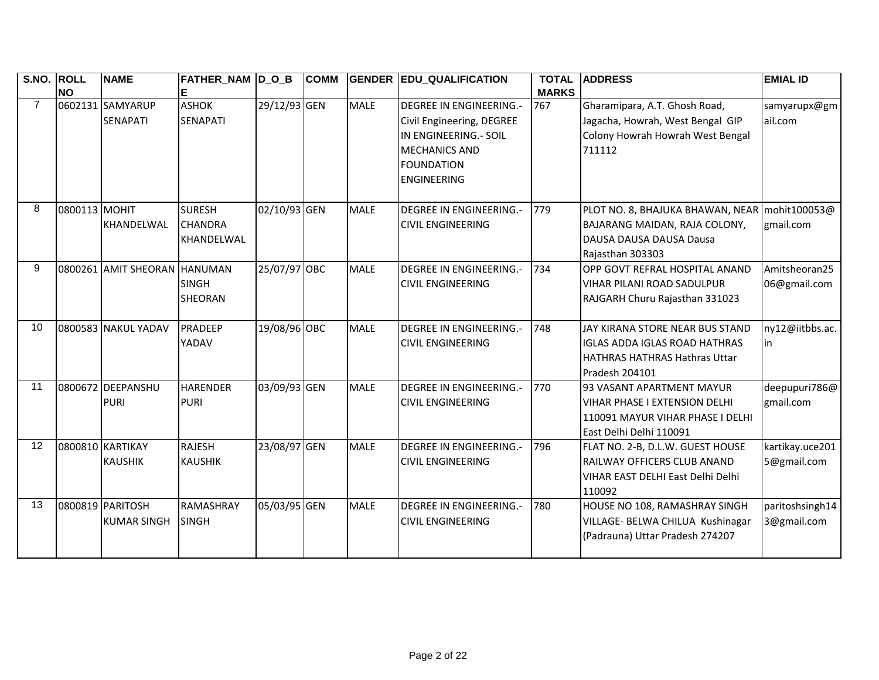| S.NO. ROLL     | <b>NO</b>     | <b>NAME</b>                            | FATHER_NAM  D_O_B                                    |              | <b>COMM</b> | <b>GENDER</b> | <b>EDU_QUALIFICATION</b>                                                                                                                                | <b>TOTAL</b><br><b>MARKS</b> | <b>ADDRESS</b>                                                                                                                  | <b>EMIAL ID</b>                |
|----------------|---------------|----------------------------------------|------------------------------------------------------|--------------|-------------|---------------|---------------------------------------------------------------------------------------------------------------------------------------------------------|------------------------------|---------------------------------------------------------------------------------------------------------------------------------|--------------------------------|
| $\overline{7}$ |               | 0602131 SAMYARUP<br><b>SENAPATI</b>    | <b>ASHOK</b><br><b>SENAPATI</b>                      | 29/12/93 GEN |             | <b>MALE</b>   | <b>DEGREE IN ENGINEERING.-</b><br>Civil Engineering, DEGREE<br>IN ENGINEERING.- SOIL<br><b>MECHANICS AND</b><br><b>FOUNDATION</b><br><b>ENGINEERING</b> | 767                          | Gharamipara, A.T. Ghosh Road,<br>Jagacha, Howrah, West Bengal GIP<br>Colony Howrah Howrah West Bengal<br>711112                 | samyarupx@gm<br>ail.com        |
| 8              | 0800113 MOHIT | KHANDELWAL                             | <b>SURESH</b><br><b>CHANDRA</b><br><b>KHANDELWAL</b> | 02/10/93 GEN |             | <b>MALE</b>   | <b>DEGREE IN ENGINEERING.-</b><br><b>CIVIL ENGINEERING</b>                                                                                              | 779                          | PLOT NO. 8, BHAJUKA BHAWAN, NEAR   mohit100053@<br>BAJARANG MAIDAN, RAJA COLONY,<br>DAUSA DAUSA DAUSA Dausa<br>Rajasthan 303303 | gmail.com                      |
| 9              |               | 0800261 AMIT SHEORAN HANUMAN           | <b>SINGH</b><br><b>SHEORAN</b>                       | 25/07/97 OBC |             | <b>MALE</b>   | <b>DEGREE IN ENGINEERING.-</b><br><b>CIVIL ENGINEERING</b>                                                                                              | 734                          | <b>OPP GOVT REFRAL HOSPITAL ANAND</b><br><b>VIHAR PILANI ROAD SADULPUR</b><br>RAJGARH Churu Rajasthan 331023                    | Amitsheoran25<br>06@gmail.com  |
| 10             |               | 0800583 NAKUL YADAV                    | PRADEEP<br>YADAV                                     | 19/08/96 OBC |             | <b>MALE</b>   | <b>DEGREE IN ENGINEERING.-</b><br><b>CIVIL ENGINEERING</b>                                                                                              | 748                          | JAY KIRANA STORE NEAR BUS STAND<br>IGLAS ADDA IGLAS ROAD HATHRAS<br><b>IHATHRAS HATHRAS Hathras Uttar</b><br>Pradesh 204101     | ny12@iitbbs.ac.<br>in          |
| 11             |               | 0800672 DEEPANSHU<br><b>PURI</b>       | <b>HARENDER</b><br><b>PURI</b>                       | 03/09/93 GEN |             | <b>MALE</b>   | <b>DEGREE IN ENGINEERING.-</b><br><b>CIVIL ENGINEERING</b>                                                                                              | 770                          | 93 VASANT APARTMENT MAYUR<br>VIHAR PHASE I EXTENSION DELHI<br>1110091 MAYUR VIHAR PHASE I DELHI<br>East Delhi Delhi 110091      | deepupuri786@<br>gmail.com     |
| 12             |               | 0800810 KARTIKAY<br><b>KAUSHIK</b>     | <b>RAJESH</b><br><b>KAUSHIK</b>                      | 23/08/97 GEN |             | <b>MALE</b>   | DEGREE IN ENGINEERING.-<br><b>CIVIL ENGINEERING</b>                                                                                                     | 796                          | FLAT NO. 2-B, D.L.W. GUEST HOUSE<br>RAILWAY OFFICERS CLUB ANAND<br>VIHAR EAST DELHI East Delhi Delhi<br>110092                  | kartikay.uce201<br>5@gmail.com |
| 13             |               | 0800819 PARITOSH<br><b>KUMAR SINGH</b> | <b>RAMASHRAY</b><br><b>SINGH</b>                     | 05/03/95 GEN |             | <b>MALE</b>   | <b>DEGREE IN ENGINEERING.-</b><br><b>CIVIL ENGINEERING</b>                                                                                              | 780                          | HOUSE NO 108, RAMASHRAY SINGH<br>VILLAGE- BELWA CHILUA Kushinagar<br>(Padrauna) Uttar Pradesh 274207                            | paritoshsingh14<br>3@gmail.com |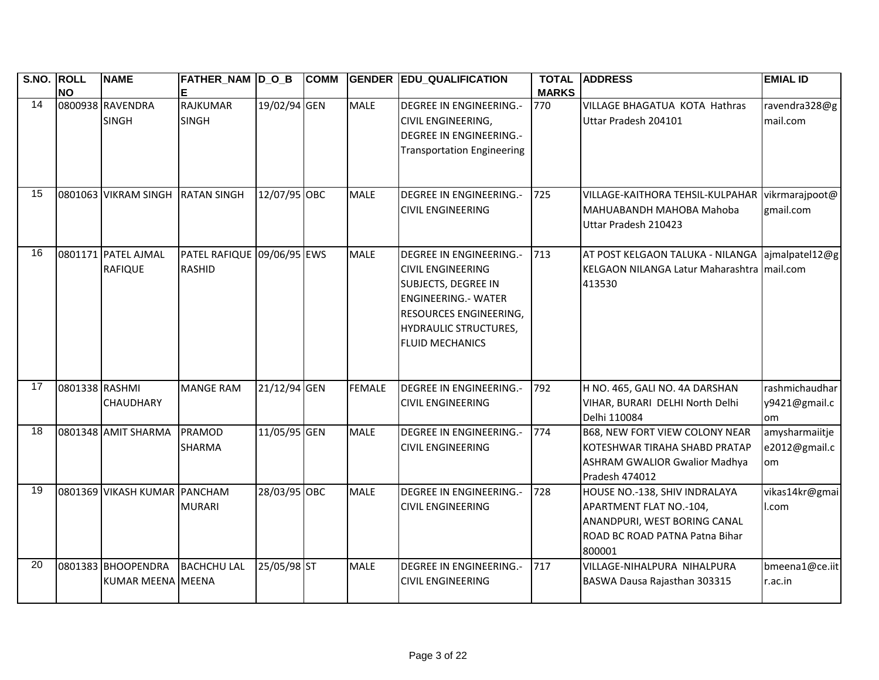| S.NO. ROLL | <b>NO</b>      | <b>NAME</b>                             | FATHER_NAM  D_O_B<br>Е                      |              | <b>COMM</b> | <b>GENDER</b> | <b>EDU_QUALIFICATION</b>                                                                                                                                                                                   | <b>MARKS</b> | <b>TOTAL ADDRESS</b>                                                                                                                 | <b>EMIAL ID</b>                        |
|------------|----------------|-----------------------------------------|---------------------------------------------|--------------|-------------|---------------|------------------------------------------------------------------------------------------------------------------------------------------------------------------------------------------------------------|--------------|--------------------------------------------------------------------------------------------------------------------------------------|----------------------------------------|
| 14         |                | 0800938 RAVENDRA<br><b>SINGH</b>        | <b>RAJKUMAR</b><br><b>SINGH</b>             | 19/02/94 GEN |             | <b>MALE</b>   | <b>DEGREE IN ENGINEERING.-</b><br>CIVIL ENGINEERING,<br><b>DEGREE IN ENGINEERING.-</b><br><b>Transportation Engineering</b>                                                                                | 770          | VILLAGE BHAGATUA KOTA Hathras<br>Uttar Pradesh 204101                                                                                | ravendra328@g<br>mail.com              |
| 15         |                | 0801063 VIKRAM SINGH                    | <b>RATAN SINGH</b>                          | 12/07/95 OBC |             | <b>MALE</b>   | <b>DEGREE IN ENGINEERING.-</b><br><b>CIVIL ENGINEERING</b>                                                                                                                                                 | 725          | VILLAGE-KAITHORA TEHSIL-KULPAHAR<br>MAHUABANDH MAHOBA Mahoba<br>Uttar Pradesh 210423                                                 | vikrmarajpoot@<br>gmail.com            |
| 16         |                | 0801171 PATEL AJMAL<br><b>RAFIQUE</b>   | PATEL RAFIQUE 09/06/95 EWS<br><b>RASHID</b> |              |             | <b>MALE</b>   | <b>DEGREE IN ENGINEERING.-</b><br><b>CIVIL ENGINEERING</b><br><b>SUBJECTS, DEGREE IN</b><br><b>ENGINEERING.- WATER</b><br>RESOURCES ENGINEERING,<br><b>HYDRAULIC STRUCTURES,</b><br><b>FLUID MECHANICS</b> | 713          | AT POST KELGAON TALUKA - NILANGA ajmalpatel12@g<br>KELGAON NILANGA Latur Maharashtra mail.com<br>413530                              |                                        |
| 17         | 0801338 RASHMI | <b>CHAUDHARY</b>                        | <b>MANGE RAM</b>                            | 21/12/94 GEN |             | <b>FEMALE</b> | DEGREE IN ENGINEERING.-<br><b>CIVIL ENGINEERING</b>                                                                                                                                                        | 792          | H NO. 465, GALI NO. 4A DARSHAN<br>VIHAR, BURARI DELHI North Delhi<br>Delhi 110084                                                    | rashmichaudhar<br>y9421@gmail.c<br>lom |
| 18         |                | 0801348 AMIT SHARMA                     | <b>PRAMOD</b><br><b>SHARMA</b>              | 11/05/95 GEN |             | <b>MALE</b>   | DEGREE IN ENGINEERING.-<br><b>CIVIL ENGINEERING</b>                                                                                                                                                        | 774          | <b>B68, NEW FORT VIEW COLONY NEAR</b><br>KOTESHWAR TIRAHA SHABD PRATAP<br><b>ASHRAM GWALIOR Gwalior Madhya</b><br>Pradesh 474012     | amysharmaiitje<br>e2012@gmail.c<br>om. |
| 19         |                | 0801369 VIKASH KUMAR PANCHAM            | <b>MURARI</b>                               | 28/03/95 OBC |             | <b>MALE</b>   | <b>DEGREE IN ENGINEERING.-</b><br><b>CIVIL ENGINEERING</b>                                                                                                                                                 | 728          | HOUSE NO.-138, SHIV INDRALAYA<br>APARTMENT FLAT NO.-104,<br>ANANDPURI, WEST BORING CANAL<br>ROAD BC ROAD PATNA Patna Bihar<br>800001 | vikas14kr@gmai<br>l.com                |
| 20         |                | 0801383 BHOOPENDRA<br>KUMAR MEENA MEENA | <b>BACHCHU LAL</b>                          | 25/05/98 ST  |             | <b>MALE</b>   | <b>DEGREE IN ENGINEERING.-</b><br><b>CIVIL ENGINEERING</b>                                                                                                                                                 | 717          | VILLAGE-NIHALPURA NIHALPURA<br>BASWA Dausa Rajasthan 303315                                                                          | bmeena1@ce.iit<br>r.ac.in              |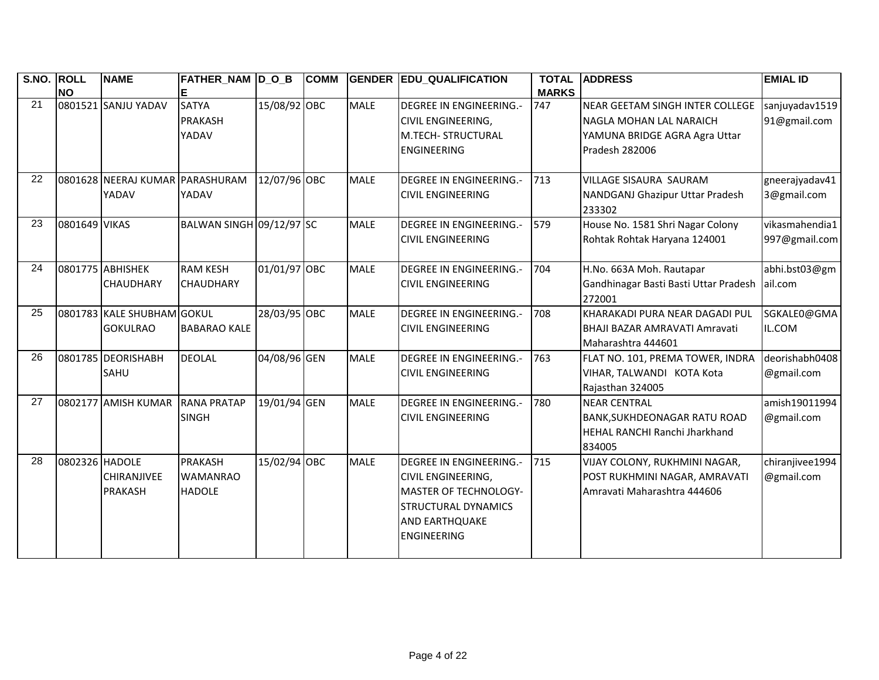| S.NO. ROLL | <b>NO</b>      | <b>NAME</b>                                   | FATHER_NAM D_O_B                                   |              | <b>COMM</b> |             | <b>GENDER EDU_QUALIFICATION</b>                                                                                                                                          | <b>TOTAL</b><br><b>MARKS</b> | <b>ADDRESS</b>                                                                                                | <b>EMIAL ID</b>                 |
|------------|----------------|-----------------------------------------------|----------------------------------------------------|--------------|-------------|-------------|--------------------------------------------------------------------------------------------------------------------------------------------------------------------------|------------------------------|---------------------------------------------------------------------------------------------------------------|---------------------------------|
| 21         |                | 0801521 SANJU YADAV                           | <b>SATYA</b><br><b>PRAKASH</b><br>YADAV            | 15/08/92 OBC |             | <b>MALE</b> | <b>DEGREE IN ENGINEERING.-</b><br><b>CIVIL ENGINEERING,</b><br><b>M.TECH- STRUCTURAL</b><br><b>ENGINEERING</b>                                                           | 747                          | NEAR GEETAM SINGH INTER COLLEGE<br>NAGLA MOHAN LAL NARAICH<br>YAMUNA BRIDGE AGRA Agra Uttar<br>Pradesh 282006 | sanjuyadav1519<br>91@gmail.com  |
| 22         |                | 0801628 NEERAJ KUMAR PARASHURAM<br>YADAV      | YADAV                                              | 12/07/96 OBC |             | <b>MALE</b> | <b>DEGREE IN ENGINEERING.-</b><br><b>CIVIL ENGINEERING</b>                                                                                                               | 713                          | <b>VILLAGE SISAURA SAURAM</b><br>NANDGANJ Ghazipur Uttar Pradesh<br>233302                                    | gneerajyadav41<br>3@gmail.com   |
| 23         | 0801649 VIKAS  |                                               | BALWAN SINGH 09/12/97 SC                           |              |             | <b>MALE</b> | <b>DEGREE IN ENGINEERING.-</b><br><b>CIVIL ENGINEERING</b>                                                                                                               | 579                          | House No. 1581 Shri Nagar Colony<br>Rohtak Rohtak Haryana 124001                                              | vikasmahendia1<br>997@gmail.com |
| 24         |                | 0801775 ABHISHEK<br>CHAUDHARY                 | <b>RAM KESH</b><br><b>CHAUDHARY</b>                | 01/01/97 OBC |             | <b>MALE</b> | <b>DEGREE IN ENGINEERING.-</b><br><b>CIVIL ENGINEERING</b>                                                                                                               | 704                          | H.No. 663A Moh. Rautapar<br>Gandhinagar Basti Basti Uttar Pradesh<br>272001                                   | abhi.bst03@gm<br>ail.com        |
| 25         |                | 0801783 KALE SHUBHAM GOKUL<br><b>GOKULRAO</b> | <b>BABARAO KALE</b>                                | 28/03/95 OBC |             | <b>MALE</b> | <b>DEGREE IN ENGINEERING.-</b><br><b>CIVIL ENGINEERING</b>                                                                                                               | 708                          | KHARAKADI PURA NEAR DAGADI PUL<br>BHAJI BAZAR AMRAVATI Amravati<br>Maharashtra 444601                         | SGKALE0@GMA<br>IL.COM           |
| 26         |                | 0801785 DEORISHABH<br><b>SAHU</b>             | <b>DEOLAL</b>                                      | 04/08/96 GEN |             | <b>MALE</b> | <b>DEGREE IN ENGINEERING.-</b><br><b>CIVIL ENGINEERING</b>                                                                                                               | 763                          | FLAT NO. 101, PREMA TOWER, INDRA<br>VIHAR, TALWANDI KOTA Kota<br>Rajasthan 324005                             | deorishabh0408<br>@gmail.com    |
| 27         |                | 0802177 AMISH KUMAR                           | <b>RANA PRATAP</b><br><b>SINGH</b>                 | 19/01/94 GEN |             | <b>MALE</b> | <b>DEGREE IN ENGINEERING.-</b><br><b>CIVIL ENGINEERING</b>                                                                                                               | 780                          | <b>NEAR CENTRAL</b><br><b>BANK, SUKHDEONAGAR RATU ROAD</b><br>HEHAL RANCHI Ranchi Jharkhand<br>834005         | amish19011994<br>@gmail.com     |
| 28         | 0802326 HADOLE | CHIRANJIVEE<br><b>PRAKASH</b>                 | <b>PRAKASH</b><br><b>WAMANRAO</b><br><b>HADOLE</b> | 15/02/94 OBC |             | <b>MALE</b> | <b>DEGREE IN ENGINEERING.-</b><br><b>CIVIL ENGINEERING,</b><br><b>MASTER OF TECHNOLOGY-</b><br><b>STRUCTURAL DYNAMICS</b><br><b>AND EARTHQUAKE</b><br><b>ENGINEERING</b> | 715                          | VIJAY COLONY, RUKHMINI NAGAR,<br>POST RUKHMINI NAGAR, AMRAVATI<br>Amravati Maharashtra 444606                 | chiranjivee1994<br>@gmail.com   |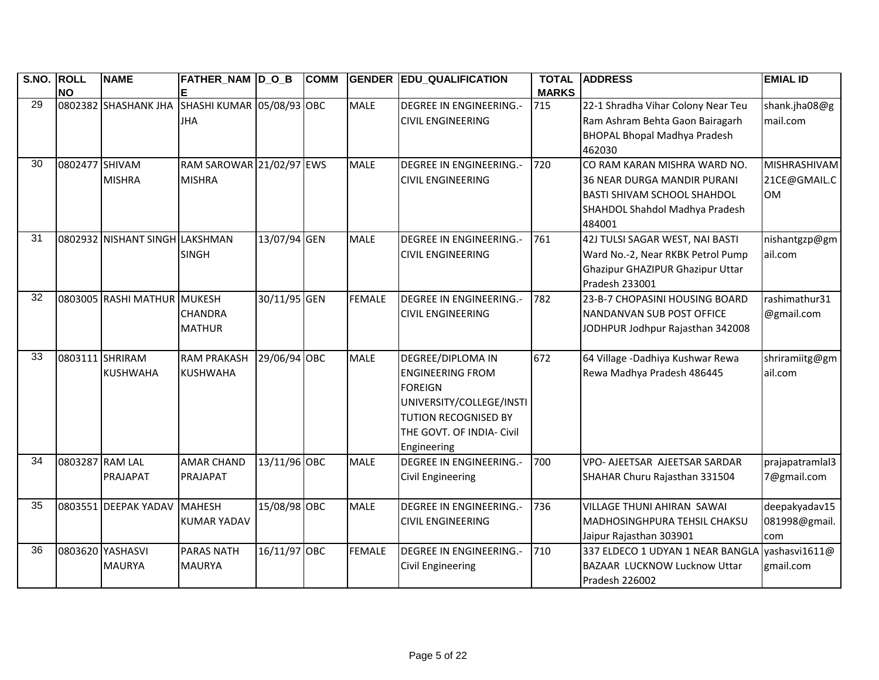| S.NO. ROLL |                 | <b>NAME</b>                    | FATHER_NAM D_O_B          |              | <b>COMM</b> |               | <b>GENDER EDU_QUALIFICATION</b> | <b>TOTAL</b><br><b>MARKS</b> | <b>ADDRESS</b>                      | <b>EMIAL ID</b>     |
|------------|-----------------|--------------------------------|---------------------------|--------------|-------------|---------------|---------------------------------|------------------------------|-------------------------------------|---------------------|
| 29         | <b>NO</b>       | 0802382 SHASHANK JHA           | SHASHI KUMAR 05/08/93 OBC |              |             | <b>MALE</b>   | <b>DEGREE IN ENGINEERING.-</b>  | 715                          |                                     |                     |
|            |                 |                                |                           |              |             |               |                                 |                              | 22-1 Shradha Vihar Colony Near Teu  | shank.jha08@g       |
|            |                 |                                | <b>JHA</b>                |              |             |               | <b>CIVIL ENGINEERING</b>        |                              | Ram Ashram Behta Gaon Bairagarh     | mail.com            |
|            |                 |                                |                           |              |             |               |                                 |                              | <b>BHOPAL Bhopal Madhya Pradesh</b> |                     |
|            |                 |                                |                           |              |             |               |                                 |                              | 462030                              |                     |
| 30         | 0802477 SHIVAM  |                                | RAM SAROWAR 21/02/97 EWS  |              |             | <b>MALE</b>   | <b>DEGREE IN ENGINEERING.-</b>  | 720                          | CO RAM KARAN MISHRA WARD NO.        | <b>MISHRASHIVAM</b> |
|            |                 | <b>MISHRA</b>                  | <b>MISHRA</b>             |              |             |               | <b>CIVIL ENGINEERING</b>        |                              | <b>36 NEAR DURGA MANDIR PURANI</b>  | 21CE@GMAIL.C        |
|            |                 |                                |                           |              |             |               |                                 |                              | <b>BASTI SHIVAM SCHOOL SHAHDOL</b>  | <b>OM</b>           |
|            |                 |                                |                           |              |             |               |                                 |                              | SHAHDOL Shahdol Madhya Pradesh      |                     |
|            |                 |                                |                           |              |             |               |                                 |                              | 484001                              |                     |
| 31         |                 | 0802932 NISHANT SINGH LAKSHMAN |                           | 13/07/94 GEN |             | <b>MALE</b>   | <b>DEGREE IN ENGINEERING.-</b>  | 761                          | 42J TULSI SAGAR WEST, NAI BASTI     | nishantgzp@gm       |
|            |                 |                                | <b>SINGH</b>              |              |             |               | <b>CIVIL ENGINEERING</b>        |                              | Ward No.-2, Near RKBK Petrol Pump   | ail.com             |
|            |                 |                                |                           |              |             |               |                                 |                              | Ghazipur GHAZIPUR Ghazipur Uttar    |                     |
|            |                 |                                |                           |              |             |               |                                 |                              | Pradesh 233001                      |                     |
| 32         |                 | 0803005 RASHI MATHUR MUKESH    |                           | 30/11/95 GEN |             | <b>FEMALE</b> | <b>DEGREE IN ENGINEERING.-</b>  | 782                          | 23-B-7 CHOPASINI HOUSING BOARD      | rashimathur31       |
|            |                 |                                | CHANDRA                   |              |             |               | <b>CIVIL ENGINEERING</b>        |                              | NANDANVAN SUB POST OFFICE           | @gmail.com          |
|            |                 |                                | <b>MATHUR</b>             |              |             |               |                                 |                              | JODHPUR Jodhpur Rajasthan 342008    |                     |
|            |                 |                                |                           |              |             |               |                                 |                              |                                     |                     |
| 33         |                 | 0803111 SHRIRAM                | <b>RAM PRAKASH</b>        | 29/06/94 OBC |             | <b>MALE</b>   | <b>DEGREE/DIPLOMA IN</b>        | 672                          | 64 Village - Dadhiya Kushwar Rewa   | shriramiitg@gm      |
|            |                 | <b>KUSHWAHA</b>                | <b>KUSHWAHA</b>           |              |             |               | <b>ENGINEERING FROM</b>         |                              | Rewa Madhya Pradesh 486445          | ail.com             |
|            |                 |                                |                           |              |             |               | <b>FOREIGN</b>                  |                              |                                     |                     |
|            |                 |                                |                           |              |             |               | UNIVERSITY/COLLEGE/INSTI        |                              |                                     |                     |
|            |                 |                                |                           |              |             |               | TUTION RECOGNISED BY            |                              |                                     |                     |
|            |                 |                                |                           |              |             |               | THE GOVT. OF INDIA- Civil       |                              |                                     |                     |
|            |                 |                                |                           |              |             |               | Engineering                     |                              |                                     |                     |
| 34         | 0803287 RAM LAL |                                | <b>AMAR CHAND</b>         | 13/11/96 OBC |             | <b>MALE</b>   | <b>DEGREE IN ENGINEERING.-</b>  | 700                          | VPO- AJEETSAR AJEETSAR SARDAR       | prajapatramlal3     |
|            |                 | PRAJAPAT                       | PRAJAPAT                  |              |             |               | <b>Civil Engineering</b>        |                              | SHAHAR Churu Rajasthan 331504       | 7@gmail.com         |
|            |                 |                                |                           |              |             |               |                                 |                              |                                     |                     |
| 35         |                 | 0803551 DEEPAK YADAV           | <b>MAHESH</b>             | 15/08/98 OBC |             | <b>MALE</b>   | <b>DEGREE IN ENGINEERING.-</b>  | 736                          | VILLAGE THUNI AHIRAN SAWAI          | deepakyadav15       |
|            |                 |                                | <b>KUMAR YADAV</b>        |              |             |               | <b>CIVIL ENGINEERING</b>        |                              | MADHOSINGHPURA TEHSIL CHAKSU        | 081998@gmail.       |
|            |                 |                                |                           |              |             |               |                                 |                              | Jaipur Rajasthan 303901             | com                 |
| 36         |                 | 0803620 YASHASVI               | <b>PARAS NATH</b>         | 16/11/97 OBC |             | <b>FEMALE</b> | <b>DEGREE IN ENGINEERING.-</b>  | 710                          | 337 ELDECO 1 UDYAN 1 NEAR BANGLA    | yashasvi1611@       |
|            |                 | <b>MAURYA</b>                  | <b>MAURYA</b>             |              |             |               | Civil Engineering               |                              | BAZAAR LUCKNOW Lucknow Uttar        | gmail.com           |
|            |                 |                                |                           |              |             |               |                                 |                              | Pradesh 226002                      |                     |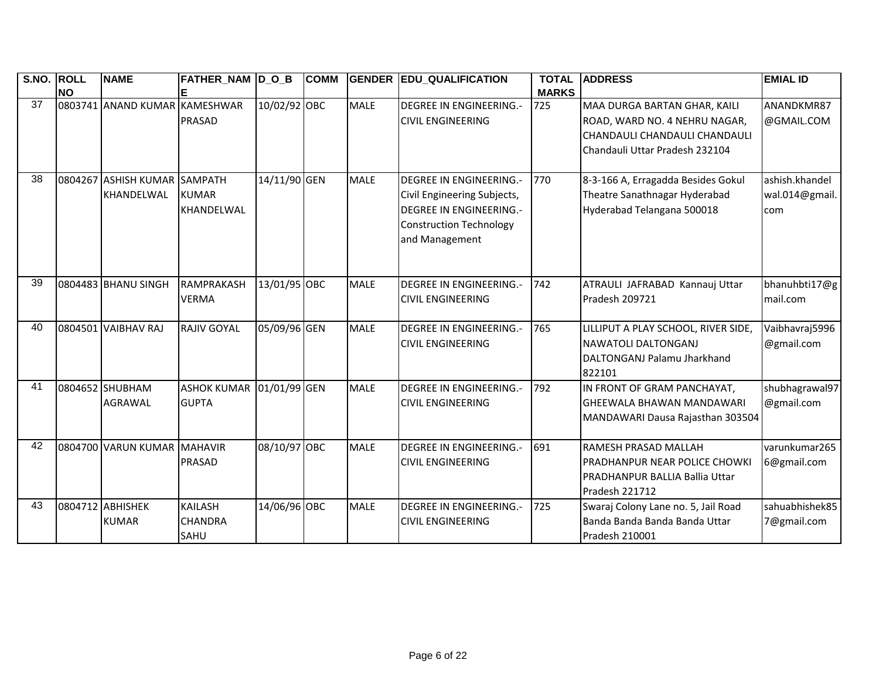| S.NO. | <b>ROLL</b> | <b>NAME</b>                   | FATHER_NAM  D_O_B  |              | <b>COMM</b> |             | <b>GENDER EDU_QUALIFICATION</b> | <b>TOTAL</b> | <b>ADDRESS</b>                        | <b>EMIAL ID</b> |
|-------|-------------|-------------------------------|--------------------|--------------|-------------|-------------|---------------------------------|--------------|---------------------------------------|-----------------|
|       | <b>NO</b>   |                               |                    |              |             |             |                                 | <b>MARKS</b> |                                       |                 |
| 37    |             | 0803741 ANAND KUMAR KAMESHWAR |                    | 10/02/92 OBC |             | <b>MALE</b> | <b>DEGREE IN ENGINEERING.-</b>  | 725          | MAA DURGA BARTAN GHAR, KAILI          | ANANDKMR87      |
|       |             |                               | <b>PRASAD</b>      |              |             |             | <b>CIVIL ENGINEERING</b>        |              | ROAD, WARD NO. 4 NEHRU NAGAR,         | @GMAIL.COM      |
|       |             |                               |                    |              |             |             |                                 |              | CHANDAULI CHANDAULI CHANDAULI         |                 |
|       |             |                               |                    |              |             |             |                                 |              | Chandauli Uttar Pradesh 232104        |                 |
| 38    | 0804267     | ASHISH KUMAR SAMPATH          |                    | 14/11/90 GEN |             | <b>MALE</b> | <b>DEGREE IN ENGINEERING.-</b>  | 770          | 8-3-166 A, Erragadda Besides Gokul    | ashish.khandel  |
|       |             | KHANDELWAL                    | <b>KUMAR</b>       |              |             |             | Civil Engineering Subjects,     |              | Theatre Sanathnagar Hyderabad         | wal.014@gmail.  |
|       |             |                               | KHANDELWAL         |              |             |             | <b>DEGREE IN ENGINEERING.-</b>  |              | Hyderabad Telangana 500018            | com             |
|       |             |                               |                    |              |             |             | <b>Construction Technology</b>  |              |                                       |                 |
|       |             |                               |                    |              |             |             | and Management                  |              |                                       |                 |
|       |             |                               |                    |              |             |             |                                 |              |                                       |                 |
| 39    |             | 0804483 BHANU SINGH           | RAMPRAKASH         | 13/01/95 OBC |             | <b>MALE</b> | <b>DEGREE IN ENGINEERING.-</b>  | 742          | ATRAULI JAFRABAD Kannauj Uttar        | bhanuhbti17@g   |
|       |             |                               | <b>VERMA</b>       |              |             |             | <b>CIVIL ENGINEERING</b>        |              | Pradesh 209721                        | mail.com        |
|       |             |                               |                    |              |             |             |                                 |              |                                       |                 |
| 40    |             | 0804501 VAIBHAV RAJ           | <b>RAJIV GOYAL</b> | 05/09/96 GEN |             | <b>MALE</b> | <b>DEGREE IN ENGINEERING.-</b>  | 765          | LILLIPUT A PLAY SCHOOL, RIVER SIDE,   | Vaibhavraj5996  |
|       |             |                               |                    |              |             |             | <b>CIVIL ENGINEERING</b>        |              | NAWATOLI DALTONGANJ                   | @gmail.com      |
|       |             |                               |                    |              |             |             |                                 |              | DALTONGANJ Palamu Jharkhand           |                 |
|       |             |                               |                    |              |             |             |                                 |              | 822101                                |                 |
| 41    |             | 0804652 SHUBHAM               | <b>ASHOK KUMAR</b> | 01/01/99 GEN |             | <b>MALE</b> | <b>DEGREE IN ENGINEERING.-</b>  | 792          | IN FRONT OF GRAM PANCHAYAT,           | shubhagrawal97  |
|       |             | <b>AGRAWAL</b>                | <b>GUPTA</b>       |              |             |             | <b>CIVIL ENGINEERING</b>        |              | GHEEWALA BHAWAN MANDAWARI             | @gmail.com      |
|       |             |                               |                    |              |             |             |                                 |              | MANDAWARI Dausa Rajasthan 303504      |                 |
|       |             |                               |                    |              |             |             |                                 |              |                                       |                 |
| 42    |             | 0804700 VARUN KUMAR MAHAVIR   |                    | 08/10/97 OBC |             | <b>MALE</b> | <b>DEGREE IN ENGINEERING.-</b>  | 691          | <b>RAMESH PRASAD MALLAH</b>           | varunkumar265   |
|       |             |                               | <b>PRASAD</b>      |              |             |             | <b>CIVIL ENGINEERING</b>        |              | PRADHANPUR NEAR POLICE CHOWKI         | 6@gmail.com     |
|       |             |                               |                    |              |             |             |                                 |              | <b>PRADHANPUR BALLIA Ballia Uttar</b> |                 |
|       |             |                               |                    |              |             |             |                                 |              | Pradesh 221712                        |                 |
| 43    |             | 0804712 ABHISHEK              | <b>KAILASH</b>     | 14/06/96 OBC |             | <b>MALE</b> | <b>DEGREE IN ENGINEERING.-</b>  | 725          | Swaraj Colony Lane no. 5, Jail Road   | sahuabhishek85  |
|       |             | <b>KUMAR</b>                  | <b>CHANDRA</b>     |              |             |             | <b>CIVIL ENGINEERING</b>        |              | Banda Banda Banda Banda Uttar         | 7@gmail.com     |
|       |             |                               | SAHU               |              |             |             |                                 |              | Pradesh 210001                        |                 |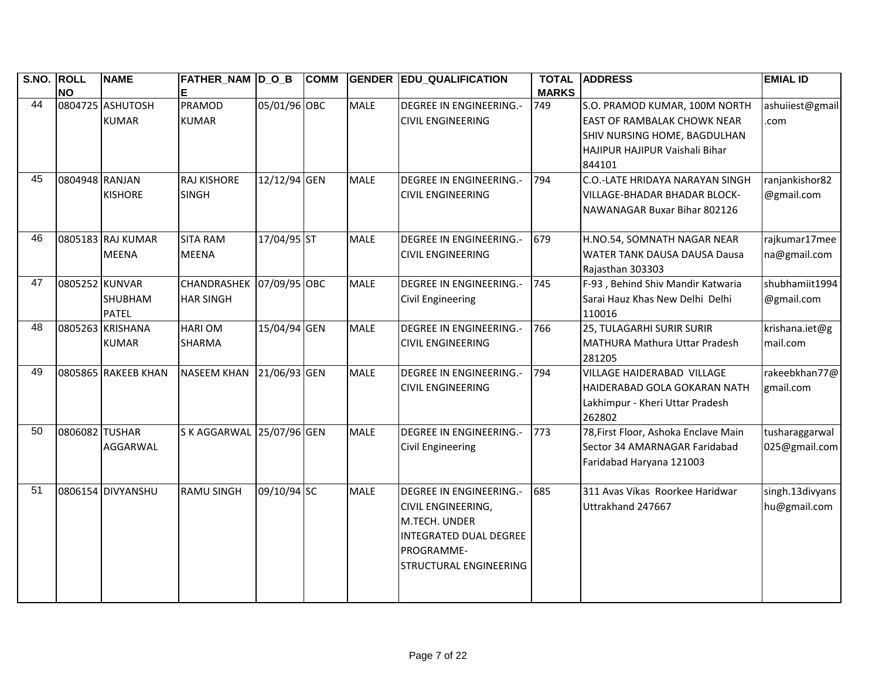| S.NO. ROLL | <b>NO</b>      | <b>NAME</b>                       | FATHER_NAM  D_O_B<br>Е             |              | <b>COMM</b> | <b>GENDER</b> | <b>EDU QUALIFICATION</b>                                                                                                                       | <b>TOTAL</b><br><b>MARKS</b> | <b>ADDRESS</b>                                                                                                                                  | <b>EMIAL ID</b>                  |
|------------|----------------|-----------------------------------|------------------------------------|--------------|-------------|---------------|------------------------------------------------------------------------------------------------------------------------------------------------|------------------------------|-------------------------------------------------------------------------------------------------------------------------------------------------|----------------------------------|
| 44         |                | 0804725 ASHUTOSH<br><b>KUMAR</b>  | <b>PRAMOD</b><br><b>KUMAR</b>      | 05/01/96 OBC |             | <b>MALE</b>   | <b>DEGREE IN ENGINEERING.-</b><br><b>CIVIL ENGINEERING</b>                                                                                     | 749                          | S.O. PRAMOD KUMAR, 100M NORTH<br><b>EAST OF RAMBALAK CHOWK NEAR</b><br>SHIV NURSING HOME, BAGDULHAN<br>HAJIPUR HAJIPUR Vaishali Bihar<br>844101 | ashuiiest@gmail<br>com           |
| 45         | 0804948 RANJAN | <b>KISHORE</b>                    | <b>RAJ KISHORE</b><br><b>SINGH</b> | 12/12/94 GEN |             | <b>MALE</b>   | <b>DEGREE IN ENGINEERING.-</b><br><b>CIVIL ENGINEERING</b>                                                                                     | 794                          | C.O.-LATE HRIDAYA NARAYAN SINGH<br><b>VILLAGE-BHADAR BHADAR BLOCK-</b><br>NAWANAGAR Buxar Bihar 802126                                          | ranjankishor82<br>@gmail.com     |
| 46         |                | 0805183 RAJ KUMAR<br><b>MEENA</b> | <b>SITA RAM</b><br><b>MEENA</b>    | 17/04/95 ST  |             | <b>MALE</b>   | <b>DEGREE IN ENGINEERING.-</b><br><b>CIVIL ENGINEERING</b>                                                                                     | 679                          | H.NO.54, SOMNATH NAGAR NEAR<br><b>WATER TANK DAUSA DAUSA Dausa</b><br>Rajasthan 303303                                                          | rajkumar17mee<br>na@gmail.com    |
| 47         | 0805252 KUNVAR | SHUBHAM<br><b>PATEL</b>           | CHANDRASHEK<br><b>HAR SINGH</b>    | 07/09/95 OBC |             | <b>MALE</b>   | <b>DEGREE IN ENGINEERING.-</b><br>Civil Engineering                                                                                            | 745                          | F-93, Behind Shiv Mandir Katwaria<br>Sarai Hauz Khas New Delhi Delhi<br>110016                                                                  | shubhamiit1994<br>@gmail.com     |
| 48         |                | 0805263 KRISHANA<br><b>KUMAR</b>  | <b>HARIOM</b><br><b>SHARMA</b>     | 15/04/94 GEN |             | <b>MALE</b>   | <b>DEGREE IN ENGINEERING.-</b><br><b>CIVIL ENGINEERING</b>                                                                                     | 766                          | 25, TULAGARHI SURIR SURIR<br>MATHURA Mathura Uttar Pradesh<br>281205                                                                            | krishana.iet@g<br>mail.com       |
| 49         |                | 0805865 RAKEEB KHAN               | <b>NASEEM KHAN</b>                 | 21/06/93 GEN |             | <b>MALE</b>   | <b>DEGREE IN ENGINEERING.-</b><br><b>CIVIL ENGINEERING</b>                                                                                     | 794                          | VILLAGE HAIDERABAD VILLAGE<br>HAIDERABAD GOLA GOKARAN NATH<br>Lakhimpur - Kheri Uttar Pradesh<br>262802                                         | rakeebkhan77@<br>gmail.com       |
| 50         | 0806082 TUSHAR | AGGARWAL                          | S K AGGARWAL 25/07/96 GEN          |              |             | <b>MALE</b>   | <b>DEGREE IN ENGINEERING.-</b><br><b>Civil Engineering</b>                                                                                     | 773                          | 78, First Floor, Ashoka Enclave Main<br>Sector 34 AMARNAGAR Faridabad<br>Faridabad Haryana 121003                                               | tusharaggarwal<br>025@gmail.com  |
| 51         |                | 0806154 DIVYANSHU                 | <b>RAMU SINGH</b>                  | 09/10/94 SC  |             | <b>MALE</b>   | <b>DEGREE IN ENGINEERING.-</b><br>CIVIL ENGINEERING,<br>M.TECH. UNDER<br>INTEGRATED DUAL DEGREE<br>PROGRAMME-<br><b>STRUCTURAL ENGINEERING</b> | 685                          | 311 Avas Vikas Roorkee Haridwar<br>Uttrakhand 247667                                                                                            | singh.13 divyans<br>hu@gmail.com |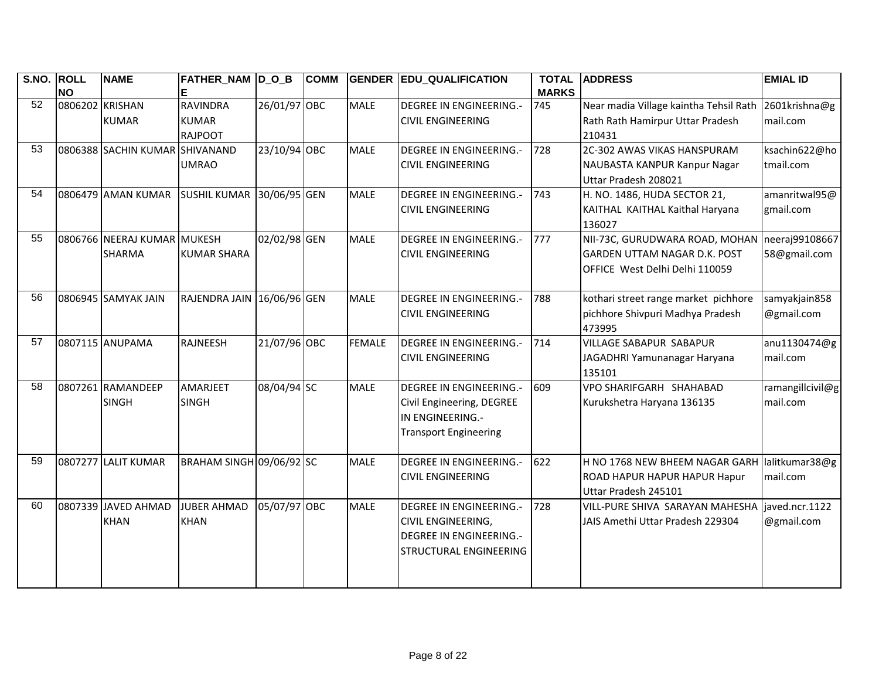| S.NO. ROLL | <b>NO</b>       | <b>NAME</b>                           | FATHER_NAM D_O_B                                  |              | <b>COMM</b> | <b>GENDER</b> | <b>EDU_QUALIFICATION</b>                                                                                                       | <b>TOTAL</b><br><b>MARKS</b> | <b>ADDRESS</b>                                                                                          | <b>EMIAL ID</b>                |
|------------|-----------------|---------------------------------------|---------------------------------------------------|--------------|-------------|---------------|--------------------------------------------------------------------------------------------------------------------------------|------------------------------|---------------------------------------------------------------------------------------------------------|--------------------------------|
| 52         | 0806202 KRISHAN | <b>KUMAR</b>                          | <b>RAVINDRA</b><br><b>KUMAR</b><br><b>RAJPOOT</b> | 26/01/97 OBC |             | <b>MALE</b>   | <b>DEGREE IN ENGINEERING.-</b><br><b>CIVIL ENGINEERING</b>                                                                     | 745                          | Near madia Village kaintha Tehsil Rath<br>Rath Rath Hamirpur Uttar Pradesh<br>210431                    | 2601krishna@g<br>mail.com      |
| 53         |                 | 0806388 SACHIN KUMAR                  | SHIVANAND<br><b>UMRAO</b>                         | 23/10/94 OBC |             | <b>MALE</b>   | <b>DEGREE IN ENGINEERING.-</b><br><b>CIVIL ENGINEERING</b>                                                                     | 728                          | 2C-302 AWAS VIKAS HANSPURAM<br>NAUBASTA KANPUR Kanpur Nagar<br>Uttar Pradesh 208021                     | ksachin622@ho<br>tmail.com     |
| 54         |                 | 0806479 AMAN KUMAR                    | SUSHIL KUMAR 30/06/95 GEN                         |              |             | <b>MALE</b>   | <b>DEGREE IN ENGINEERING.-</b><br><b>CIVIL ENGINEERING</b>                                                                     | 743                          | H. NO. 1486, HUDA SECTOR 21,<br>KAITHAL KAITHAL Kaithal Haryana<br>136027                               | amanritwal95@<br>gmail.com     |
| 55         |                 | 0806766 NEERAJ KUMAR<br><b>SHARMA</b> | <b>MUKESH</b><br><b>KUMAR SHARA</b>               | 02/02/98 GEN |             | <b>MALE</b>   | <b>DEGREE IN ENGINEERING.-</b><br><b>CIVIL ENGINEERING</b>                                                                     | 777                          | NII-73C, GURUDWARA ROAD, MOHAN<br><b>GARDEN UTTAM NAGAR D.K. POST</b><br>OFFICE West Delhi Delhi 110059 | neeraj99108667<br>58@gmail.com |
| 56         |                 | 0806945 SAMYAK JAIN                   | RAJENDRA JAIN 16/06/96 GEN                        |              |             | <b>MALE</b>   | <b>DEGREE IN ENGINEERING.-</b><br><b>CIVIL ENGINEERING</b>                                                                     | 788                          | kothari street range market pichhore<br>pichhore Shivpuri Madhya Pradesh<br>473995                      | samyakjain858<br>@gmail.com    |
| 57         |                 | 0807115 ANUPAMA                       | <b>RAJNEESH</b>                                   | 21/07/96 OBC |             | <b>FEMALE</b> | <b>DEGREE IN ENGINEERING.-</b><br><b>CIVIL ENGINEERING</b>                                                                     | 714                          | <b>VILLAGE SABAPUR SABAPUR</b><br>JAGADHRI Yamunanagar Haryana<br>135101                                | anu1130474@g<br>mail.com       |
| 58         |                 | 0807261 RAMANDEEP<br><b>SINGH</b>     | <b>AMARJEET</b><br><b>SINGH</b>                   | 08/04/94 SC  |             | <b>MALE</b>   | <b>DEGREE IN ENGINEERING.-</b><br>Civil Engineering, DEGREE<br>IN ENGINEERING.-<br><b>Transport Engineering</b>                | 609                          | VPO SHARIFGARH SHAHABAD<br>Kurukshetra Haryana 136135                                                   | ramangillcivil@g<br>mail.com   |
| 59         |                 | 0807277 LALIT KUMAR                   | BRAHAM SINGH 09/06/92 SC                          |              |             | <b>MALE</b>   | <b>DEGREE IN ENGINEERING.-</b><br><b>CIVIL ENGINEERING</b>                                                                     | 622                          | H NO 1768 NEW BHEEM NAGAR GARH lalitkumar38@g<br>ROAD HAPUR HAPUR HAPUR Hapur<br>Uttar Pradesh 245101   | mail.com                       |
| 60         |                 | 0807339 JAVED AHMAD<br><b>KHAN</b>    | <b>JUBER AHMAD</b><br><b>KHAN</b>                 | 05/07/97 OBC |             | <b>MALE</b>   | <b>DEGREE IN ENGINEERING.-</b><br><b>CIVIL ENGINEERING,</b><br><b>DEGREE IN ENGINEERING.-</b><br><b>STRUCTURAL ENGINEERING</b> | 728                          | VILL-PURE SHIVA SARAYAN MAHESHA<br>JAIS Amethi Uttar Pradesh 229304                                     | iaved.ncr.1122<br>@gmail.com   |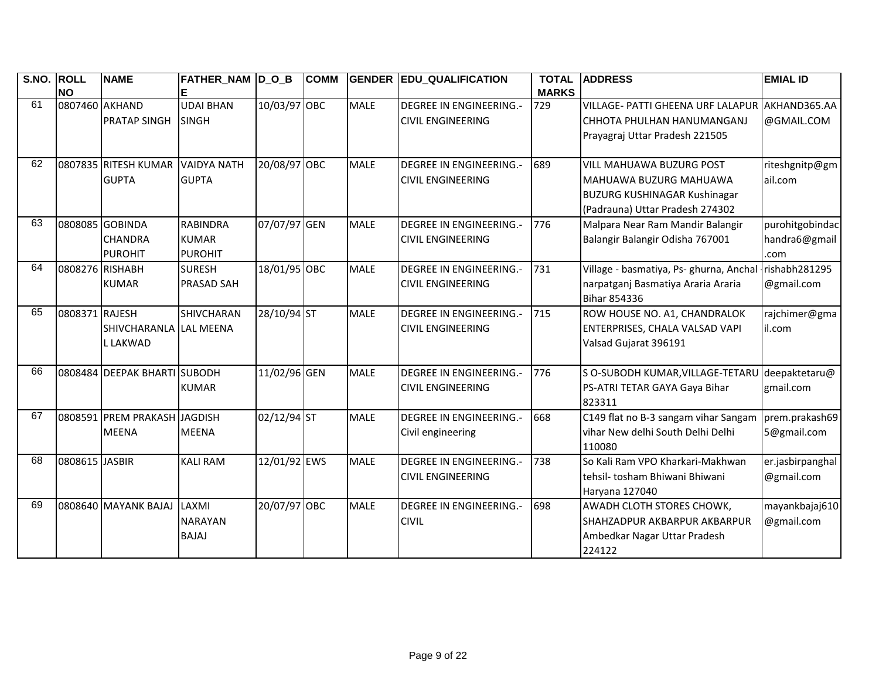| S.NO. ROLL |                 | <b>NAME</b>                  | FATHER_NAM D_O_B   |              | <b>COMM</b> |             | <b>GENDER EDU_QUALIFICATION</b> | <b>TOTAL</b> | <b>ADDRESS</b>                          | <b>EMIAL ID</b>  |
|------------|-----------------|------------------------------|--------------------|--------------|-------------|-------------|---------------------------------|--------------|-----------------------------------------|------------------|
| 61         | <b>NO</b>       |                              |                    |              |             |             |                                 | <b>MARKS</b> |                                         |                  |
|            | 0807460 AKHAND  |                              | <b>UDAI BHAN</b>   | 10/03/97 OBC |             | <b>MALE</b> | <b>DEGREE IN ENGINEERING.-</b>  | 729          | VILLAGE- PATTI GHEENA URF LALAPUR       | AKHAND365.AA     |
|            |                 | <b>PRATAP SINGH</b>          | <b>SINGH</b>       |              |             |             | <b>CIVIL ENGINEERING</b>        |              | CHHOTA PHULHAN HANUMANGANJ              | @GMAIL.COM       |
|            |                 |                              |                    |              |             |             |                                 |              | Prayagraj Uttar Pradesh 221505          |                  |
| 62         |                 | 0807835 RITESH KUMAR         | <b>VAIDYA NATH</b> | 20/08/97 OBC |             | <b>MALE</b> | <b>DEGREE IN ENGINEERING.-</b>  | 689          | <b>VILL MAHUAWA BUZURG POST</b>         | riteshgnitp@gm   |
|            |                 | <b>GUPTA</b>                 | <b>GUPTA</b>       |              |             |             | <b>CIVIL ENGINEERING</b>        |              | MAHUAWA BUZURG MAHUAWA                  | ail.com          |
|            |                 |                              |                    |              |             |             |                                 |              | <b>BUZURG KUSHINAGAR Kushinagar</b>     |                  |
|            |                 |                              |                    |              |             |             |                                 |              | (Padrauna) Uttar Pradesh 274302         |                  |
| 63         |                 | 0808085 GOBINDA              | <b>RABINDRA</b>    | 07/07/97 GEN |             | <b>MALE</b> | <b>DEGREE IN ENGINEERING.-</b>  | 776          | Malpara Near Ram Mandir Balangir        | purohitgobindac  |
|            |                 | <b>CHANDRA</b>               | <b>KUMAR</b>       |              |             |             | <b>CIVIL ENGINEERING</b>        |              | Balangir Balangir Odisha 767001         | handra6@gmail    |
|            |                 | <b>PUROHIT</b>               | <b>PUROHIT</b>     |              |             |             |                                 |              |                                         | .com             |
| 64         | 0808276 RISHABH |                              | <b>SURESH</b>      | 18/01/95 OBC |             | <b>MALE</b> | <b>DEGREE IN ENGINEERING.-</b>  | 731          | Village - basmatiya, Ps- ghurna, Anchal | rishabh281295    |
|            |                 | <b>KUMAR</b>                 | <b>PRASAD SAH</b>  |              |             |             | <b>CIVIL ENGINEERING</b>        |              | narpatganj Basmatiya Araria Araria      | @gmail.com       |
|            |                 |                              |                    |              |             |             |                                 |              | Bihar 854336                            |                  |
| 65         | 0808371 RAJESH  |                              | SHIVCHARAN         | 28/10/94 ST  |             | <b>MALE</b> | <b>DEGREE IN ENGINEERING.-</b>  | 715          | ROW HOUSE NO. A1, CHANDRALOK            | rajchimer@gma    |
|            |                 | SHIVCHARANLA LAL MEENA       |                    |              |             |             | <b>CIVIL ENGINEERING</b>        |              | ENTERPRISES, CHALA VALSAD VAPI          | il.com           |
|            |                 | L LAKWAD                     |                    |              |             |             |                                 |              | Valsad Gujarat 396191                   |                  |
|            |                 |                              |                    |              |             |             |                                 |              |                                         |                  |
| 66         |                 | 0808484 DEEPAK BHARTI        | <b>SUBODH</b>      | 11/02/96 GEN |             | <b>MALE</b> | <b>DEGREE IN ENGINEERING.-</b>  | 776          | S O-SUBODH KUMAR, VILLAGE-TETARU        | deepaktetaru@    |
|            |                 |                              | <b>KUMAR</b>       |              |             |             | <b>CIVIL ENGINEERING</b>        |              | PS-ATRI TETAR GAYA Gaya Bihar           | gmail.com        |
|            |                 |                              |                    |              |             |             |                                 |              | 823311                                  |                  |
| 67         |                 | 0808591 PREM PRAKASH JAGDISH |                    | 02/12/94 ST  |             | <b>MALE</b> | <b>DEGREE IN ENGINEERING.-</b>  | 668          | C149 flat no B-3 sangam vihar Sangam    | prem.prakash69   |
|            |                 | <b>MEENA</b>                 | <b>MEENA</b>       |              |             |             | Civil engineering               |              | vihar New delhi South Delhi Delhi       | 5@gmail.com      |
|            |                 |                              |                    |              |             |             |                                 |              | 110080                                  |                  |
| 68         | 0808615 JASBIR  |                              | <b>KALI RAM</b>    | 12/01/92 EWS |             | <b>MALE</b> | <b>DEGREE IN ENGINEERING.-</b>  | 738          | So Kali Ram VPO Kharkari-Makhwan        | er.jasbirpanghal |
|            |                 |                              |                    |              |             |             | <b>CIVIL ENGINEERING</b>        |              | tehsil- tosham Bhiwani Bhiwani          | @gmail.com       |
|            |                 |                              |                    |              |             |             |                                 |              | Haryana 127040                          |                  |
| 69         |                 | 0808640 MAYANK BAJAJ         | LAXMI              | 20/07/97 OBC |             | <b>MALE</b> | <b>DEGREE IN ENGINEERING.-</b>  | 698          | AWADH CLOTH STORES CHOWK,               | mayankbajaj610   |
|            |                 |                              | <b>NARAYAN</b>     |              |             |             | <b>CIVIL</b>                    |              | SHAHZADPUR AKBARPUR AKBARPUR            | @gmail.com       |
|            |                 |                              | <b>BAJAJ</b>       |              |             |             |                                 |              | Ambedkar Nagar Uttar Pradesh            |                  |
|            |                 |                              |                    |              |             |             |                                 |              | 224122                                  |                  |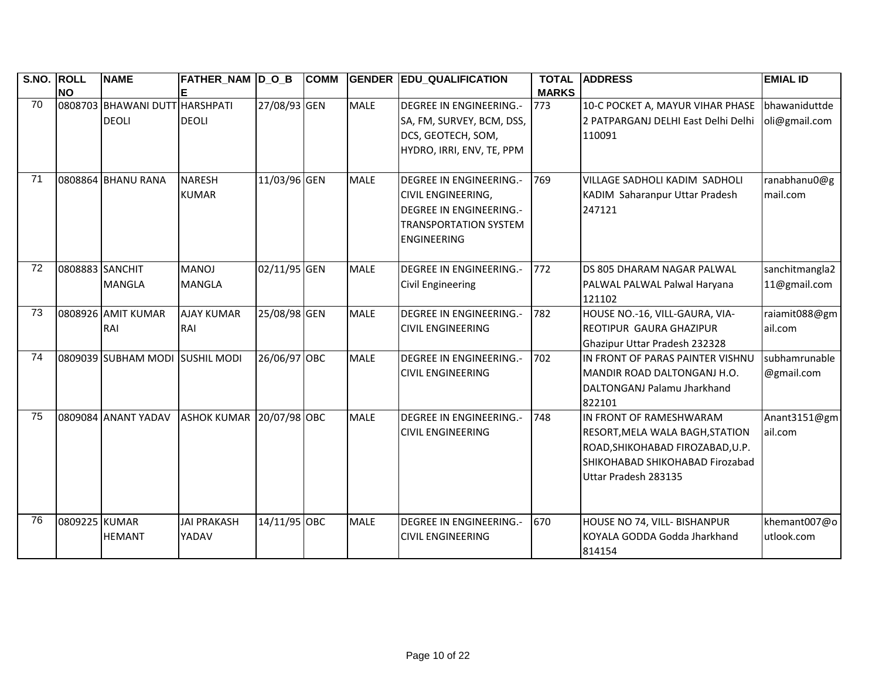| S.NO. ROLL | <b>NO</b>       | <b>NAME</b>                                    | FATHER_NAM  D_O_B               |              | <b>COMM</b> |             | <b>GENDER EDU_QUALIFICATION</b>                                                                                                                     | <b>TOTAL</b><br><b>MARKS</b> | <b>ADDRESS</b>                                                                                                                                                   | <b>EMIAL ID</b>                |
|------------|-----------------|------------------------------------------------|---------------------------------|--------------|-------------|-------------|-----------------------------------------------------------------------------------------------------------------------------------------------------|------------------------------|------------------------------------------------------------------------------------------------------------------------------------------------------------------|--------------------------------|
| 70         |                 | 0808703 BHAWANI DUTT HARSHPATI<br><b>DEOLI</b> | <b>DEOLI</b>                    | 27/08/93 GEN |             | <b>MALE</b> | <b>DEGREE IN ENGINEERING.-</b><br>SA, FM, SURVEY, BCM, DSS,<br>DCS, GEOTECH, SOM,<br>HYDRO, IRRI, ENV, TE, PPM                                      | 773                          | 10-C POCKET A, MAYUR VIHAR PHASE<br>2 PATPARGANJ DELHI East Delhi Delhi<br>110091                                                                                | bhawaniduttde<br>oli@gmail.com |
| 71         |                 | 0808864 BHANU RANA                             | <b>NARESH</b><br><b>KUMAR</b>   | 11/03/96 GEN |             | <b>MALE</b> | <b>DEGREE IN ENGINEERING.-</b><br><b>CIVIL ENGINEERING,</b><br><b>DEGREE IN ENGINEERING.-</b><br><b>TRANSPORTATION SYSTEM</b><br><b>ENGINEERING</b> | 769                          | VILLAGE SADHOLI KADIM SADHOLI<br>KADIM Saharanpur Uttar Pradesh<br>247121                                                                                        | ranabhanu0@g<br>mail.com       |
| 72         | 0808883 SANCHIT | <b>MANGLA</b>                                  | <b>MANOJ</b><br><b>MANGLA</b>   | 02/11/95 GEN |             | <b>MALE</b> | <b>DEGREE IN ENGINEERING.-</b><br><b>Civil Engineering</b>                                                                                          | 772                          | IDS 805 DHARAM NAGAR PALWAL<br>PALWAL PALWAL Palwal Haryana<br>121102                                                                                            | sanchitmangla2<br>11@gmail.com |
| 73         |                 | 0808926 AMIT KUMAR<br>RAI                      | <b>AJAY KUMAR</b><br>RAI        | 25/08/98 GEN |             | <b>MALE</b> | <b>DEGREE IN ENGINEERING.-</b><br><b>CIVIL ENGINEERING</b>                                                                                          | 782                          | HOUSE NO.-16, VILL-GAURA, VIA-<br><b>REOTIPUR GAURA GHAZIPUR</b><br>Ghazipur Uttar Pradesh 232328                                                                | raiamit088@gm<br>ail.com       |
| 74         |                 | 0809039 SUBHAM MODI                            | <b>SUSHIL MODI</b>              | 26/06/97 OBC |             | <b>MALE</b> | <b>DEGREE IN ENGINEERING.-</b><br><b>CIVIL ENGINEERING</b>                                                                                          | 702                          | IN FRONT OF PARAS PAINTER VISHNU<br>MANDIR ROAD DALTONGANJ H.O.<br>DALTONGANJ Palamu Jharkhand<br>822101                                                         | subhamrunable<br>@gmail.com    |
| 75         |                 | 0809084 ANANT YADAV                            | <b>ASHOK KUMAR 20/07/98 OBC</b> |              |             | <b>MALE</b> | <b>DEGREE IN ENGINEERING.-</b><br><b>CIVIL ENGINEERING</b>                                                                                          | 748                          | IN FRONT OF RAMESHWARAM<br><b>RESORT, MELA WALA BAGH, STATION</b><br>ROAD, SHIKOHABAD FIROZABAD, U.P.<br>SHIKOHABAD SHIKOHABAD Firozabad<br>Uttar Pradesh 283135 | Anant3151@gm<br>ail.com        |
| 76         | 0809225 KUMAR   | <b>HEMANT</b>                                  | <b>JAI PRAKASH</b><br>YADAV     | 14/11/95 OBC |             | <b>MALE</b> | <b>DEGREE IN ENGINEERING.-</b><br><b>CIVIL ENGINEERING</b>                                                                                          | 670                          | HOUSE NO 74, VILL- BISHANPUR<br>KOYALA GODDA Godda Jharkhand<br>814154                                                                                           | khemant007@o<br>utlook.com     |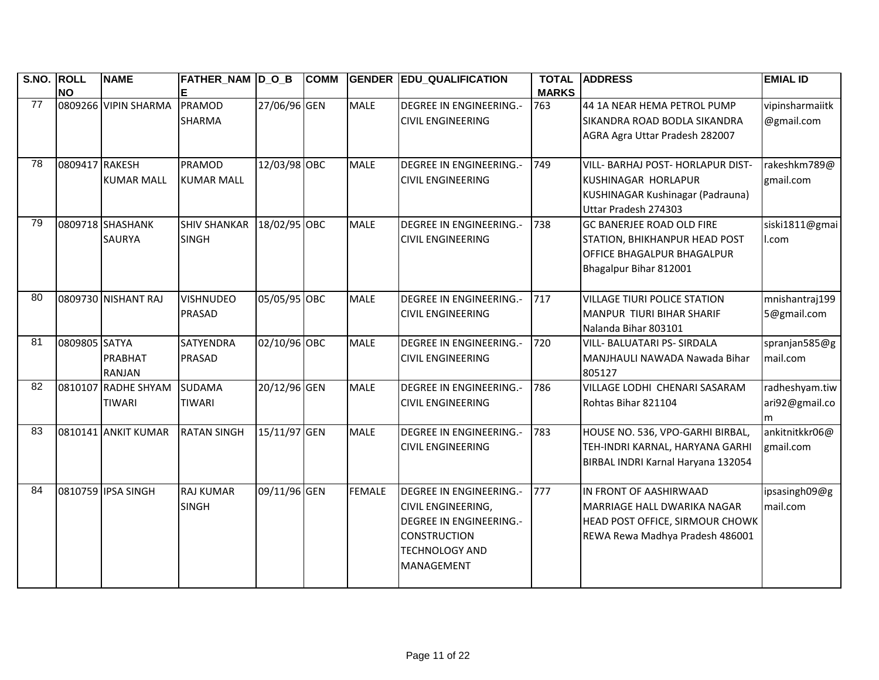| S.NO. ROLL | <b>NO</b>      | <b>NAME</b>                          | <b>FATHER_NAM D_O_B</b>             |              | <b>COMM</b> |               | <b>GENDER EDU_QUALIFICATION</b>                                                                                                                                    | <b>TOTAL</b><br><b>MARKS</b> | <b>ADDRESS</b>                                                                                                              | <b>EMIAL ID</b>                       |
|------------|----------------|--------------------------------------|-------------------------------------|--------------|-------------|---------------|--------------------------------------------------------------------------------------------------------------------------------------------------------------------|------------------------------|-----------------------------------------------------------------------------------------------------------------------------|---------------------------------------|
| 77         |                | 0809266 VIPIN SHARMA                 | PRAMOD<br><b>SHARMA</b>             | 27/06/96 GEN |             | <b>MALE</b>   | <b>DEGREE IN ENGINEERING.-</b><br><b>CIVIL ENGINEERING</b>                                                                                                         | 763                          | 44 1A NEAR HEMA PETROL PUMP<br>SIKANDRA ROAD BODLA SIKANDRA<br>AGRA Agra Uttar Pradesh 282007                               | vipinsharmaiitk<br>@gmail.com         |
| 78         | 0809417 RAKESH | <b>KUMAR MALL</b>                    | PRAMOD<br><b>KUMAR MALL</b>         | 12/03/98 OBC |             | <b>MALE</b>   | <b>DEGREE IN ENGINEERING.-</b><br><b>CIVIL ENGINEERING</b>                                                                                                         | 749                          | VILL- BARHAJ POST- HORLAPUR DIST-<br>KUSHINAGAR HORLAPUR<br>KUSHINAGAR Kushinagar (Padrauna)<br>Uttar Pradesh 274303        | rakeshkm789@<br>gmail.com             |
| 79         |                | 0809718 SHASHANK<br><b>SAURYA</b>    | <b>SHIV SHANKAR</b><br><b>SINGH</b> | 18/02/95 OBC |             | <b>MALE</b>   | <b>DEGREE IN ENGINEERING.-</b><br><b>CIVIL ENGINEERING</b>                                                                                                         | 738                          | <b>GC BANERJEE ROAD OLD FIRE</b><br>STATION, BHIKHANPUR HEAD POST<br>OFFICE BHAGALPUR BHAGALPUR<br>Bhagalpur Bihar 812001   | siski1811@gmai<br>I.com               |
| 80         |                | 0809730 NISHANT RAJ                  | <b>VISHNUDEO</b><br>PRASAD          | 05/05/95 OBC |             | <b>MALE</b>   | <b>DEGREE IN ENGINEERING.-</b><br><b>CIVIL ENGINEERING</b>                                                                                                         | 717                          | <b>VILLAGE TIURI POLICE STATION</b><br>MANPUR TIURI BIHAR SHARIF<br>Nalanda Bihar 803101                                    | mnishantraj199<br>5@gmail.com         |
| 81         | 0809805 SATYA  | PRABHAT<br>RANJAN                    | <b>SATYENDRA</b><br><b>PRASAD</b>   | 02/10/96 OBC |             | <b>MALE</b>   | <b>DEGREE IN ENGINEERING.-</b><br><b>CIVIL ENGINEERING</b>                                                                                                         | 720                          | VILL- BALUATARI PS- SIRDALA<br>MANJHAULI NAWADA Nawada Bihar<br>805127                                                      | spranjan585@g<br>mail.com             |
| 82         |                | 0810107 RADHE SHYAM<br><b>TIWARI</b> | <b>SUDAMA</b><br><b>TIWARI</b>      | 20/12/96 GEN |             | <b>MALE</b>   | <b>DEGREE IN ENGINEERING.-</b><br><b>CIVIL ENGINEERING</b>                                                                                                         | 786                          | VILLAGE LODHI CHENARI SASARAM<br>Rohtas Bihar 821104                                                                        | radheshyam.tiw<br>ari92@gmail.co<br>m |
| 83         |                | 0810141 ANKIT KUMAR                  | <b>RATAN SINGH</b>                  | 15/11/97 GEN |             | <b>MALE</b>   | <b>DEGREE IN ENGINEERING.-</b><br><b>CIVIL ENGINEERING</b>                                                                                                         | 783                          | HOUSE NO. 536, VPO-GARHI BIRBAL,<br>TEH-INDRI KARNAL, HARYANA GARHI<br>BIRBAL INDRI Karnal Haryana 132054                   | ankitnitkkr06@<br>gmail.com           |
| 84         |                | 0810759 IPSA SINGH                   | <b>RAJ KUMAR</b><br><b>SINGH</b>    | 09/11/96 GEN |             | <b>FEMALE</b> | <b>DEGREE IN ENGINEERING.-</b><br><b>CIVIL ENGINEERING,</b><br><b>DEGREE IN ENGINEERING.-</b><br><b>CONSTRUCTION</b><br><b>TECHNOLOGY AND</b><br><b>MANAGEMENT</b> | 777                          | IN FRONT OF AASHIRWAAD<br>MARRIAGE HALL DWARIKA NAGAR<br>HEAD POST OFFICE, SIRMOUR CHOWK<br>REWA Rewa Madhya Pradesh 486001 | ipsasingh09@g<br>mail.com             |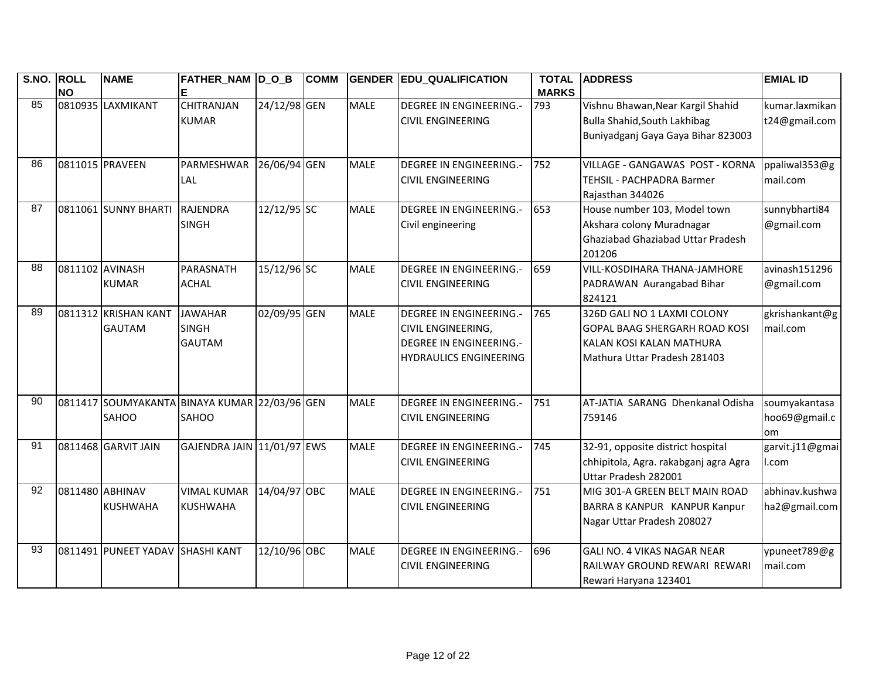| S.NO.           | <b>ROLL</b><br><b>NO</b> | <b>NAME</b>                           | FATHER_NAM D_O_B                                              |              | <b>COMM</b> |             | <b>GENDER EDU_QUALIFICATION</b>                                                                                                | <b>TOTAL</b><br><b>MARKS</b> | <b>ADDRESS</b>                                                                                                           | <b>EMIAL ID</b>                      |
|-----------------|--------------------------|---------------------------------------|---------------------------------------------------------------|--------------|-------------|-------------|--------------------------------------------------------------------------------------------------------------------------------|------------------------------|--------------------------------------------------------------------------------------------------------------------------|--------------------------------------|
| 85              |                          | 0810935 LAXMIKANT                     | <b>CHITRANJAN</b><br><b>KUMAR</b>                             | 24/12/98 GEN |             | <b>MALE</b> | <b>DEGREE IN ENGINEERING.-</b><br><b>CIVIL ENGINEERING</b>                                                                     | 793                          | Vishnu Bhawan, Near Kargil Shahid<br>Bulla Shahid, South Lakhibag<br>Buniyadganj Gaya Gaya Bihar 823003                  | kumar.laxmikan<br>t24@gmail.com      |
| 86              |                          | 0811015 PRAVEEN                       | PARMESHWAR<br>LAL                                             | 26/06/94 GEN |             | <b>MALE</b> | <b>DEGREE IN ENGINEERING.-</b><br><b>CIVIL ENGINEERING</b>                                                                     | 752                          | VILLAGE - GANGAWAS POST - KORNA<br>TEHSIL - PACHPADRA Barmer<br>Rajasthan 344026                                         | ppaliwal353@g<br>mail.com            |
| 87              |                          | 0811061 SUNNY BHARTI                  | <b>RAJENDRA</b><br><b>SINGH</b>                               | 12/12/95 SC  |             | <b>MALE</b> | <b>DEGREE IN ENGINEERING.-</b><br>Civil engineering                                                                            | 653                          | House number 103, Model town<br>Akshara colony Muradnagar<br>Ghaziabad Ghaziabad Uttar Pradesh<br>201206                 | sunnybharti84<br>@gmail.com          |
| 88              | 0811102 AVINASH          | <b>KUMAR</b>                          | PARASNATH<br><b>ACHAL</b>                                     | 15/12/96 SC  |             | <b>MALE</b> | <b>DEGREE IN ENGINEERING.-</b><br><b>CIVIL ENGINEERING</b>                                                                     | 659                          | VILL-KOSDIHARA THANA-JAMHORE<br>PADRAWAN Aurangabad Bihar<br>824121                                                      | avinash151296<br>@gmail.com          |
| 89              |                          | 0811312 KRISHAN KANT<br><b>GAUTAM</b> | <b>JAWAHAR</b><br><b>SINGH</b><br><b>GAUTAM</b>               | 02/09/95 GEN |             | <b>MALE</b> | <b>DEGREE IN ENGINEERING.-</b><br><b>CIVIL ENGINEERING,</b><br><b>DEGREE IN ENGINEERING.-</b><br><b>HYDRAULICS ENGINEERING</b> | 765                          | 326D GALI NO 1 LAXMI COLONY<br>GOPAL BAAG SHERGARH ROAD KOSI<br>KALAN KOSI KALAN MATHURA<br>Mathura Uttar Pradesh 281403 | gkrishankant@g<br>mail.com           |
| 90              |                          | SAHOO                                 | 0811417 SOUMYAKANTA BINAYA KUMAR 22/03/96 GEN<br><b>SAHOO</b> |              |             | <b>MALE</b> | <b>DEGREE IN ENGINEERING.-</b><br><b>CIVIL ENGINEERING</b>                                                                     | 751                          | AT-JATIA SARANG Dhenkanal Odisha<br>759146                                                                               | soumyakantasa<br>hoo69@gmail.c<br>om |
| 91              |                          | 0811468 GARVIT JAIN                   | GAJENDRA JAIN 11/01/97 EWS                                    |              |             | <b>MALE</b> | <b>DEGREE IN ENGINEERING.-</b><br><b>CIVIL ENGINEERING</b>                                                                     | 745                          | 32-91, opposite district hospital<br>chhipitola, Agra. rakabganj agra Agra<br>Uttar Pradesh 282001                       | garvit.j11@gmai<br>l.com             |
| $\overline{92}$ |                          | 0811480 ABHINAV<br><b>KUSHWAHA</b>    | <b>VIMAL KUMAR</b><br><b>KUSHWAHA</b>                         | 14/04/97 OBC |             | <b>MALE</b> | <b>DEGREE IN ENGINEERING.-</b><br><b>CIVIL ENGINEERING</b>                                                                     | 751                          | MIG 301-A GREEN BELT MAIN ROAD<br>BARRA 8 KANPUR KANPUR Kanpur<br>Nagar Uttar Pradesh 208027                             | abhinav.kushwa<br>ha2@gmail.com      |
| 93              |                          | 0811491 PUNEET YADAV                  | <b>SHASHI KANT</b>                                            | 12/10/96 OBC |             | <b>MALE</b> | <b>DEGREE IN ENGINEERING.-</b><br><b>CIVIL ENGINEERING</b>                                                                     | 696                          | GALI NO. 4 VIKAS NAGAR NEAR<br>RAILWAY GROUND REWARI REWARI<br>Rewari Haryana 123401                                     | ypuneet789@g<br>mail.com             |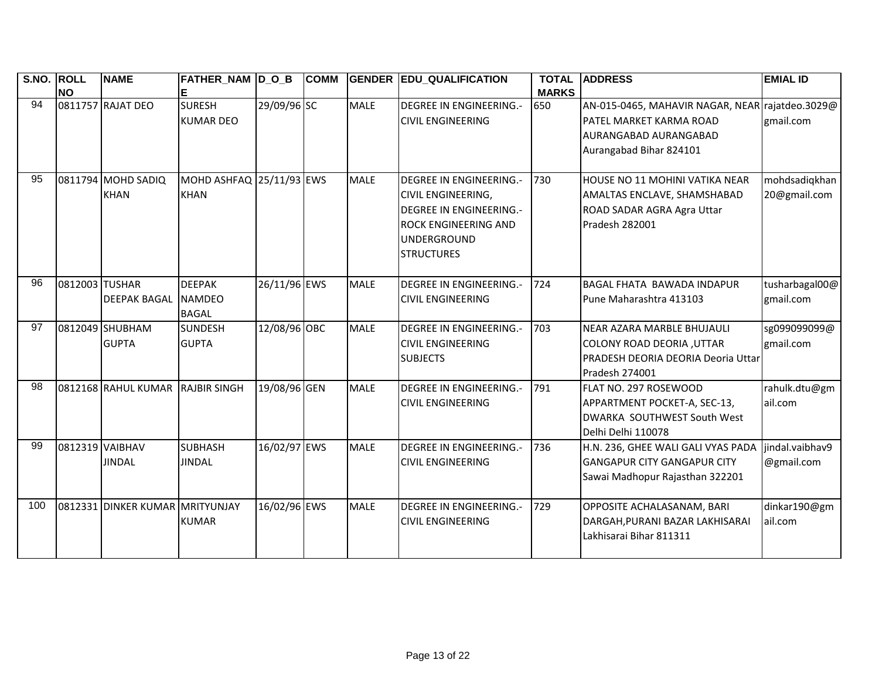| S.NO. ROLL | <b>NO</b>      | <b>NAME</b>                       | FATHER_NAM D_O_B                               |              | <b>COMM</b> |             | <b>GENDER EDU_QUALIFICATION</b>                                                                                                                                         | <b>TOTAL</b><br><b>MARKS</b> | <b>ADDRESS</b>                                                                                                                 | <b>EMIAL ID</b>               |
|------------|----------------|-----------------------------------|------------------------------------------------|--------------|-------------|-------------|-------------------------------------------------------------------------------------------------------------------------------------------------------------------------|------------------------------|--------------------------------------------------------------------------------------------------------------------------------|-------------------------------|
| 94         |                | 0811757 RAJAT DEO                 | <b>SURESH</b><br><b>KUMAR DEO</b>              | 29/09/96 SC  |             | <b>MALE</b> | <b>DEGREE IN ENGINEERING.-</b><br><b>CIVIL ENGINEERING</b>                                                                                                              | 650                          | AN-015-0465, MAHAVIR NAGAR, NEAR rajatdeo.3029@<br>PATEL MARKET KARMA ROAD<br>AURANGABAD AURANGABAD<br>Aurangabad Bihar 824101 | gmail.com                     |
| 95         |                | 0811794 MOHD SADIQ<br><b>KHAN</b> | MOHD ASHFAQ 25/11/93 EWS<br><b>KHAN</b>        |              |             | <b>MALE</b> | <b>DEGREE IN ENGINEERING.-</b><br><b>CIVIL ENGINEERING,</b><br><b>DEGREE IN ENGINEERING.-</b><br><b>ROCK ENGINEERING AND</b><br><b>UNDERGROUND</b><br><b>STRUCTURES</b> | 730                          | HOUSE NO 11 MOHINI VATIKA NEAR<br>AMALTAS ENCLAVE, SHAMSHABAD<br>ROAD SADAR AGRA Agra Uttar<br>Pradesh 282001                  | mohdsadiqkhan<br>20@gmail.com |
| 96         | 0812003 TUSHAR | <b>DEEPAK BAGAL</b>               | <b>DEEPAK</b><br><b>NAMDEO</b><br><b>BAGAL</b> | 26/11/96 EWS |             | <b>MALE</b> | <b>DEGREE IN ENGINEERING.-</b><br><b>CIVIL ENGINEERING</b>                                                                                                              | 724                          | <b>BAGAL FHATA BAWADA INDAPUR</b><br>Pune Maharashtra 413103                                                                   | tusharbagal00@<br>gmail.com   |
| 97         |                | 0812049 SHUBHAM<br><b>GUPTA</b>   | <b>SUNDESH</b><br><b>GUPTA</b>                 | 12/08/96 OBC |             | <b>MALE</b> | <b>DEGREE IN ENGINEERING.-</b><br><b>CIVIL ENGINEERING</b><br><b>SUBJECTS</b>                                                                                           | 703                          | NEAR AZARA MARBLE BHUJAULI<br><b>COLONY ROAD DEORIA, UTTAR</b><br>PRADESH DEORIA DEORIA Deoria Uttar<br>Pradesh 274001         | sg099099099@<br>gmail.com     |
| 98         |                | 0812168 RAHUL KUMAR               | <b>RAJBIR SINGH</b>                            | 19/08/96 GEN |             | <b>MALE</b> | <b>DEGREE IN ENGINEERING.-</b><br><b>CIVIL ENGINEERING</b>                                                                                                              | 791                          | FLAT NO. 297 ROSEWOOD<br>APPARTMENT POCKET-A, SEC-13,<br>DWARKA SOUTHWEST South West<br>Delhi Delhi 110078                     | rahulk.dtu@gm<br>ail.com      |
| 99         |                | 0812319 VAIBHAV<br><b>JINDAL</b>  | <b>SUBHASH</b><br><b>JINDAL</b>                | 16/02/97 EWS |             | <b>MALE</b> | <b>DEGREE IN ENGINEERING.-</b><br><b>CIVIL ENGINEERING</b>                                                                                                              | 736                          | H.N. 236, GHEE WALI GALI VYAS PADA<br><b>GANGAPUR CITY GANGAPUR CITY</b><br>Sawai Madhopur Rajasthan 322201                    | jindal.vaibhav9<br>@gmail.com |
| 100        |                | 0812331 DINKER KUMAR MRITYUNJAY   | <b>KUMAR</b>                                   | 16/02/96 EWS |             | <b>MALE</b> | <b>DEGREE IN ENGINEERING.-</b><br><b>CIVIL ENGINEERING</b>                                                                                                              | 729                          | OPPOSITE ACHALASANAM, BARI<br>DARGAH, PURANI BAZAR LAKHISARAI<br>Lakhisarai Bihar 811311                                       | dinkar190@gm<br>ail.com       |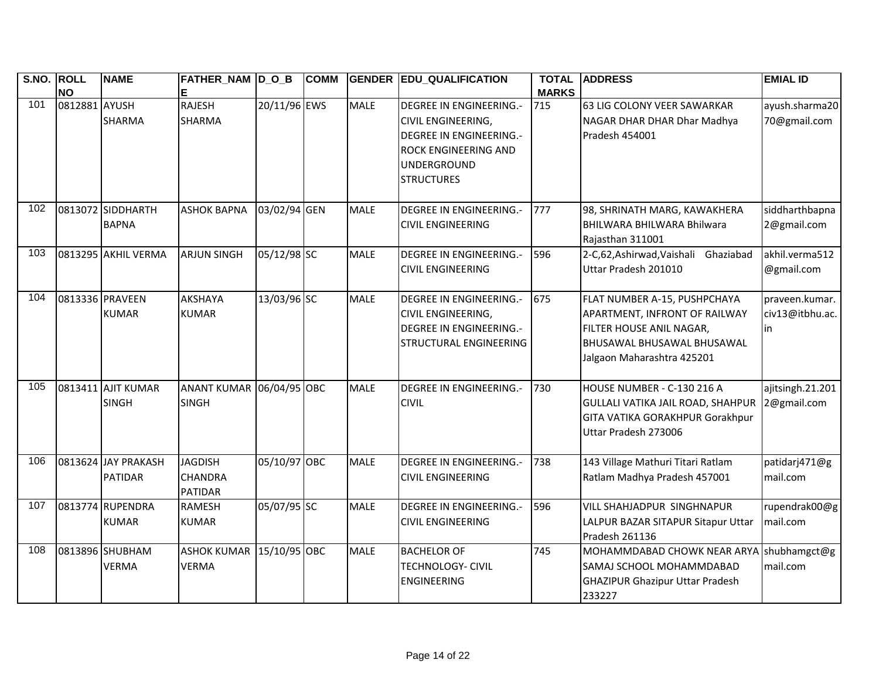| <b>S.NO.</b> | <b>ROLL</b><br><b>NO</b> | <b>NAME</b>                           | FATHER_NAM D_O_B<br>Е                       |              | <b>COMM</b> |             | <b>GENDER EDU_QUALIFICATION</b>                                                                                                                    | <b>TOTAL</b><br><b>MARKS</b> | <b>ADDRESS</b>                                                                                                                                        | <b>EMIAL ID</b>                         |
|--------------|--------------------------|---------------------------------------|---------------------------------------------|--------------|-------------|-------------|----------------------------------------------------------------------------------------------------------------------------------------------------|------------------------------|-------------------------------------------------------------------------------------------------------------------------------------------------------|-----------------------------------------|
| 101          | 0812881 AYUSH            | <b>SHARMA</b>                         | <b>RAJESH</b><br><b>SHARMA</b>              | 20/11/96 EWS |             | <b>MALE</b> | <b>DEGREE IN ENGINEERING.-</b><br>CIVIL ENGINEERING,<br><b>DEGREE IN ENGINEERING.-</b><br>ROCK ENGINEERING AND<br>UNDERGROUND<br><b>STRUCTURES</b> | 715                          | 63 LIG COLONY VEER SAWARKAR<br>NAGAR DHAR DHAR Dhar Madhya<br>Pradesh 454001                                                                          | ayush.sharma20<br>70@gmail.com          |
| 102          |                          | 0813072 SIDDHARTH<br><b>BAPNA</b>     | <b>ASHOK BAPNA</b>                          | 03/02/94 GEN |             | <b>MALE</b> | <b>DEGREE IN ENGINEERING.-</b><br><b>CIVIL ENGINEERING</b>                                                                                         | 777                          | 98, SHRINATH MARG, KAWAKHERA<br>BHILWARA BHILWARA Bhilwara<br>Rajasthan 311001                                                                        | siddharthbapna<br>2@gmail.com           |
| 103          |                          | 0813295 AKHIL VERMA                   | <b>ARJUN SINGH</b>                          | 05/12/98 SC  |             | <b>MALE</b> | <b>DEGREE IN ENGINEERING.-</b><br><b>CIVIL ENGINEERING</b>                                                                                         | 596                          | 2-C,62,Ashirwad,Vaishali Ghaziabad<br>Uttar Pradesh 201010                                                                                            | akhil.verma512<br>@gmail.com            |
| 104          |                          | 0813336 PRAVEEN<br><b>KUMAR</b>       | <b>AKSHAYA</b><br><b>KUMAR</b>              | 13/03/96 SC  |             | <b>MALE</b> | <b>DEGREE IN ENGINEERING.-</b><br><b>CIVIL ENGINEERING,</b><br><b>DEGREE IN ENGINEERING.-</b><br><b>STRUCTURAL ENGINEERING</b>                     | 675                          | FLAT NUMBER A-15, PUSHPCHAYA<br>APARTMENT, INFRONT OF RAILWAY<br>FILTER HOUSE ANIL NAGAR,<br>BHUSAWAL BHUSAWAL BHUSAWAL<br>Jalgaon Maharashtra 425201 | praveen.kumar.<br>civ13@itbhu.ac.<br>in |
| 105          |                          | 0813411 AJIT KUMAR<br><b>SINGH</b>    | ANANT KUMAR 06/04/95 OBC<br><b>SINGH</b>    |              |             | <b>MALE</b> | <b>DEGREE IN ENGINEERING.-</b><br><b>CIVIL</b>                                                                                                     | 730                          | HOUSE NUMBER - C-130 216 A<br><b>GULLALI VATIKA JAIL ROAD, SHAHPUR</b><br>GITA VATIKA GORAKHPUR Gorakhpur<br>Uttar Pradesh 273006                     | ajitsingh.21.201<br>2@gmail.com         |
| 106          |                          | 0813624 JAY PRAKASH<br><b>PATIDAR</b> | <b>JAGDISH</b><br>CHANDRA<br><b>PATIDAR</b> | 05/10/97 OBC |             | <b>MALE</b> | <b>DEGREE IN ENGINEERING.-</b><br><b>CIVIL ENGINEERING</b>                                                                                         | 738                          | 143 Village Mathuri Titari Ratlam<br>Ratlam Madhya Pradesh 457001                                                                                     | patidarj471@g<br>mail.com               |
| 107          |                          | 0813774 RUPENDRA<br><b>KUMAR</b>      | <b>RAMESH</b><br><b>KUMAR</b>               | 05/07/95 SC  |             | <b>MALE</b> | <b>DEGREE IN ENGINEERING.-</b><br><b>CIVIL ENGINEERING</b>                                                                                         | 596                          | VILL SHAHJADPUR SINGHNAPUR<br>LALPUR BAZAR SITAPUR Sitapur Uttar<br>Pradesh 261136                                                                    | rupendrak00@g<br>mail.com               |
| 108          |                          | 0813896 SHUBHAM<br><b>VERMA</b>       | ASHOK KUMAR 15/10/95 OBC<br><b>VERMA</b>    |              |             | <b>MALE</b> | <b>BACHELOR OF</b><br><b>TECHNOLOGY- CIVIL</b><br><b>ENGINEERING</b>                                                                               | 745                          | MOHAMMDABAD CHOWK NEAR ARYA<br>SAMAJ SCHOOL MOHAMMDABAD<br><b>GHAZIPUR Ghazipur Uttar Pradesh</b><br>233227                                           | shubhamgct@g<br>mail.com                |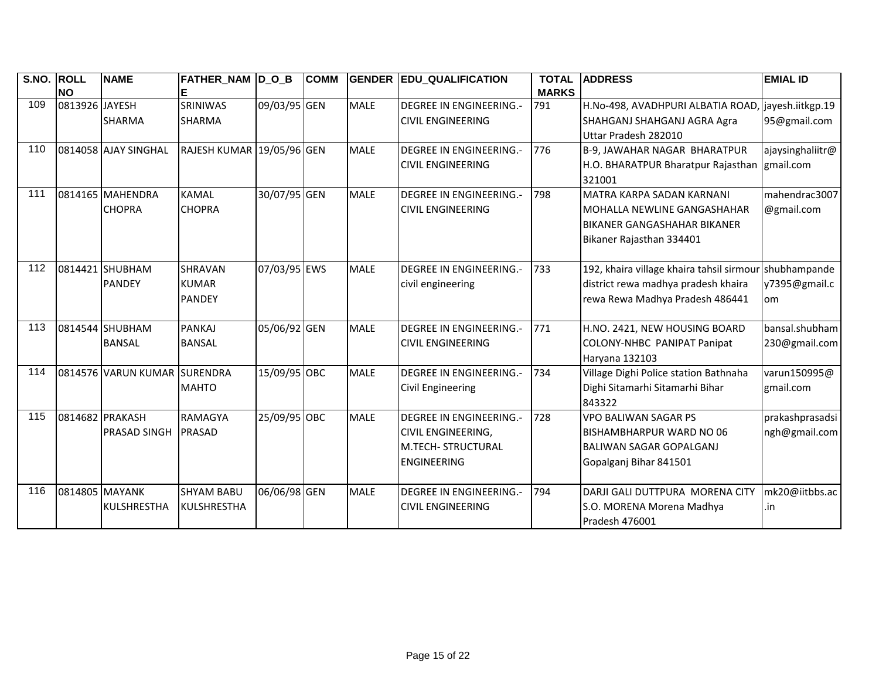| S.NO. | <b>ROLL</b>    | <b>NAME</b>                  | FATHER NAM  D O B         |              | <b>COMM</b> |             | <b>GENDER EDU_QUALIFICATION</b> | <b>TOTAL</b> | <b>ADDRESS</b>                            | <b>EMIAL ID</b>  |
|-------|----------------|------------------------------|---------------------------|--------------|-------------|-------------|---------------------------------|--------------|-------------------------------------------|------------------|
|       | <b>NO</b>      |                              |                           |              |             |             |                                 | <b>MARKS</b> |                                           |                  |
| 109   | 0813926 JAYESH |                              | <b>SRINIWAS</b>           | 09/03/95 GEN |             | <b>MALE</b> | <b>DEGREE IN ENGINEERING.-</b>  | 791          | H.No-498, AVADHPURI ALBATIA ROAD,         | jayesh.iitkgp.19 |
|       |                | <b>SHARMA</b>                | <b>SHARMA</b>             |              |             |             | <b>CIVIL ENGINEERING</b>        |              | SHAHGANJ SHAHGANJ AGRA Agra               | 95@gmail.com     |
|       |                |                              |                           |              |             |             |                                 |              | Uttar Pradesh 282010                      |                  |
| 110   |                | 0814058 AJAY SINGHAL         | RAJESH KUMAR 19/05/96 GEN |              |             | <b>MALE</b> | <b>DEGREE IN ENGINEERING.-</b>  | 776          | B-9, JAWAHAR NAGAR BHARATPUR              | ajaysinghaliitr@ |
|       |                |                              |                           |              |             |             | <b>CIVIL ENGINEERING</b>        |              | H.O. BHARATPUR Bharatpur Rajasthan        | gmail.com        |
|       |                |                              |                           |              |             |             |                                 |              | 321001                                    |                  |
| 111   |                | 0814165 MAHENDRA             | KAMAL                     | 30/07/95 GEN |             | <b>MALE</b> | <b>DEGREE IN ENGINEERING.-</b>  | 798          | MATRA KARPA SADAN KARNANI                 | mahendrac3007    |
|       |                | <b>CHOPRA</b>                | <b>CHOPRA</b>             |              |             |             | <b>CIVIL ENGINEERING</b>        |              | <b>I</b> MOHALLA NEWLINE GANGASHAHAR      | @gmail.com       |
|       |                |                              |                           |              |             |             |                                 |              | IBIKANER GANGASHAHAR BIKANER              |                  |
|       |                |                              |                           |              |             |             |                                 |              | Bikaner Rajasthan 334401                  |                  |
|       |                |                              |                           |              |             |             |                                 |              |                                           |                  |
| 112   |                | 0814421 SHUBHAM              | <b>SHRAVAN</b>            | 07/03/95 EWS |             | <b>MALE</b> | <b>DEGREE IN ENGINEERING.-</b>  | 733          | 192, khaira village khaira tahsil sirmour | shubhampande     |
|       |                | <b>PANDEY</b>                | <b>KUMAR</b>              |              |             |             | civil engineering               |              | district rewa madhya pradesh khaira       | y7395@gmail.c    |
|       |                |                              | <b>PANDEY</b>             |              |             |             |                                 |              | rewa Rewa Madhya Pradesh 486441           | om               |
|       |                |                              |                           |              |             |             |                                 |              |                                           |                  |
| 113   |                | 0814544 SHUBHAM              | <b>PANKAJ</b>             | 05/06/92 GEN |             | <b>MALE</b> | <b>DEGREE IN ENGINEERING.-</b>  | 771          | H.NO. 2421, NEW HOUSING BOARD             | bansal.shubham   |
|       |                | <b>BANSAL</b>                | <b>BANSAL</b>             |              |             |             | <b>CIVIL ENGINEERING</b>        |              | <b>COLONY-NHBC PANIPAT Panipat</b>        | 230@gmail.com    |
|       |                |                              |                           |              |             |             |                                 |              | Haryana 132103                            |                  |
| 114   |                | 0814576 VARUN KUMAR SURENDRA |                           | 15/09/95 OBC |             | <b>MALE</b> | <b>DEGREE IN ENGINEERING.-</b>  | 734          | Village Dighi Police station Bathnaha     | varun150995@     |
|       |                |                              | <b>MAHTO</b>              |              |             |             | <b>Civil Engineering</b>        |              | Dighi Sitamarhi Sitamarhi Bihar           | gmail.com        |
|       |                |                              |                           |              |             |             |                                 |              | 843322                                    |                  |
| 115   |                | 0814682 PRAKASH              | <b>RAMAGYA</b>            | 25/09/95 OBC |             | <b>MALE</b> | <b>DEGREE IN ENGINEERING.-</b>  | 728          | <b>VPO BALIWAN SAGAR PS</b>               | prakashprasadsi  |
|       |                | <b>PRASAD SINGH</b>          | PRASAD                    |              |             |             | <b>CIVIL ENGINEERING,</b>       |              | BISHAMBHARPUR WARD NO 06                  | ngh@gmail.com    |
|       |                |                              |                           |              |             |             | <b>M.TECH- STRUCTURAL</b>       |              | BALIWAN SAGAR GOPALGANJ                   |                  |
|       |                |                              |                           |              |             |             | <b>ENGINEERING</b>              |              | Gopalganj Bihar 841501                    |                  |
|       |                |                              |                           |              |             |             |                                 |              |                                           |                  |
| 116   | 0814805 MAYANK |                              | <b>SHYAM BABU</b>         | 06/06/98 GEN |             | <b>MALE</b> | <b>DEGREE IN ENGINEERING.-</b>  | 794          | DARJI GALI DUTTPURA MORENA CITY           | mk20@iitbbs.ac   |
|       |                | <b>KULSHRESTHA</b>           | <b>KULSHRESTHA</b>        |              |             |             | <b>CIVIL ENGINEERING</b>        |              | S.O. MORENA Morena Madhya                 | .in              |
|       |                |                              |                           |              |             |             |                                 |              |                                           |                  |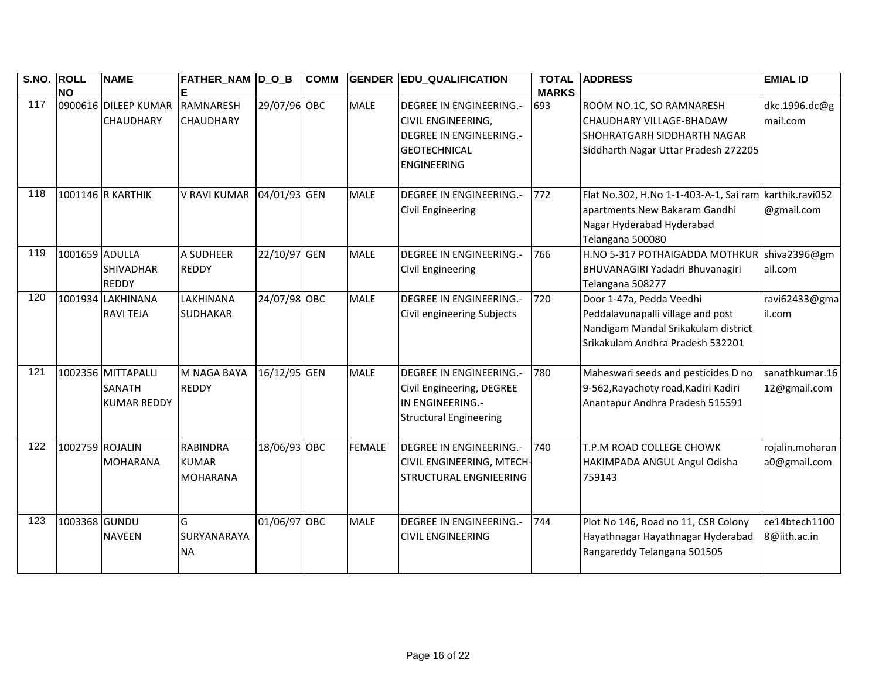| S.NO. ROLL | <b>NO</b>       | <b>NAME</b>                                               | FATHER_NAM  D_O_B                                  |              | <b>COMM</b> | <b>GENDER</b> | <b>EDU_QUALIFICATION</b>                                                                                                            | <b>TOTAL</b><br><b>MARKS</b> | <b>ADDRESS</b>                                                                                                                           | <b>EMIAL ID</b>                 |
|------------|-----------------|-----------------------------------------------------------|----------------------------------------------------|--------------|-------------|---------------|-------------------------------------------------------------------------------------------------------------------------------------|------------------------------|------------------------------------------------------------------------------------------------------------------------------------------|---------------------------------|
| 117        |                 | 0900616 DILEEP KUMAR<br><b>CHAUDHARY</b>                  | RAMNARESH<br><b>CHAUDHARY</b>                      | 29/07/96 OBC |             | <b>MALE</b>   | <b>DEGREE IN ENGINEERING.-</b><br>CIVIL ENGINEERING,<br><b>DEGREE IN ENGINEERING.-</b><br><b>GEOTECHNICAL</b><br><b>ENGINEERING</b> | 693                          | ROOM NO.1C, SO RAMNARESH<br>CHAUDHARY VILLAGE-BHADAW<br>ISHOHRATGARH SIDDHARTH NAGAR<br>Siddharth Nagar Uttar Pradesh 272205             | dkc.1996.dc@g<br>mail.com       |
| 118        |                 | 1001146 R KARTHIK                                         | <b>V RAVI KUMAR</b>                                | 04/01/93 GEN |             | <b>MALE</b>   | DEGREE IN ENGINEERING.-<br><b>Civil Engineering</b>                                                                                 | 772                          | Flat No.302, H.No 1-1-403-A-1, Sai ram<br>apartments New Bakaram Gandhi<br>Nagar Hyderabad Hyderabad<br>Telangana 500080                 | karthik.ravi052<br>@gmail.com   |
| 119        | 1001659 ADULLA  | <b>SHIVADHAR</b><br><b>REDDY</b>                          | A SUDHEER<br><b>REDDY</b>                          | 22/10/97 GEN |             | <b>MALE</b>   | <b>DEGREE IN ENGINEERING.-</b><br><b>Civil Engineering</b>                                                                          | 766                          | H.NO 5-317 POTHAIGADDA MOTHKUR<br>BHUVANAGIRI Yadadri Bhuvanagiri<br>Telangana 508277                                                    | shiva2396@gm<br>ail.com         |
| 120        |                 | 1001934 LAKHINANA<br><b>RAVI TEJA</b>                     | LAKHINANA<br><b>SUDHAKAR</b>                       | 24/07/98 OBC |             | <b>MALE</b>   | <b>DEGREE IN ENGINEERING.-</b><br>Civil engineering Subjects                                                                        | 720                          | Door 1-47a, Pedda Veedhi<br>Peddalavunapalli village and post<br>Nandigam Mandal Srikakulam district<br>Srikakulam Andhra Pradesh 532201 | ravi62433@gma<br>il.com         |
| 121        |                 | 1002356 MITTAPALLI<br><b>SANATH</b><br><b>KUMAR REDDY</b> | M NAGA BAYA<br><b>REDDY</b>                        | 16/12/95 GEN |             | <b>MALE</b>   | <b>DEGREE IN ENGINEERING.-</b><br>Civil Engineering, DEGREE<br>IN ENGINEERING.-<br><b>Structural Engineering</b>                    | 780                          | Maheswari seeds and pesticides D no<br>9-562, Rayachoty road, Kadiri Kadiri<br>Anantapur Andhra Pradesh 515591                           | sanathkumar.16<br>12@gmail.com  |
| 122        | 1002759 ROJALIN | <b>MOHARANA</b>                                           | <b>RABINDRA</b><br><b>KUMAR</b><br><b>MOHARANA</b> | 18/06/93 OBC |             | <b>FEMALE</b> | <b>DEGREE IN ENGINEERING.-</b><br>CIVIL ENGINEERING, MTECH-<br><b>STRUCTURAL ENGNIEERING</b>                                        | 740                          | T.P.M ROAD COLLEGE CHOWK<br>HAKIMPADA ANGUL Angul Odisha<br>759143                                                                       | rojalin.moharan<br>a0@gmail.com |
| 123        | 1003368 GUNDU   | <b>NAVEEN</b>                                             | G<br>SURYANARAYA<br><b>NA</b>                      | 01/06/97 OBC |             | <b>MALE</b>   | <b>DEGREE IN ENGINEERING.-</b><br><b>CIVIL ENGINEERING</b>                                                                          | 744                          | Plot No 146, Road no 11, CSR Colony<br>Hayathnagar Hayathnagar Hyderabad<br>Rangareddy Telangana 501505                                  | ce14btech1100<br>8@iith.ac.in   |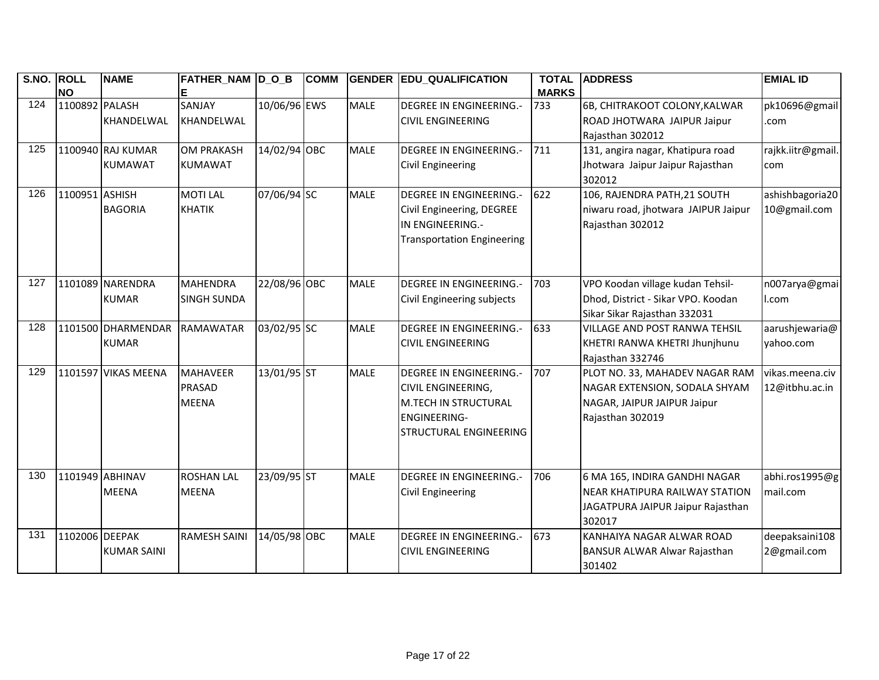| S.NO. | <b>ROLL</b><br><b>NO</b> | <b>NAME</b>                         | FATHER_NAM  D_O_B<br>Е                           |              | <b>COMM</b> | <b>GENDER</b> | <b>EDU_QUALIFICATION</b>                                                                                                                     | <b>TOTAL</b><br><b>MARKS</b> | <b>IADDRESS</b>                                                                                                    | <b>EMIAL ID</b>                   |
|-------|--------------------------|-------------------------------------|--------------------------------------------------|--------------|-------------|---------------|----------------------------------------------------------------------------------------------------------------------------------------------|------------------------------|--------------------------------------------------------------------------------------------------------------------|-----------------------------------|
| 124   | 1100892 PALASH           | KHANDELWAL                          | SANJAY<br>KHANDELWAL                             | 10/06/96 EWS |             | <b>MALE</b>   | <b>DEGREE IN ENGINEERING.-</b><br><b>CIVIL ENGINEERING</b>                                                                                   | 733                          | 6B, CHITRAKOOT COLONY, KALWAR<br>ROAD JHOTWARA JAIPUR Jaipur<br>Rajasthan 302012                                   | pk10696@gmail<br>.com             |
| 125   |                          | 1100940 RAJ KUMAR<br><b>KUMAWAT</b> | <b>OM PRAKASH</b><br><b>KUMAWAT</b>              | 14/02/94 OBC |             | <b>MALE</b>   | <b>DEGREE IN ENGINEERING.-</b><br>Civil Engineering                                                                                          | 711                          | 131, angira nagar, Khatipura road<br>Jhotwara Jaipur Jaipur Rajasthan<br>302012                                    | rajkk.iitr@gmail.<br>com          |
| 126   | 1100951 ASHISH           | <b>BAGORIA</b>                      | <b>MOTI LAL</b><br><b>KHATIK</b>                 | 07/06/94 SC  |             | <b>MALE</b>   | <b>DEGREE IN ENGINEERING.-</b><br>Civil Engineering, DEGREE<br>IN ENGINEERING.-<br><b>Transportation Engineering</b>                         | 622                          | 106, RAJENDRA PATH, 21 SOUTH<br>niwaru road, jhotwara JAIPUR Jaipur<br>Rajasthan 302012                            | ashishbagoria20<br>10@gmail.com   |
| 127   |                          | 1101089 NARENDRA<br><b>KUMAR</b>    | <b>MAHENDRA</b><br><b>SINGH SUNDA</b>            | 22/08/96 OBC |             | <b>MALE</b>   | <b>DEGREE IN ENGINEERING.-</b><br>Civil Engineering subjects                                                                                 | 703                          | VPO Koodan village kudan Tehsil-<br>Dhod, District - Sikar VPO. Koodan<br>Sikar Sikar Rajasthan 332031             | n007arya@gmai<br>l.com            |
| 128   |                          | 1101500 DHARMENDAR<br><b>KUMAR</b>  | <b>RAMAWATAR</b>                                 | 03/02/95 SC  |             | <b>MALE</b>   | <b>DEGREE IN ENGINEERING.-</b><br><b>CIVIL ENGINEERING</b>                                                                                   | 633                          | <b>VILLAGE AND POST RANWA TEHSIL</b><br>KHETRI RANWA KHETRI Jhunjhunu<br>Rajasthan 332746                          | aarushjewaria@<br>yahoo.com       |
| 129   |                          | 1101597 VIKAS MEENA                 | <b>MAHAVEER</b><br><b>PRASAD</b><br><b>MEENA</b> | 13/01/95 ST  |             | <b>MALE</b>   | <b>DEGREE IN ENGINEERING.-</b><br><b>CIVIL ENGINEERING,</b><br><b>M.TECH IN STRUCTURAL</b><br><b>ENGINEERING-</b><br>ISTRUCTURAL ENGINEERING | 707                          | PLOT NO. 33, MAHADEV NAGAR RAM<br>NAGAR EXTENSION, SODALA SHYAM<br>NAGAR, JAIPUR JAIPUR Jaipur<br>Rajasthan 302019 | vikas.meena.civ<br>12@itbhu.ac.in |
| 130   |                          | 1101949 ABHINAV<br><b>MEENA</b>     | <b>ROSHAN LAL</b><br><b>MEENA</b>                | 23/09/95 ST  |             | <b>MALE</b>   | <b>DEGREE IN ENGINEERING.-</b><br><b>Civil Engineering</b>                                                                                   | 706                          | 6 MA 165, INDIRA GANDHI NAGAR<br>NEAR KHATIPURA RAILWAY STATION<br>JAGATPURA JAIPUR Jaipur Rajasthan<br>302017     | abhi.ros1995@g<br>mail.com        |
| 131   | 1102006 DEEPAK           | <b>KUMAR SAINI</b>                  | <b>RAMESH SAINI</b>                              | 14/05/98 OBC |             | <b>MALE</b>   | <b>DEGREE IN ENGINEERING.-</b><br><b>CIVIL ENGINEERING</b>                                                                                   | 673                          | KANHAIYA NAGAR ALWAR ROAD<br>BANSUR ALWAR Alwar Rajasthan<br>301402                                                | deepaksaini108<br>2@gmail.com     |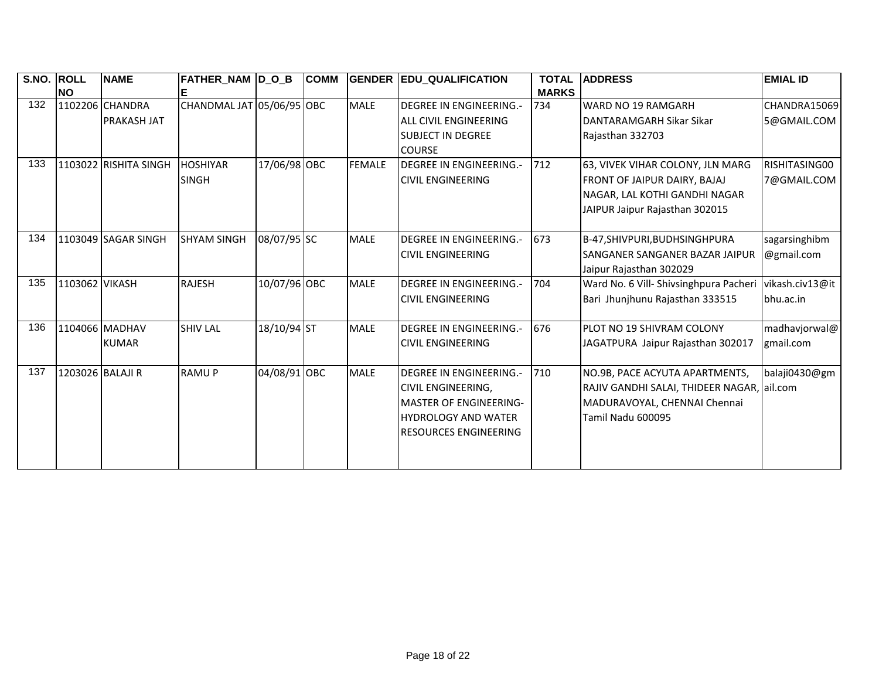| S.NO. | <b>ROLL</b>      | <b>NAME</b>           | <b>FATHER_NAM D_O_B</b>   |              | <b>COMM</b> |               | <b>GENDER EDU QUALIFICATION</b> | <b>TOTAL</b> | <b>ADDRESS</b>                             | <b>EMIAL ID</b> |
|-------|------------------|-----------------------|---------------------------|--------------|-------------|---------------|---------------------------------|--------------|--------------------------------------------|-----------------|
|       | <b>NO</b>        |                       | Е                         |              |             |               |                                 | <b>MARKS</b> |                                            |                 |
| 132   |                  | 1102206 CHANDRA       | CHANDMAL JAT 05/06/95 OBC |              |             | <b>MALE</b>   | <b>DEGREE IN ENGINEERING.-</b>  | 734          | <b>WARD NO 19 RAMGARH</b>                  | CHANDRA15069    |
|       |                  | <b>PRAKASH JAT</b>    |                           |              |             |               | <b>ALL CIVIL ENGINEERING</b>    |              | DANTARAMGARH Sikar Sikar                   | 5@GMAIL.COM     |
|       |                  |                       |                           |              |             |               | <b>SUBJECT IN DEGREE</b>        |              | Rajasthan 332703                           |                 |
|       |                  |                       |                           |              |             |               | <b>COURSE</b>                   |              |                                            |                 |
| 133   |                  | 1103022 RISHITA SINGH | <b>HOSHIYAR</b>           | 17/06/98 OBC |             | <b>FEMALE</b> | <b>DEGREE IN ENGINEERING.-</b>  | 712          | 63, VIVEK VIHAR COLONY, JLN MARG           | RISHITASING00   |
|       |                  |                       | <b>SINGH</b>              |              |             |               | <b>CIVIL ENGINEERING</b>        |              | FRONT OF JAIPUR DAIRY, BAJAJ               | 7@GMAIL.COM     |
|       |                  |                       |                           |              |             |               |                                 |              | NAGAR, LAL KOTHI GANDHI NAGAR              |                 |
|       |                  |                       |                           |              |             |               |                                 |              | JAIPUR Jaipur Rajasthan 302015             |                 |
|       |                  |                       |                           |              |             |               |                                 |              |                                            |                 |
| 134   |                  | 1103049 SAGAR SINGH   | <b>SHYAM SINGH</b>        | 08/07/95 SC  |             | <b>MALE</b>   | <b>DEGREE IN ENGINEERING.-</b>  | 673          | B-47, SHIVPURI, BUDHSINGHPURA              | sagarsinghibm   |
|       |                  |                       |                           |              |             |               | <b>CIVIL ENGINEERING</b>        |              | SANGANER SANGANER BAZAR JAIPUR             | @gmail.com      |
|       |                  |                       |                           |              |             |               |                                 |              | Jaipur Rajasthan 302029                    |                 |
| 135   | 1103062 VIKASH   |                       | <b>RAJESH</b>             | 10/07/96 OBC |             | <b>MALE</b>   | <b>DEGREE IN ENGINEERING.-</b>  | 704          | Ward No. 6 Vill- Shivsinghpura Pacheri     | vikash.civ13@it |
|       |                  |                       |                           |              |             |               | <b>CIVIL ENGINEERING</b>        |              | Bari Jhunjhunu Rajasthan 333515            | bhu.ac.in       |
|       |                  |                       |                           |              |             |               |                                 |              |                                            |                 |
| 136   |                  | 1104066 MADHAV        | <b>SHIV LAL</b>           | 18/10/94 ST  |             | <b>MALE</b>   | <b>DEGREE IN ENGINEERING.-</b>  | 676          | PLOT NO 19 SHIVRAM COLONY                  | madhavjorwal@   |
|       |                  | <b>KUMAR</b>          |                           |              |             |               | <b>CIVIL ENGINEERING</b>        |              | JAGATPURA Jaipur Rajasthan 302017          | gmail.com       |
|       |                  |                       |                           |              |             |               |                                 |              |                                            |                 |
| 137   | 1203026 BALAJI R |                       | <b>RAMUP</b>              | 04/08/91 OBC |             | <b>MALE</b>   | <b>DEGREE IN ENGINEERING.-</b>  | 710          | NO.9B, PACE ACYUTA APARTMENTS,             | balaji0430@gm   |
|       |                  |                       |                           |              |             |               | <b>CIVIL ENGINEERING,</b>       |              | RAJIV GANDHI SALAI, THIDEER NAGAR, ail.com |                 |
|       |                  |                       |                           |              |             |               | <b>MASTER OF ENGINEERING-</b>   |              | MADURAVOYAL, CHENNAI Chennai               |                 |
|       |                  |                       |                           |              |             |               | <b>HYDROLOGY AND WATER</b>      |              | Tamil Nadu 600095                          |                 |
|       |                  |                       |                           |              |             |               | <b>RESOURCES ENGINEERING</b>    |              |                                            |                 |
|       |                  |                       |                           |              |             |               |                                 |              |                                            |                 |
|       |                  |                       |                           |              |             |               |                                 |              |                                            |                 |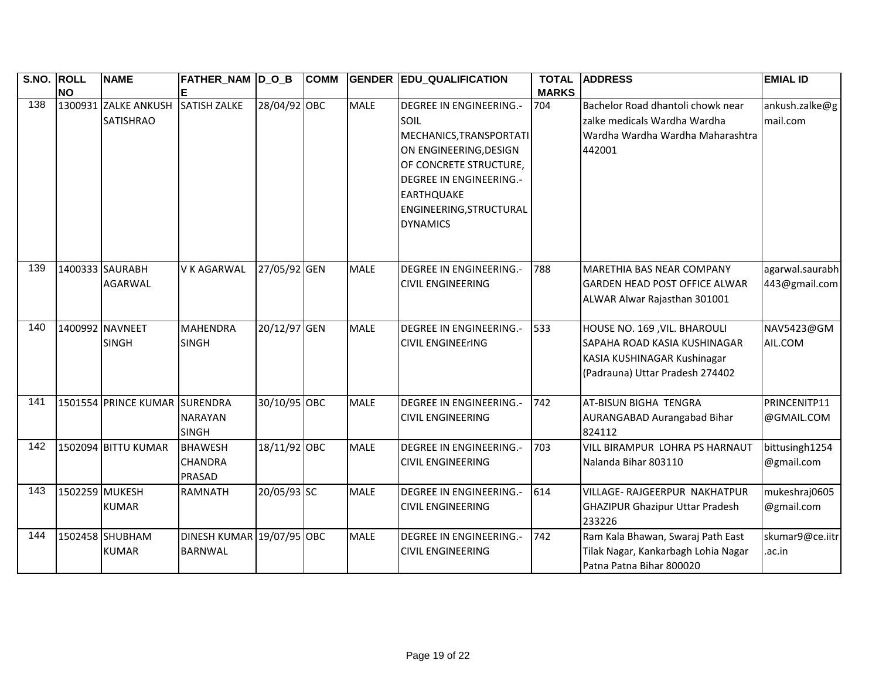| S.NO. ROLL      | <b>NO</b>      | <b>NAME</b>                              | FATHER_NAM  D_O_B                           |              | <b>COMM</b> | <b>GENDER</b> | <b>EDU_QUALIFICATION</b>                                                                                                                                                                                                   | <b>TOTAL</b><br><b>MARKS</b> | <b>ADDRESS</b>                                                                                                                 | <b>EMIAL ID</b>                  |
|-----------------|----------------|------------------------------------------|---------------------------------------------|--------------|-------------|---------------|----------------------------------------------------------------------------------------------------------------------------------------------------------------------------------------------------------------------------|------------------------------|--------------------------------------------------------------------------------------------------------------------------------|----------------------------------|
| $\frac{138}{ }$ |                | 1300931 ZALKE ANKUSH<br><b>SATISHRAO</b> | <b>SATISH ZALKE</b>                         | 28/04/92 OBC |             | <b>MALE</b>   | <b>DEGREE IN ENGINEERING.-</b><br>SOIL<br>MECHANICS, TRANSPORTATI<br>ON ENGINEERING, DESIGN<br>OF CONCRETE STRUCTURE,<br><b>DEGREE IN ENGINEERING.-</b><br><b>EARTHQUAKE</b><br>ENGINEERING, STRUCTURAL<br><b>DYNAMICS</b> | 704                          | Bachelor Road dhantoli chowk near<br>zalke medicals Wardha Wardha<br>Wardha Wardha Wardha Maharashtra<br>442001                | ankush.zalke@g<br>mail.com       |
| 139             |                | 1400333 SAURABH<br><b>AGARWAL</b>        | <b>V K AGARWAL</b>                          | 27/05/92 GEN |             | <b>MALE</b>   | <b>DEGREE IN ENGINEERING.-</b><br><b>CIVIL ENGINEERING</b>                                                                                                                                                                 | 788                          | <b>MARETHIA BAS NEAR COMPANY</b><br><b>GARDEN HEAD POST OFFICE ALWAR</b><br>ALWAR Alwar Rajasthan 301001                       | agarwal.saurabh<br>443@gmail.com |
| 140             |                | 1400992 NAVNEET<br><b>SINGH</b>          | <b>MAHENDRA</b><br><b>SINGH</b>             | 20/12/97 GEN |             | <b>MALE</b>   | <b>DEGREE IN ENGINEERING.-</b><br><b>CIVIL ENGINEErING</b>                                                                                                                                                                 | 533                          | HOUSE NO. 169, VIL. BHAROULI<br>SAPAHA ROAD KASIA KUSHINAGAR<br>KASIA KUSHINAGAR Kushinagar<br>(Padrauna) Uttar Pradesh 274402 | NAV5423@GM<br>AIL.COM            |
| 141             |                | 1501554 PRINCE KUMAR SURENDRA            | <b>NARAYAN</b><br><b>SINGH</b>              | 30/10/95 OBC |             | <b>MALE</b>   | <b>DEGREE IN ENGINEERING.-</b><br><b>CIVIL ENGINEERING</b>                                                                                                                                                                 | 742                          | AT-BISUN BIGHA TENGRA<br>AURANGABAD Aurangabad Bihar<br>824112                                                                 | PRINCENITP11<br>@GMAIL.COM       |
| $\frac{142}{ }$ |                | 1502094 BITTU KUMAR                      | <b>BHAWESH</b><br>CHANDRA<br><b>PRASAD</b>  | 18/11/92 OBC |             | <b>MALE</b>   | <b>DEGREE IN ENGINEERING.-</b><br><b>CIVIL ENGINEERING</b>                                                                                                                                                                 | 703                          | VILL BIRAMPUR LOHRA PS HARNAUT<br>Nalanda Bihar 803110                                                                         | bittusingh1254<br>@gmail.com     |
| 143             | 1502259 MUKESH | <b>KUMAR</b>                             | <b>RAMNATH</b>                              | 20/05/93 SC  |             | <b>MALE</b>   | <b>DEGREE IN ENGINEERING.-</b><br><b>CIVIL ENGINEERING</b>                                                                                                                                                                 | 614                          | VILLAGE- RAJGEERPUR NAKHATPUR<br><b>GHAZIPUR Ghazipur Uttar Pradesh</b><br>233226                                              | mukeshraj0605<br>@gmail.com      |
| 144             |                | 1502458 SHUBHAM<br><b>KUMAR</b>          | DINESH KUMAR 19/07/95 OBC<br><b>BARNWAL</b> |              |             | <b>MALE</b>   | <b>DEGREE IN ENGINEERING.-</b><br><b>CIVIL ENGINEERING</b>                                                                                                                                                                 | 742                          | Ram Kala Bhawan, Swaraj Path East<br>Tilak Nagar, Kankarbagh Lohia Nagar<br>Patna Patna Bihar 800020                           | skumar9@ce.iitr<br>.ac.in        |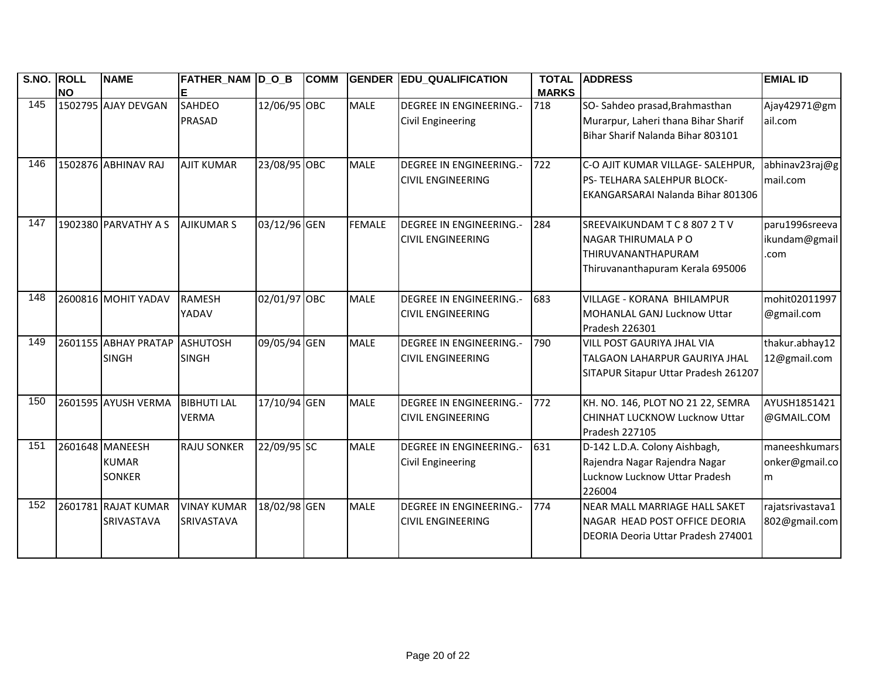| $\overline{\text{S.NO}}$ . | <b>ROLL</b><br><b>NO</b> | <b>NAME</b>                                      | FATHER_NAM D_O_B                   |              | <b>COMM</b> |               | <b>GENDER EDU_QUALIFICATION</b>                            | <b>TOTAL</b><br><b>MARKS</b> | <b>ADDRESS</b>                                                                                                 | <b>EMIAL ID</b>                         |
|----------------------------|--------------------------|--------------------------------------------------|------------------------------------|--------------|-------------|---------------|------------------------------------------------------------|------------------------------|----------------------------------------------------------------------------------------------------------------|-----------------------------------------|
| 145                        |                          | 1502795 AJAY DEVGAN                              | <b>SAHDEO</b><br><b>PRASAD</b>     | 12/06/95 OBC |             | <b>MALE</b>   | <b>DEGREE IN ENGINEERING.-</b><br><b>Civil Engineering</b> | 718                          | SO-Sahdeo prasad, Brahmasthan<br>Murarpur, Laheri thana Bihar Sharif<br>Bihar Sharif Nalanda Bihar 803101      | Ajay42971@gm<br>ail.com                 |
| 146                        |                          | 1502876 ABHINAV RAJ                              | <b>AJIT KUMAR</b>                  | 23/08/95 OBC |             | <b>MALE</b>   | <b>DEGREE IN ENGINEERING.-</b><br><b>CIVIL ENGINEERING</b> | 722                          | C-O AJIT KUMAR VILLAGE- SALEHPUR,<br>PS- TELHARA SALEHPUR BLOCK-<br>EKANGARSARAI Nalanda Bihar 801306          | abhinav23raj@g<br>mail.com              |
| 147                        |                          | 1902380 PARVATHY A S                             | <b>AJIKUMAR S</b>                  | 03/12/96 GEN |             | <b>FEMALE</b> | <b>DEGREE IN ENGINEERING.-</b><br><b>CIVIL ENGINEERING</b> | 284                          | <b>SREEVAIKUNDAMTC88072TV</b><br>NAGAR THIRUMALA P O<br>THIRUVANANTHAPURAM<br>Thiruvananthapuram Kerala 695006 | paru1996sreeva<br>ikundam@gmail<br>.com |
| 148                        |                          | 2600816 MOHIT YADAV                              | <b>RAMESH</b><br>YADAV             | 02/01/97 OBC |             | <b>MALE</b>   | <b>DEGREE IN ENGINEERING.-</b><br><b>CIVIL ENGINEERING</b> | 683                          | <b>VILLAGE - KORANA BHILAMPUR</b><br>MOHANLAL GANJ Lucknow Uttar<br>Pradesh 226301                             | mohit02011997<br>@gmail.com             |
| 149                        |                          | 2601155 ABHAY PRATAP<br><b>SINGH</b>             | ASHUTOSH<br><b>SINGH</b>           | 09/05/94 GEN |             | <b>MALE</b>   | <b>DEGREE IN ENGINEERING.-</b><br><b>CIVIL ENGINEERING</b> | 790                          | <b>VILL POST GAURIYA JHAL VIA</b><br>TALGAON LAHARPUR GAURIYA JHAL<br>SITAPUR Sitapur Uttar Pradesh 261207     | thakur.abhay12<br>12@gmail.com          |
| 150                        |                          | 2601595 AYUSH VERMA                              | <b>BIBHUTI LAL</b><br><b>VERMA</b> | 17/10/94 GEN |             | <b>MALE</b>   | <b>DEGREE IN ENGINEERING.-</b><br><b>CIVIL ENGINEERING</b> | 772                          | KH. NO. 146, PLOT NO 21 22, SEMRA<br>CHINHAT LUCKNOW Lucknow Uttar<br>Pradesh 227105                           | AYUSH1851421<br>@GMAIL.COM              |
| 151                        |                          | 2601648 MANEESH<br><b>KUMAR</b><br><b>SONKER</b> | <b>RAJU SONKER</b>                 | 22/09/95 SC  |             | <b>MALE</b>   | <b>DEGREE IN ENGINEERING.-</b><br><b>Civil Engineering</b> | 631                          | D-142 L.D.A. Colony Aishbagh,<br>Rajendra Nagar Rajendra Nagar<br>Lucknow Lucknow Uttar Pradesh<br>226004      | maneeshkumars<br>onker@gmail.co<br>m    |
| 152                        |                          | 2601781 RAJAT KUMAR<br>SRIVASTAVA                | <b>VINAY KUMAR</b><br>SRIVASTAVA   | 18/02/98 GEN |             | <b>MALE</b>   | <b>DEGREE IN ENGINEERING.-</b><br><b>CIVIL ENGINEERING</b> | 774                          | <b>NEAR MALL MARRIAGE HALL SAKET</b><br>INAGAR HEAD POST OFFICE DEORIA<br>DEORIA Deoria Uttar Pradesh 274001   | rajatsrivastava1<br>802@gmail.com       |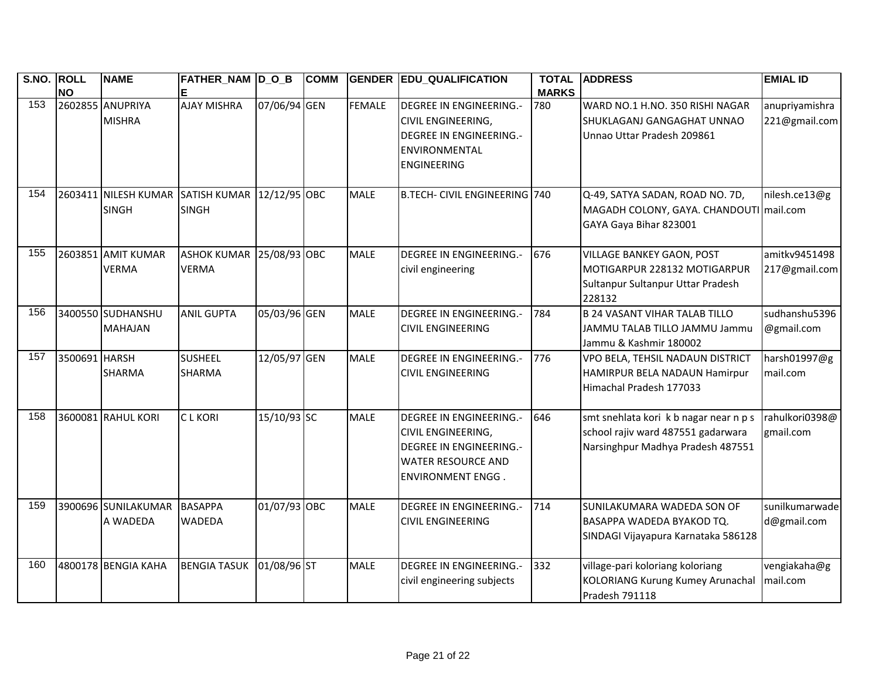| <b>S.NO.</b> | <b>ROLL</b><br><b>NO</b> | <b>NAME</b>                          | <b>FATHER_NAM D_O_B</b><br>E              |              | <b>COMM</b> |               | <b>GENDER EDU_QUALIFICATION</b>                                                                                                                        | <b>TOTAL</b><br><b>MARKS</b> | <b>ADDRESS</b>                                                                                                    | <b>EMIAL ID</b>                 |
|--------------|--------------------------|--------------------------------------|-------------------------------------------|--------------|-------------|---------------|--------------------------------------------------------------------------------------------------------------------------------------------------------|------------------------------|-------------------------------------------------------------------------------------------------------------------|---------------------------------|
| 153          |                          | 2602855 ANUPRIYA<br><b>MISHRA</b>    | <b>AJAY MISHRA</b>                        | 07/06/94 GEN |             | <b>FEMALE</b> | <b>DEGREE IN ENGINEERING.-</b><br><b>CIVIL ENGINEERING,</b><br><b>DEGREE IN ENGINEERING.-</b><br><b>ENVIRONMENTAL</b><br><b>ENGINEERING</b>            | 780                          | WARD NO.1 H.NO. 350 RISHI NAGAR<br>SHUKLAGANJ GANGAGHAT UNNAO<br>Unnao Uttar Pradesh 209861                       | anupriyamishra<br>221@gmail.com |
| 154          |                          | 2603411 NILESH KUMAR<br><b>SINGH</b> | SATISH KUMAR 12/12/95 OBC<br><b>SINGH</b> |              |             | <b>MALE</b>   | <b>B.TECH- CIVIL ENGINEERING 740</b>                                                                                                                   |                              | Q-49, SATYA SADAN, ROAD NO. 7D,<br>MAGADH COLONY, GAYA. CHANDOUTI mail.com<br>GAYA Gaya Bihar 823001              | nilesh.ce13@g                   |
| 155          |                          | 2603851 AMIT KUMAR<br><b>VERMA</b>   | ASHOK KUMAR 25/08/93 OBC<br><b>VERMA</b>  |              |             | <b>MALE</b>   | <b>DEGREE IN ENGINEERING.-</b><br>civil engineering                                                                                                    | 676                          | <b>VILLAGE BANKEY GAON, POST</b><br>MOTIGARPUR 228132 MOTIGARPUR<br>Sultanpur Sultanpur Uttar Pradesh<br>228132   | amitkv9451498<br>217@gmail.com  |
| 156          |                          | 3400550 SUDHANSHU<br><b>MAHAJAN</b>  | <b>ANIL GUPTA</b>                         | 05/03/96 GEN |             | <b>MALE</b>   | <b>DEGREE IN ENGINEERING.-</b><br><b>CIVIL ENGINEERING</b>                                                                                             | 784                          | <b>B 24 VASANT VIHAR TALAB TILLO</b><br>JAMMU TALAB TILLO JAMMU Jammu<br>Jammu & Kashmir 180002                   | sudhanshu5396<br>@gmail.com     |
| 157          | 3500691 HARSH            | <b>SHARMA</b>                        | <b>SUSHEEL</b><br><b>SHARMA</b>           | 12/05/97 GEN |             | <b>MALE</b>   | <b>DEGREE IN ENGINEERING.-</b><br><b>CIVIL ENGINEERING</b>                                                                                             | 776                          | VPO BELA, TEHSIL NADAUN DISTRICT<br>HAMIRPUR BELA NADAUN Hamirpur<br>Himachal Pradesh 177033                      | harsh01997@g<br>mail.com        |
| 158          |                          | 3600081 RAHUL KORI                   | <b>CLKORI</b>                             | 15/10/93 SC  |             | <b>MALE</b>   | <b>DEGREE IN ENGINEERING.-</b><br><b>CIVIL ENGINEERING,</b><br><b>DEGREE IN ENGINEERING.-</b><br><b>WATER RESOURCE AND</b><br><b>ENVIRONMENT ENGG.</b> | 646                          | smt snehlata kori k b nagar near n p s<br>school rajiv ward 487551 gadarwara<br>Narsinghpur Madhya Pradesh 487551 | rahulkori0398@<br>gmail.com     |
| 159          |                          | 3900696 SUNILAKUMAR<br>A WADEDA      | <b>BASAPPA</b><br><b>WADEDA</b>           | 01/07/93 OBC |             | <b>MALE</b>   | <b>DEGREE IN ENGINEERING.-</b><br><b>CIVIL ENGINEERING</b>                                                                                             | 714                          | SUNILAKUMARA WADEDA SON OF<br>BASAPPA WADEDA BYAKOD TQ.<br>SINDAGI Vijayapura Karnataka 586128                    | sunilkumarwade<br>d@gmail.com   |
| 160          |                          | 4800178 BENGIA KAHA                  | <b>BENGIA TASUK</b>                       | 01/08/96 ST  |             | <b>MALE</b>   | <b>DEGREE IN ENGINEERING.-</b><br>civil engineering subjects                                                                                           | 332                          | village-pari koloriang koloriang<br><b>KOLORIANG Kurung Kumey Arunachal</b><br>Pradesh 791118                     | vengiakaha@g<br>mail.com        |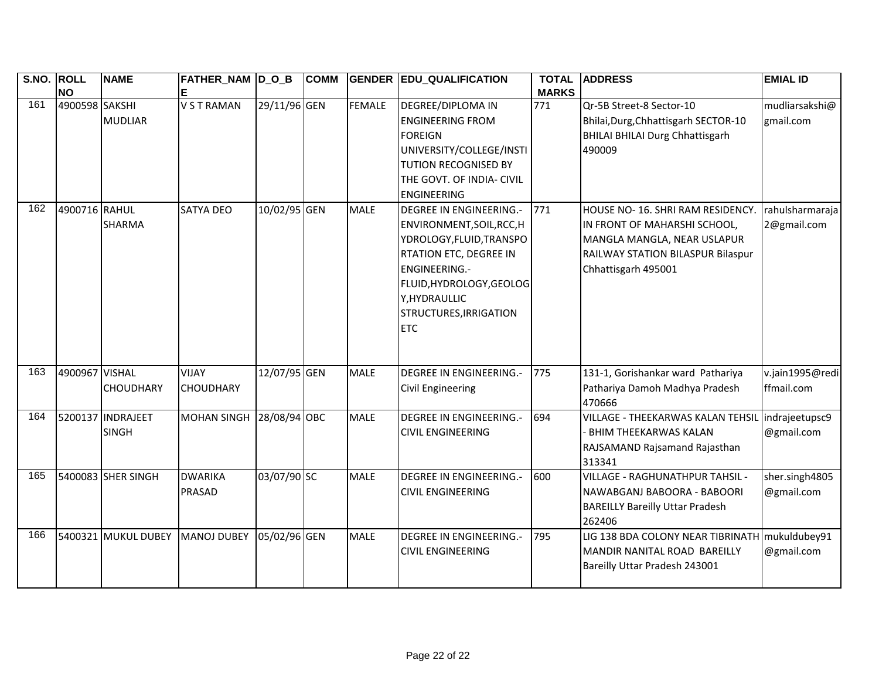| S.NO. ROLL | <b>NO</b>      | <b>NAME</b>                       | FATHER_NAM D_O_B<br>E            |              | <b>COMM</b> |               | <b>GENDER EDU_QUALIFICATION</b>                                                                                                                                                                                                       | <b>TOTAL</b><br><b>MARKS</b> | <b>ADDRESS</b>                                                                                                                                              | <b>EMIAL ID</b>                |
|------------|----------------|-----------------------------------|----------------------------------|--------------|-------------|---------------|---------------------------------------------------------------------------------------------------------------------------------------------------------------------------------------------------------------------------------------|------------------------------|-------------------------------------------------------------------------------------------------------------------------------------------------------------|--------------------------------|
| 161        | 4900598 SAKSHI | <b>MUDLIAR</b>                    | <b>V S T RAMAN</b>               | 29/11/96 GEN |             | <b>FEMALE</b> | <b>DEGREE/DIPLOMA IN</b><br><b>ENGINEERING FROM</b><br><b>FOREIGN</b><br>UNIVERSITY/COLLEGE/INSTI<br>TUTION RECOGNISED BY<br>THE GOVT. OF INDIA- CIVIL<br><b>ENGINEERING</b>                                                          | 771                          | Qr-5B Street-8 Sector-10<br>Bhilai, Durg, Chhattisgarh SECTOR-10<br><b>BHILAI BHILAI Durg Chhattisgarh</b><br>490009                                        | mudliarsakshi@<br>gmail.com    |
| 162        | 4900716 RAHUL  | <b>SHARMA</b>                     | <b>SATYA DEO</b>                 | 10/02/95 GEN |             | <b>MALE</b>   | <b>DEGREE IN ENGINEERING.-</b><br>ENVIRONMENT, SOIL, RCC, H<br>YDROLOGY, FLUID, TRANSPO<br><b>RTATION ETC, DEGREE IN</b><br><b>ENGINEERING.-</b><br>FLUID, HYDROLOGY, GEOLOG<br>Y, HYDRAULLIC<br>STRUCTURES, IRRIGATION<br><b>ETC</b> | 771                          | HOUSE NO-16. SHRI RAM RESIDENCY.<br>IN FRONT OF MAHARSHI SCHOOL,<br>MANGLA MANGLA, NEAR USLAPUR<br>RAILWAY STATION BILASPUR Bilaspur<br>Chhattisgarh 495001 | rahulsharmaraja<br>2@gmail.com |
| 163        | 4900967 VISHAL | <b>CHOUDHARY</b>                  | <b>VIJAY</b><br><b>CHOUDHARY</b> | 12/07/95 GEN |             | <b>MALE</b>   | <b>DEGREE IN ENGINEERING.-</b><br><b>Civil Engineering</b>                                                                                                                                                                            | 775                          | 131-1, Gorishankar ward Pathariya<br>Pathariya Damoh Madhya Pradesh<br>470666                                                                               | v.jain1995@redi<br>ffmail.com  |
| 164        |                | 5200137 INDRAJEET<br><b>SINGH</b> | <b>MOHAN SINGH</b>               | 28/08/94 OBC |             | <b>MALE</b>   | <b>DEGREE IN ENGINEERING.-</b><br><b>CIVIL ENGINEERING</b>                                                                                                                                                                            | 694                          | VILLAGE - THEEKARWAS KALAN TEHSIL<br>- BHIM THEEKARWAS KALAN<br>RAJSAMAND Rajsamand Rajasthan<br>313341                                                     | indrajeetupsc9<br>@gmail.com   |
| 165        |                | 5400083 SHER SINGH                | <b>DWARIKA</b><br><b>PRASAD</b>  | 03/07/90 SC  |             | <b>MALE</b>   | <b>DEGREE IN ENGINEERING.-</b><br><b>CIVIL ENGINEERING</b>                                                                                                                                                                            | 600                          | VILLAGE - RAGHUNATHPUR TAHSIL -<br>NAWABGANJ BABOORA - BABOORI<br><b>BAREILLY Bareilly Uttar Pradesh</b><br>262406                                          | sher.singh4805<br>@gmail.com   |
| 166        |                | 5400321 MUKUL DUBEY               | <b>MANOJ DUBEY</b>               | 05/02/96 GEN |             | <b>MALE</b>   | <b>DEGREE IN ENGINEERING.-</b><br><b>CIVIL ENGINEERING</b>                                                                                                                                                                            | 795                          | LIG 138 BDA COLONY NEAR TIBRINATH<br>MANDIR NANITAL ROAD BAREILLY<br>Bareilly Uttar Pradesh 243001                                                          | mukuldubey91<br>@gmail.com     |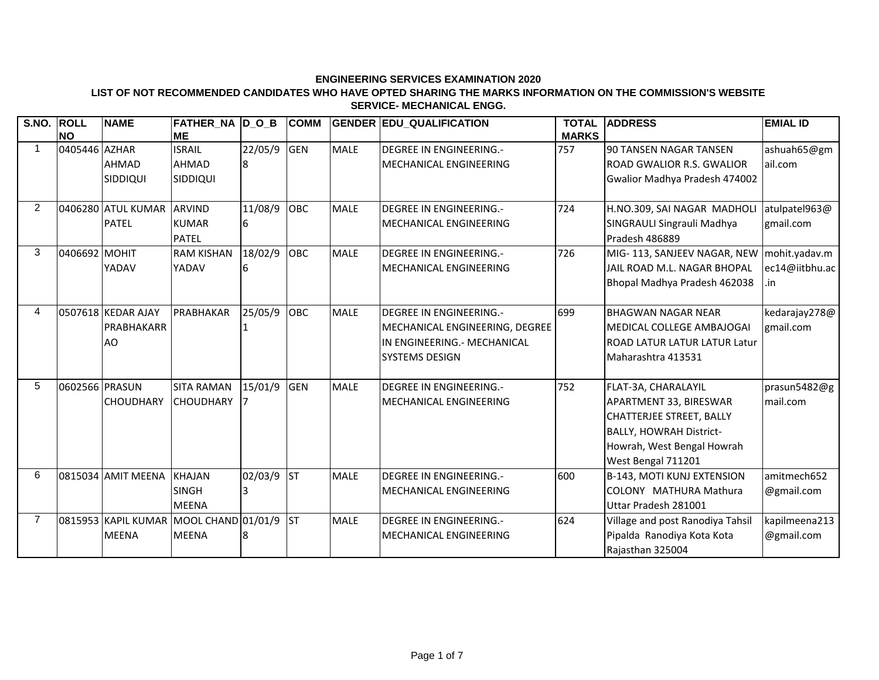#### **LIST OF NOT RECOMMENDED CANDIDATES WHO HAVE OPTED SHARING THE MARKS INFORMATION ON THE COMMISSION'S WEBSITE SERVICE- MECHANICAL ENGG.**

|                | S.NO. ROLL     | <b>NAME</b>               | FATHER_NA  D_O_B                       |         | <b>COMM</b> |             | <b>GENDER EDU QUALIFICATION</b> | <b>TOTAL</b> | <b>ADDRESS</b>                              | <b>EMIAL ID</b> |
|----------------|----------------|---------------------------|----------------------------------------|---------|-------------|-------------|---------------------------------|--------------|---------------------------------------------|-----------------|
|                | <b>NO</b>      |                           | ME                                     |         |             |             |                                 | <b>MARKS</b> |                                             |                 |
|                | 0405446 AZHAR  |                           | <b>ISRAIL</b>                          | 22/05/9 | <b>GEN</b>  | <b>MALE</b> | <b>DEGREE IN ENGINEERING.-</b>  | 757          | 90 TANSEN NAGAR TANSEN                      | ashuah65@gm     |
|                |                | <b>AHMAD</b>              | AHMAD                                  | 18      |             |             | MECHANICAL ENGINEERING          |              | <b>ROAD GWALIOR R.S. GWALIOR</b>            | ail.com         |
|                |                | <b>SIDDIQUI</b>           | SIDDIQUI                               |         |             |             |                                 |              | Gwalior Madhya Pradesh 474002               |                 |
| $\overline{2}$ |                | 0406280 ATUL KUMAR ARVIND |                                        | 11/08/9 | OBC         | <b>MALE</b> | <b>DEGREE IN ENGINEERING.-</b>  | 724          | H.NO.309, SAI NAGAR MADHOLI                 | atulpatel963@   |
|                |                | <b>PATEL</b>              | <b>KUMAR</b>                           | 16      |             |             | MECHANICAL ENGINEERING          |              | SINGRAULI Singrauli Madhya                  | gmail.com       |
|                |                |                           | <b>PATEL</b>                           |         |             |             |                                 |              | Pradesh 486889                              |                 |
| 3              | 0406692 MOHIT  |                           | <b>RAM KISHAN</b>                      | 18/02/9 | OBC         | <b>MALE</b> | <b>DEGREE IN ENGINEERING.-</b>  | 726          | MIG-113, SANJEEV NAGAR, NEW   mohit.yadav.m |                 |
|                |                | YADAV                     | YADAV                                  | 6       |             |             | MECHANICAL ENGINEERING          |              | JAIL ROAD M.L. NAGAR BHOPAL                 | ec14@iitbhu.ac  |
|                |                |                           |                                        |         |             |             |                                 |              | Bhopal Madhya Pradesh 462038                | .in             |
|                |                |                           |                                        |         |             |             |                                 |              |                                             |                 |
| 4              |                | 0507618 KEDAR AJAY        | PRABHAKAR                              | 25/05/9 | OBC         | <b>MALE</b> | <b>DEGREE IN ENGINEERING.-</b>  | 699          | <b>BHAGWAN NAGAR NEAR</b>                   | kedarajay278@   |
|                |                | PRABHAKARR                |                                        |         |             |             | MECHANICAL ENGINEERING, DEGREE  |              | MEDICAL COLLEGE AMBAJOGAI                   | gmail.com       |
|                |                | AO                        |                                        |         |             |             | IN ENGINEERING. - MECHANICAL    |              | <b>IROAD LATUR LATUR LATUR Latur</b>        |                 |
|                |                |                           |                                        |         |             |             | <b>SYSTEMS DESIGN</b>           |              | Maharashtra 413531                          |                 |
| 5              | 0602566 PRASUN |                           | <b>SITA RAMAN</b>                      | 15/01/9 | <b>GEN</b>  | <b>MALE</b> | <b>DEGREE IN ENGINEERING.-</b>  | 752          | FLAT-3A, CHARALAYIL                         | prasun5482@g    |
|                |                | <b>CHOUDHARY</b>          | <b>CHOUDHARY</b>                       |         |             |             | <b>MECHANICAL ENGINEERING</b>   |              | APARTMENT 33, BIRESWAR                      | mail.com        |
|                |                |                           |                                        |         |             |             |                                 |              | CHATTERJEE STREET, BALLY                    |                 |
|                |                |                           |                                        |         |             |             |                                 |              | <b>BALLY, HOWRAH District-</b>              |                 |
|                |                |                           |                                        |         |             |             |                                 |              | Howrah, West Bengal Howrah                  |                 |
|                |                |                           |                                        |         |             |             |                                 |              | West Bengal 711201                          |                 |
| 6              |                | 0815034 AMIT MEENA        | <b>KHAJAN</b>                          | 02/03/9 | <b>ST</b>   | <b>MALE</b> | <b>DEGREE IN ENGINEERING.-</b>  | 600          | <b>B-143, MOTI KUNJ EXTENSION</b>           | amitmech652     |
|                |                |                           | <b>SINGH</b>                           | 3       |             |             | <b>MECHANICAL ENGINEERING</b>   |              | ICOLONY MATHURA Mathura                     | @gmail.com      |
|                |                |                           | <b>MEENA</b>                           |         |             |             |                                 |              | Uttar Pradesh 281001                        |                 |
| 7              |                |                           | 0815953 KAPIL KUMAR MOOL CHAND 01/01/9 |         | <b>ST</b>   | <b>MALE</b> | <b>DEGREE IN ENGINEERING.-</b>  | 624          | Village and post Ranodiya Tahsil            | kapilmeena213   |
|                |                | <b>MEENA</b>              | <b>MEENA</b>                           |         |             |             | <b>MECHANICAL ENGINEERING</b>   |              | Pipalda Ranodiya Kota Kota                  | @gmail.com      |
|                |                |                           |                                        |         |             |             |                                 |              | Rajasthan 325004                            |                 |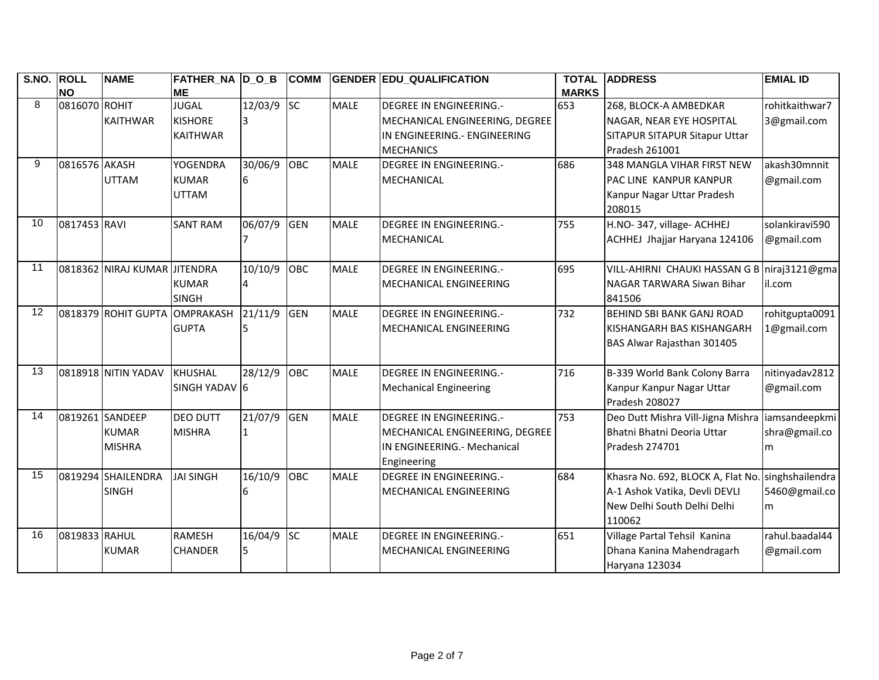| S.NO. | <b>ROLL</b>   | <b>NAME</b>                   | FATHER_NA  D_O_B |         | <b>COMM</b> |             | <b>GENDER EDU_QUALIFICATION</b> | <b>TOTAL</b> | <b>ADDRESS</b>                                   | <b>EMIAL ID</b> |
|-------|---------------|-------------------------------|------------------|---------|-------------|-------------|---------------------------------|--------------|--------------------------------------------------|-----------------|
|       | <b>NO</b>     |                               | ME               |         |             |             |                                 | <b>MARKS</b> |                                                  |                 |
| 8     | 0816070 ROHIT |                               | <b>JUGAL</b>     | 12/03/9 | <b>SC</b>   | <b>MALE</b> | <b>DEGREE IN ENGINEERING.-</b>  | 653          | 268, BLOCK-A AMBEDKAR                            | rohitkaithwar7  |
|       |               | <b>KAITHWAR</b>               | <b>KISHORE</b>   |         |             |             | MECHANICAL ENGINEERING, DEGREE  |              | NAGAR, NEAR EYE HOSPITAL                         | 3@gmail.com     |
|       |               |                               | <b>KAITHWAR</b>  |         |             |             | IN ENGINEERING.- ENGINEERING    |              | <b>SITAPUR SITAPUR Sitapur Uttar</b>             |                 |
|       |               |                               |                  |         |             |             | <b>MECHANICS</b>                |              | Pradesh 261001                                   |                 |
| 9     | 0816576 AKASH |                               | <b>YOGENDRA</b>  | 30/06/9 | OBC         | <b>MALE</b> | <b>DEGREE IN ENGINEERING.-</b>  | 686          | 348 MANGLA VIHAR FIRST NEW                       | akash30mnnit    |
|       |               | <b>UTTAM</b>                  | <b>KUMAR</b>     | 6       |             |             | MECHANICAL                      |              | PAC LINE KANPUR KANPUR                           | @gmail.com      |
|       |               |                               | <b>UTTAM</b>     |         |             |             |                                 |              | Kanpur Nagar Uttar Pradesh                       |                 |
|       |               |                               |                  |         |             |             |                                 |              | 208015                                           |                 |
| 10    | 0817453 RAVI  |                               | <b>SANT RAM</b>  | 06/07/9 | <b>GEN</b>  | <b>MALE</b> | <b>DEGREE IN ENGINEERING.-</b>  | 755          | H.NO-347, village- ACHHEJ                        | solankiravi590  |
|       |               |                               |                  |         |             |             | MECHANICAL                      |              | ACHHEJ Jhajjar Haryana 124106                    | @gmail.com      |
|       |               |                               |                  |         |             |             |                                 |              |                                                  |                 |
| 11    |               | 0818362 NIRAJ KUMAR JITENDRA  |                  | 10/10/9 | OBC         | <b>MALE</b> | <b>DEGREE IN ENGINEERING.-</b>  | 695          | VILL-AHIRNI CHAUKI HASSAN G B niraj3121@gma      |                 |
|       |               |                               | <b>KUMAR</b>     | 4       |             |             | MECHANICAL ENGINEERING          |              | NAGAR TARWARA Siwan Bihar                        | il.com          |
|       |               |                               | <b>SINGH</b>     |         |             |             |                                 |              | 841506                                           |                 |
| 12    |               | 0818379 ROHIT GUPTA OMPRAKASH |                  | 21/11/9 | <b>GEN</b>  | <b>MALE</b> | <b>DEGREE IN ENGINEERING.-</b>  | 732          | <b>BEHIND SBI BANK GANJ ROAD</b>                 | rohitgupta0091  |
|       |               |                               | <b>GUPTA</b>     |         |             |             | MECHANICAL ENGINEERING          |              | KISHANGARH BAS KISHANGARH                        | 1@gmail.com     |
|       |               |                               |                  |         |             |             |                                 |              | BAS Alwar Rajasthan 301405                       |                 |
|       |               |                               |                  |         |             |             |                                 |              |                                                  |                 |
| 13    |               | 0818918 NITIN YADAV           | KHUSHAL          | 28/12/9 | OBC         | <b>MALE</b> | <b>DEGREE IN ENGINEERING.-</b>  | 716          | B-339 World Bank Colony Barra                    | nitinyadav2812  |
|       |               |                               | SINGH YADAV 6    |         |             |             | <b>Mechanical Engineering</b>   |              | Kanpur Kanpur Nagar Uttar                        | @gmail.com      |
|       |               |                               |                  |         |             |             |                                 |              | Pradesh 208027                                   |                 |
| 14    |               | 0819261 SANDEEP               | <b>DEO DUTT</b>  | 21/07/9 | <b>GEN</b>  | <b>MALE</b> | <b>DEGREE IN ENGINEERING.-</b>  | 753          | Deo Dutt Mishra Vill-Jigna Mishra liamsandeepkmi |                 |
|       |               | <b>KUMAR</b>                  | <b>MISHRA</b>    |         |             |             | MECHANICAL ENGINEERING, DEGREE  |              | Bhatni Bhatni Deoria Uttar                       | shra@gmail.co   |
|       |               | <b>MISHRA</b>                 |                  |         |             |             | IIN ENGINEERING.- Mechanical    |              | Pradesh 274701                                   | m               |
|       |               |                               |                  |         |             |             | Engineering                     |              |                                                  |                 |
| 15    |               | 0819294 SHAILENDRA            | <b>JAI SINGH</b> | 16/10/9 | OBC         | <b>MALE</b> | DEGREE IN ENGINEERING.-         | 684          | Khasra No. 692, BLOCK A, Flat No.                | singhshailendra |
|       |               | <b>SINGH</b>                  |                  |         |             |             | MECHANICAL ENGINEERING          |              | A-1 Ashok Vatika, Devli DEVLI                    | 5460@gmail.co   |
|       |               |                               |                  |         |             |             |                                 |              | New Delhi South Delhi Delhi                      | m               |
|       |               |                               |                  |         |             |             |                                 |              | 110062                                           |                 |
| 16    | 0819833 RAHUL |                               | <b>RAMESH</b>    | 16/04/9 | <b>SC</b>   | <b>MALE</b> | <b>DEGREE IN ENGINEERING.-</b>  | 651          | Village Partal Tehsil Kanina                     | rahul.baadal44  |
|       |               | <b>KUMAR</b>                  | <b>CHANDER</b>   | 5       |             |             | MECHANICAL ENGINEERING          |              | Dhana Kanina Mahendragarh                        | @gmail.com      |
|       |               |                               |                  |         |             |             |                                 |              | Haryana 123034                                   |                 |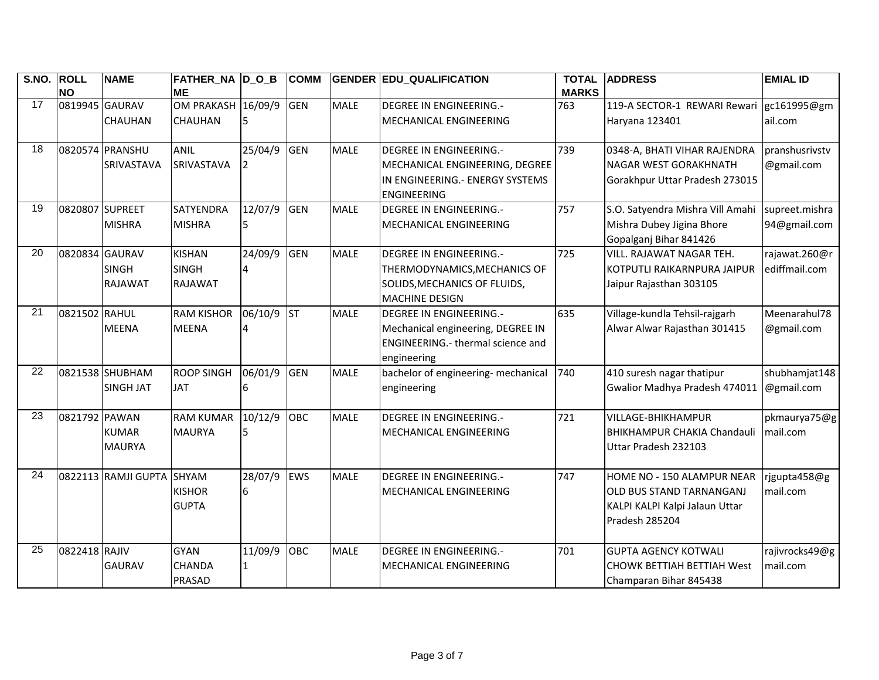| S.NO.           | <b>ROLL</b><br><b>NO</b> | <b>NAME</b>                              | <b>FATHER_NA D_O_B</b><br><b>ME</b>             |              | <b>COMM</b> |             | <b>GENDER EDU QUALIFICATION</b>                                                                                                | <b>TOTAL</b><br><b>MARKS</b> | <b>ADDRESS</b>                                                                                             | <b>EMIAL ID</b>                |
|-----------------|--------------------------|------------------------------------------|-------------------------------------------------|--------------|-------------|-------------|--------------------------------------------------------------------------------------------------------------------------------|------------------------------|------------------------------------------------------------------------------------------------------------|--------------------------------|
| 17              | 0819945 GAURAV           | CHAUHAN                                  | OM PRAKASH 16/09/9<br><b>CHAUHAN</b>            |              | <b>GEN</b>  | <b>MALE</b> | <b>DEGREE IN ENGINEERING.-</b><br>MECHANICAL ENGINEERING                                                                       | 763                          | 119-A SECTOR-1 REWARI Rewari gc161995@gm<br>Haryana 123401                                                 | ail.com                        |
| 18              |                          | 0820574 PRANSHU<br>SRIVASTAVA            | <b>ANIL</b><br>SRIVASTAVA                       | 25/04/9      | <b>GEN</b>  | <b>MALE</b> | <b>DEGREE IN ENGINEERING.-</b><br>MECHANICAL ENGINEERING, DEGREE<br>IN ENGINEERING. - ENERGY SYSTEMS<br><b>ENGINEERING</b>     | 739                          | 0348-A, BHATI VIHAR RAJENDRA<br><b>NAGAR WEST GORAKHNATH</b><br>Gorakhpur Uttar Pradesh 273015             | pranshusrivstv<br>@gmail.com   |
| 19              | 0820807 SUPREET          | <b>MISHRA</b>                            | <b>SATYENDRA</b><br><b>MISHRA</b>               | 12/07/9<br>5 | <b>GEN</b>  | <b>MALE</b> | <b>DEGREE IN ENGINEERING.-</b><br>MECHANICAL ENGINEERING                                                                       | 757                          | S.O. Satyendra Mishra Vill Amahi<br>Mishra Dubey Jigina Bhore<br>Gopalganj Bihar 841426                    | supreet.mishra<br>94@gmail.com |
| 20              | 0820834                  | <b>GAURAV</b><br><b>SINGH</b><br>RAJAWAT | <b>KISHAN</b><br><b>SINGH</b><br><b>RAJAWAT</b> | 24/09/9<br>4 | <b>GEN</b>  | <b>MALE</b> | <b>DEGREE IN ENGINEERING.-</b><br>THERMODYNAMICS, MECHANICS OF<br>SOLIDS, MECHANICS OF FLUIDS,<br><b>MACHINE DESIGN</b>        | 725                          | VILL. RAJAWAT NAGAR TEH.<br>KOTPUTLI RAIKARNPURA JAIPUR<br>Jaipur Rajasthan 303105                         | rajawat.260@r<br>ediffmail.com |
| 21              | 0821502 RAHUL            | <b>MEENA</b>                             | <b>RAM KISHOR</b><br><b>MEENA</b>               | 06/10/9      | <b>ST</b>   | <b>MALE</b> | <b>DEGREE IN ENGINEERING.-</b><br>Mechanical engineering, DEGREE IN<br><b>ENGINEERING.- thermal science and</b><br>engineering | 635                          | Village-kundla Tehsil-rajgarh<br>Alwar Alwar Rajasthan 301415                                              | Meenarahul78<br>@gmail.com     |
| 22              |                          | 0821538 SHUBHAM<br><b>SINGH JAT</b>      | <b>ROOP SINGH</b><br><b>JAT</b>                 | 06/01/9<br>6 | <b>GEN</b>  | <b>MALE</b> | bachelor of engineering- mechanical<br>engineering                                                                             | 740                          | 410 suresh nagar thatipur<br>Gwalior Madhya Pradesh 474011                                                 | shubhamjat148<br>@gmail.com    |
| 23              | 0821792 PAWAN            | <b>KUMAR</b><br><b>MAURYA</b>            | <b>RAM KUMAR</b><br><b>MAURYA</b>               | 10/12/9<br>5 | <b>OBC</b>  | <b>MALE</b> | <b>DEGREE IN ENGINEERING.-</b><br>MECHANICAL ENGINEERING                                                                       | 721                          | <b>VILLAGE-BHIKHAMPUR</b><br><b>BHIKHAMPUR CHAKIA Chandauli</b><br>Uttar Pradesh 232103                    | pkmaurya75@g<br>mail.com       |
| $\overline{24}$ |                          | 0822113 RAMJI GUPTA                      | <b>SHYAM</b><br><b>KISHOR</b><br><b>GUPTA</b>   | 28/07/9<br>6 | <b>EWS</b>  | <b>MALE</b> | <b>DEGREE IN ENGINEERING.-</b><br>MECHANICAL ENGINEERING                                                                       | 747                          | HOME NO - 150 ALAMPUR NEAR<br>OLD BUS STAND TARNANGANJ<br>KALPI KALPI Kalpi Jalaun Uttar<br>Pradesh 285204 | rjgupta458@g<br>mail.com       |
| 25              | 0822418 RAJIV            | <b>GAURAV</b>                            | <b>GYAN</b><br><b>CHANDA</b><br><b>PRASAD</b>   | 11/09/9<br>1 | OBC         | <b>MALE</b> | <b>DEGREE IN ENGINEERING.-</b><br>MECHANICAL ENGINEERING                                                                       | 701                          | <b>GUPTA AGENCY KOTWALI</b><br><b>CHOWK BETTIAH BETTIAH West</b><br>Champaran Bihar 845438                 | rajivrocks49@g<br>mail.com     |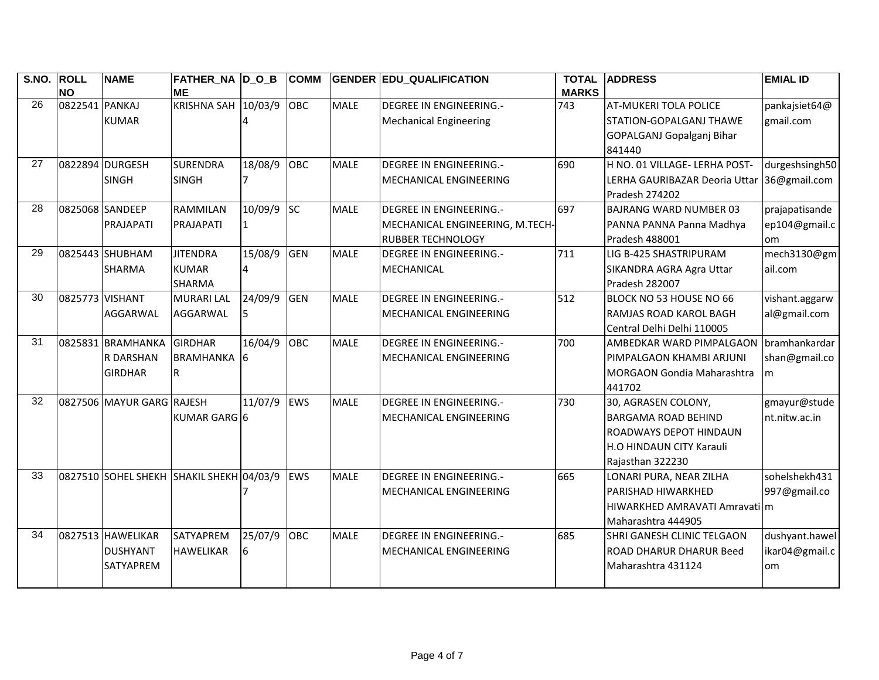| S.NO. | <b>ROLL</b>     | <b>NAME</b>               | FATHER_NA D_O_B                          |         | <b>COMM</b> |             | <b>GENDER EDU_QUALIFICATION</b> | <b>TOTAL</b> | <b>ADDRESS</b>                    | <b>EMIAL ID</b> |
|-------|-----------------|---------------------------|------------------------------------------|---------|-------------|-------------|---------------------------------|--------------|-----------------------------------|-----------------|
| 26    | <b>NO</b>       |                           | <b>ME</b><br>KRISHNA SAH 10/03/9         |         |             |             |                                 | <b>MARKS</b> |                                   |                 |
|       | 0822541 PANKAJ  |                           |                                          |         | OBC         | <b>MALE</b> | DEGREE IN ENGINEERING.-         | 743          | <b>AT-MUKERI TOLA POLICE</b>      | pankajsiet64@   |
|       |                 | <b>KUMAR</b>              |                                          |         |             |             | <b>Mechanical Engineering</b>   |              | STATION-GOPALGANJ THAWE           | gmail.com       |
|       |                 |                           |                                          |         |             |             |                                 |              | GOPALGANJ Gopalganj Bihar         |                 |
|       |                 |                           |                                          |         |             |             |                                 |              | 841440                            |                 |
| 27    |                 | 0822894 DURGESH           | <b>SURENDRA</b>                          | 18/08/9 | OBC         | <b>MALE</b> | <b>DEGREE IN ENGINEERING.-</b>  | 690          | H NO. 01 VILLAGE- LERHA POST-     | durgeshsingh50  |
|       |                 | <b>SINGH</b>              | <b>SINGH</b>                             |         |             |             | MECHANICAL ENGINEERING          |              | LERHA GAURIBAZAR Deoria Uttar     | 36@gmail.com    |
|       |                 |                           |                                          |         |             |             |                                 |              | Pradesh 274202                    |                 |
| 28    |                 | 0825068 SANDEEP           | <b>RAMMILAN</b>                          | 10/09/9 | <b>SC</b>   | <b>MALE</b> | <b>DEGREE IN ENGINEERING.-</b>  | 697          | <b>BAJRANG WARD NUMBER 03</b>     | prajapatisande  |
|       |                 | PRAJAPATI                 | PRAJAPATI                                | 1       |             |             | MECHANICAL ENGINEERING, M.TECH- |              | PANNA PANNA Panna Madhya          | ep104@gmail.c   |
|       |                 |                           |                                          |         |             |             | <b>RUBBER TECHNOLOGY</b>        |              | Pradesh 488001                    | lom             |
| 29    |                 | 0825443 SHUBHAM           | <b>JITENDRA</b>                          | 15/08/9 | <b>GEN</b>  | <b>MALE</b> | <b>DEGREE IN ENGINEERING.-</b>  | 711          | LIG B-425 SHASTRIPURAM            | mech3130@gm     |
|       |                 | <b>SHARMA</b>             | <b>KUMAR</b>                             | 4       |             |             | MECHANICAL                      |              | SIKANDRA AGRA Agra Uttar          | ail.com         |
|       |                 |                           | <b>SHARMA</b>                            |         |             |             |                                 |              | Pradesh 282007                    |                 |
| 30    | 0825773 VISHANT |                           | <b>MURARI LAL</b>                        | 24/09/9 | <b>GEN</b>  | <b>MALE</b> | <b>DEGREE IN ENGINEERING.-</b>  | 512          | BLOCK NO 53 HOUSE NO 66           | vishant.aggarw  |
|       |                 | AGGARWAL                  | AGGARWAL                                 |         |             |             | MECHANICAL ENGINEERING          |              | <b>RAMJAS ROAD KAROL BAGH</b>     | al@gmail.com    |
|       |                 |                           |                                          |         |             |             |                                 |              | Central Delhi Delhi 110005        |                 |
| 31    |                 | 0825831 BRAMHANKA         | <b>GIRDHAR</b>                           | 16/04/9 | OBC         | <b>MALE</b> | <b>DEGREE IN ENGINEERING.-</b>  | 700          | <b>AMBEDKAR WARD PIMPALGAON</b>   | bramhankardar   |
|       |                 | R DARSHAN                 | BRAMHANKA 6                              |         |             |             | MECHANICAL ENGINEERING          |              | PIMPALGAON KHAMBI ARJUNI          | shan@gmail.co   |
|       |                 | <b>GIRDHAR</b>            | R                                        |         |             |             |                                 |              | <b>MORGAON Gondia Maharashtra</b> | m               |
|       |                 |                           |                                          |         |             |             |                                 |              | 441702                            |                 |
| 32    |                 | 0827506 MAYUR GARG RAJESH |                                          | 11/07/9 | <b>EWS</b>  | <b>MALE</b> | <b>DEGREE IN ENGINEERING.-</b>  | 730          | 30, AGRASEN COLONY,               | gmayur@stude    |
|       |                 |                           | KUMAR GARG 6                             |         |             |             | MECHANICAL ENGINEERING          |              | <b>BARGAMA ROAD BEHIND</b>        | nt.nitw.ac.in   |
|       |                 |                           |                                          |         |             |             |                                 |              | ROADWAYS DEPOT HINDAUN            |                 |
|       |                 |                           |                                          |         |             |             |                                 |              | H.O HINDAUN CITY Karauli          |                 |
|       |                 |                           |                                          |         |             |             |                                 |              | Rajasthan 322230                  |                 |
| 33    |                 |                           | 0827510 SOHEL SHEKH SHAKIL SHEKH 04/03/9 |         | EWS         | <b>MALE</b> | DEGREE IN ENGINEERING.-         | 665          | LONARI PURA, NEAR ZILHA           | sohelshekh431   |
|       |                 |                           |                                          |         |             |             | MECHANICAL ENGINEERING          |              | PARISHAD HIWARKHED                | 997@gmail.co    |
|       |                 |                           |                                          |         |             |             |                                 |              | HIWARKHED AMRAVATI Amravati m     |                 |
|       |                 |                           |                                          |         |             |             |                                 |              | Maharashtra 444905                |                 |
| 34    |                 | 0827513 HAWELIKAR         | SATYAPREM                                | 25/07/9 | OBC         | <b>MALE</b> | DEGREE IN ENGINEERING.-         | 685          | <b>SHRI GANESH CLINIC TELGAON</b> | dushyant.hawel  |
|       |                 | <b>DUSHYANT</b>           | <b>HAWELIKAR</b>                         | 16      |             |             | MECHANICAL ENGINEERING          |              | <b>ROAD DHARUR DHARUR Beed</b>    | ikar04@gmail.c  |
|       |                 | <b>SATYAPREM</b>          |                                          |         |             |             |                                 |              | Maharashtra 431124                | lom             |
|       |                 |                           |                                          |         |             |             |                                 |              |                                   |                 |
|       |                 |                           |                                          |         |             |             |                                 |              |                                   |                 |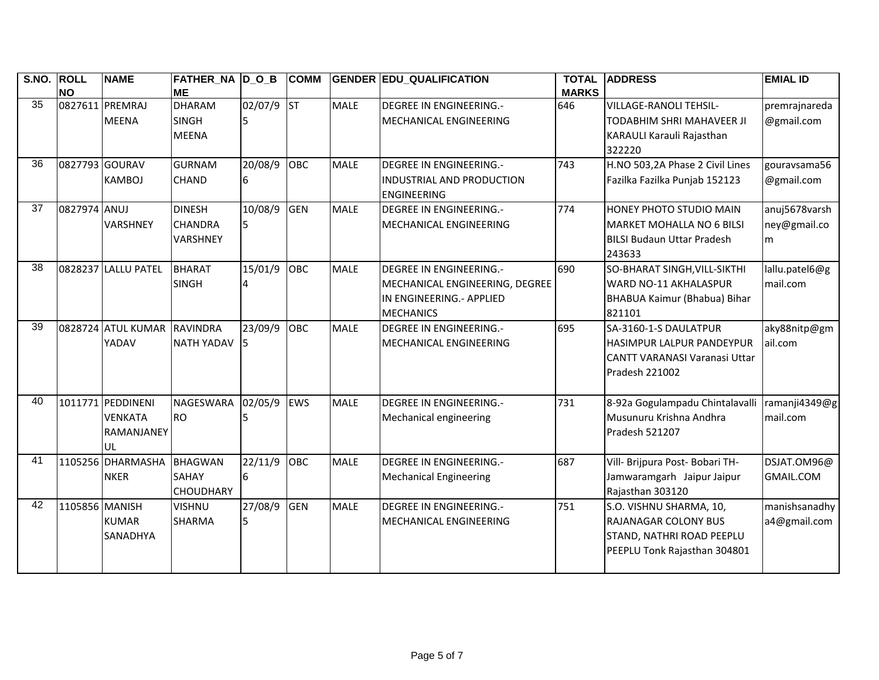| <b>S.NO.</b>    | <b>ROLL</b><br><b>NO</b> | <b>NAME</b>                                                    | FATHER_NA  D_O_B<br><b>ME</b>                 |               | <b>COMM</b> |             | <b>GENDER EDU_QUALIFICATION</b>                                                                                  | <b>TOTAL</b><br><b>MARKS</b> | <b>ADDRESS</b>                                                                                                      | <b>EMIAL ID</b>                    |
|-----------------|--------------------------|----------------------------------------------------------------|-----------------------------------------------|---------------|-------------|-------------|------------------------------------------------------------------------------------------------------------------|------------------------------|---------------------------------------------------------------------------------------------------------------------|------------------------------------|
| $\overline{35}$ |                          | 0827611 PREMRAJ<br><b>MEENA</b>                                | <b>DHARAM</b><br><b>SINGH</b><br><b>MEENA</b> | 02/07/9       | lsт         | <b>MALE</b> | DEGREE IN ENGINEERING.-<br>MECHANICAL ENGINEERING                                                                | 646                          | <b>VILLAGE-RANOLI TEHSIL-</b><br>TODABHIM SHRI MAHAVEER JI<br>KARAULI Karauli Rajasthan<br>322220                   | premrajnareda<br>@gmail.com        |
| 36              | 0827793 GOURAV           | <b>KAMBOJ</b>                                                  | <b>GURNAM</b><br>CHAND                        | 20/08/9<br>6  | OBC         | <b>MALE</b> | <b>DEGREE IN ENGINEERING.-</b><br><b>INDUSTRIAL AND PRODUCTION</b><br><b>ENGINEERING</b>                         | 743                          | H.NO 503,2A Phase 2 Civil Lines<br>Fazilka Fazilka Punjab 152123                                                    | gouravsama56<br>@gmail.com         |
| 37              | 0827974 ANUJ             | <b>VARSHNEY</b>                                                | <b>DINESH</b><br><b>CHANDRA</b><br>VARSHNEY   | 10/08/9<br>5  | <b>GEN</b>  | <b>MALE</b> | DEGREE IN ENGINEERING.-<br>MECHANICAL ENGINEERING                                                                | 774                          | HONEY PHOTO STUDIO MAIN<br>MARKET MOHALLA NO 6 BILSI<br><b>BILSI Budaun Uttar Pradesh</b><br>243633                 | anuj5678varsh<br>ney@gmail.co<br>m |
| 38              |                          | 0828237 LALLU PATEL                                            | <b>BHARAT</b><br><b>SINGH</b>                 | 15/01/9       | OBC         | <b>MALE</b> | <b>DEGREE IN ENGINEERING.-</b><br>MECHANICAL ENGINEERING, DEGREE<br>IN ENGINEERING.- APPLIED<br><b>MECHANICS</b> | 690                          | SO-BHARAT SINGH, VILL-SIKTHI<br>WARD NO-11 AKHALASPUR<br>BHABUA Kaimur (Bhabua) Bihar<br>821101                     | lallu.patel6@g<br>mail.com         |
| 39              |                          | 0828724 ATUL KUMAR<br>YADAV                                    | <b>RAVINDRA</b><br>NATH YADAV                 | 23/09/9<br>15 | OBC         | <b>MALE</b> | <b>DEGREE IN ENGINEERING.-</b><br>MECHANICAL ENGINEERING                                                         | 695                          | SA-3160-1-S DAULATPUR<br><b>HASIMPUR LALPUR PANDEYPUR</b><br><b>CANTT VARANASI Varanasi Uttar</b><br>Pradesh 221002 | aky88nitp@gm<br>ail.com            |
| 40              |                          | 1011771 PEDDINENI<br><b>VENKATA</b><br><b>RAMANJANEY</b><br>UL | NAGESWARA<br><b>RO</b>                        | 02/05/9       | <b>EWS</b>  | <b>MALE</b> | <b>DEGREE IN ENGINEERING.-</b><br>Mechanical engineering                                                         | 731                          | 8-92a Gogulampadu Chintalavalli<br>Musunuru Krishna Andhra<br>Pradesh 521207                                        | ramanji4349@g<br>mail.com          |
| 41              |                          | 1105256 DHARMASHA<br><b>NKER</b>                               | <b>BHAGWAN</b><br>SAHAY<br><b>CHOUDHARY</b>   | 22/11/9<br>6  | OBC         | <b>MALE</b> | <b>DEGREE IN ENGINEERING.-</b><br><b>Mechanical Engineering</b>                                                  | 687                          | Vill- Brijpura Post- Bobari TH-<br>Jamwaramgarh Jaipur Jaipur<br>Rajasthan 303120                                   | DSJAT.OM96@<br><b>GMAIL.COM</b>    |
| 42              | 1105856 MANISH           | <b>KUMAR</b><br><b>SANADHYA</b>                                | <b>VISHNU</b><br>SHARMA                       | 27/08/9<br>5  | <b>GEN</b>  | <b>MALE</b> | <b>DEGREE IN ENGINEERING.-</b><br>MECHANICAL ENGINEERING                                                         | 751                          | S.O. VISHNU SHARMA, 10,<br><b>RAJANAGAR COLONY BUS</b><br>STAND, NATHRI ROAD PEEPLU<br>PEEPLU Tonk Rajasthan 304801 | manishsanadhy<br>a4@gmail.com      |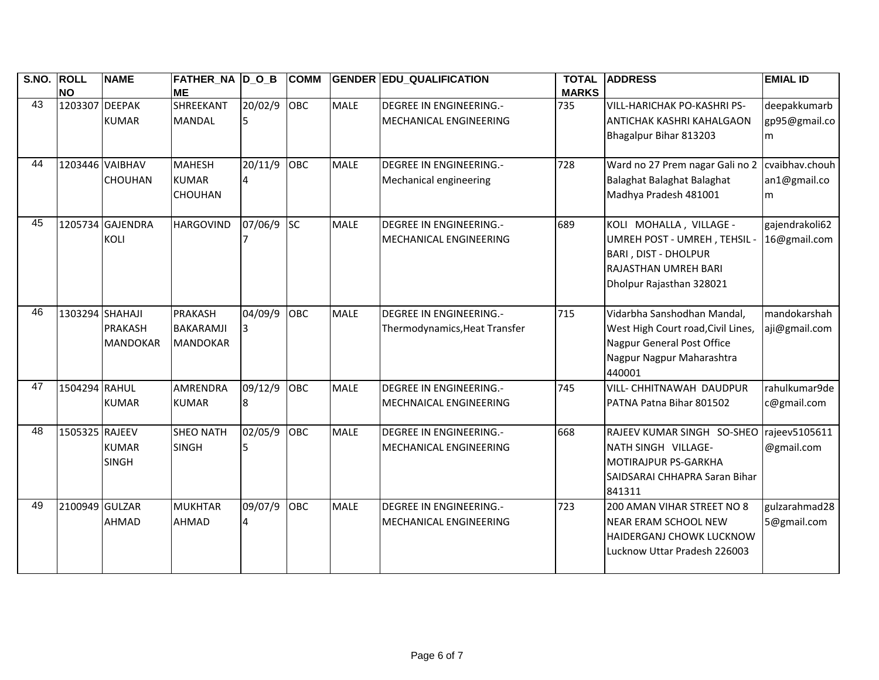| S.NO. | <b>ROLL</b><br><b>NO</b> | <b>NAME</b>                       | <b>FATHER_NA D_O_B</b><br><b>ME</b>                   |              | <b>COMM</b> |             | <b>GENDER EDU_QUALIFICATION</b>                          | <b>TOTAL</b><br><b>MARKS</b> | <b>ADDRESS</b>                                                                                                                                | <b>EMIAL ID</b>                     |
|-------|--------------------------|-----------------------------------|-------------------------------------------------------|--------------|-------------|-------------|----------------------------------------------------------|------------------------------|-----------------------------------------------------------------------------------------------------------------------------------------------|-------------------------------------|
| 43    | 1203307 DEEPAK           | <b>KUMAR</b>                      | SHREEKANT<br><b>MANDAL</b>                            | 20/02/9      | OBC         | <b>MALE</b> | DEGREE IN ENGINEERING.-<br>MECHANICAL ENGINEERING        | 735                          | VILL-HARICHAK PO-KASHRI PS-<br>ANTICHAK KASHRI KAHALGAON<br>Bhagalpur Bihar 813203                                                            | deepakkumarb<br>gp95@gmail.co<br>m  |
| 44    |                          | 1203446 VAIBHAV<br><b>CHOUHAN</b> | <b>MAHESH</b><br><b>KUMAR</b><br>CHOUHAN              | 20/11/9      | OBC         | <b>MALE</b> | DEGREE IN ENGINEERING.-<br>Mechanical engineering        | 728                          | Ward no 27 Prem nagar Gali no 2<br>Balaghat Balaghat Balaghat<br>Madhya Pradesh 481001                                                        | cvaibhav.chouh<br>an1@gmail.co<br>m |
| 45    |                          | 1205734 GAJENDRA<br><b>KOLI</b>   | <b>HARGOVIND</b>                                      | 07/06/9      | <b>SC</b>   | <b>MALE</b> | <b>DEGREE IN ENGINEERING.-</b><br>MECHANICAL ENGINEERING | 689                          | KOLI MOHALLA, VILLAGE -<br>UMREH POST - UMREH, TEHSIL -<br><b>BARI, DIST - DHOLPUR</b><br>RAJASTHAN UMREH BARI<br>Dholpur Rajasthan 328021    | gajendrakoli62<br>16@gmail.com      |
| 46    | 1303294 SHAHAJI          | <b>PRAKASH</b><br><b>MANDOKAR</b> | <b>PRAKASH</b><br><b>BAKARAMJI</b><br><b>MANDOKAR</b> | 04/09/9<br>3 | OBC         | <b>MALE</b> | DEGREE IN ENGINEERING.-<br>Thermodynamics, Heat Transfer | 715                          | Vidarbha Sanshodhan Mandal,<br>West High Court road, Civil Lines,<br><b>Nagpur General Post Office</b><br>Nagpur Nagpur Maharashtra<br>440001 | mandokarshah<br>aji@gmail.com       |
| 47    | 1504294 RAHUL            | <b>KUMAR</b>                      | <b>AMRENDRA</b><br><b>KUMAR</b>                       | 09/12/9      | OBC         | <b>MALE</b> | <b>DEGREE IN ENGINEERING.-</b><br>MECHNAICAL ENGINEERING | 745                          | VILL- CHHITNAWAH DAUDPUR<br>PATNA Patna Bihar 801502                                                                                          | rahulkumar9de<br>c@gmail.com        |
| 48    | 1505325 RAJEEV           | <b>KUMAR</b><br><b>SINGH</b>      | <b>SHEO NATH</b><br><b>SINGH</b>                      | 02/05/9      | OBC         | <b>MALE</b> | <b>DEGREE IN ENGINEERING.-</b><br>MECHANICAL ENGINEERING | 668                          | RAJEEV KUMAR SINGH SO-SHEO<br>NATH SINGH VILLAGE-<br>MOTIRAJPUR PS-GARKHA<br>SAIDSARAI CHHAPRA Saran Bihar<br>841311                          | rajeev5105611<br>@gmail.com         |
| 49    | 2100949 GULZAR           | <b>AHMAD</b>                      | <b>MUKHTAR</b><br><b>AHMAD</b>                        | 09/07/9      | <b>OBC</b>  | <b>MALE</b> | DEGREE IN ENGINEERING.-<br>MECHANICAL ENGINEERING        | 723                          | 200 AMAN VIHAR STREET NO 8<br>NEAR ERAM SCHOOL NEW<br>HAIDERGANJ CHOWK LUCKNOW<br>Lucknow Uttar Pradesh 226003                                | gulzarahmad28<br>5@gmail.com        |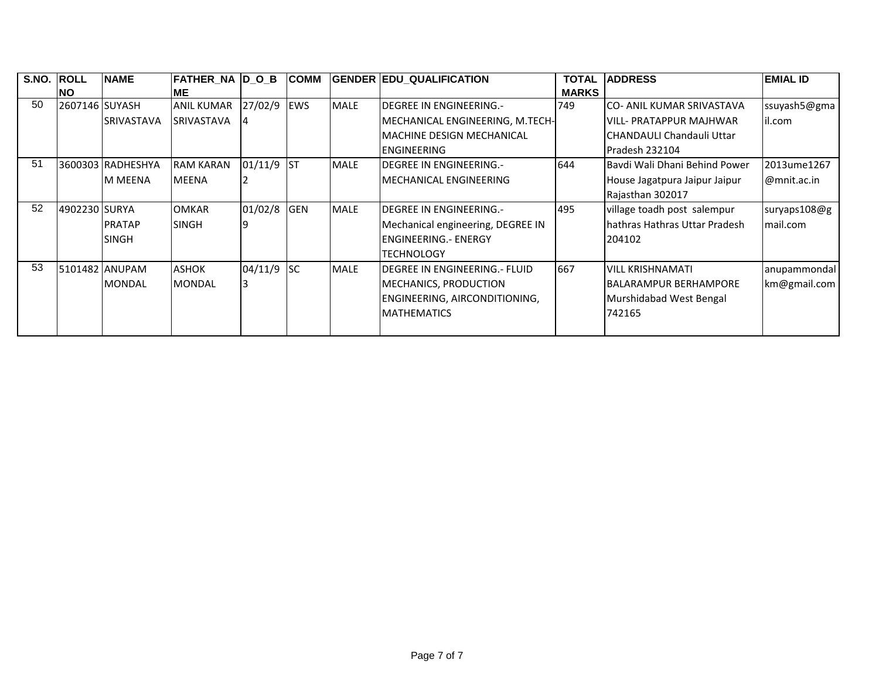| S.NO. | <b>ROLL</b>    | <b>INAME</b>      | <b>FATHER NA D O B</b> |            | <b>COMM</b> |             | <b>GENDER EDU_QUALIFICATION</b>       | <b>TOTAL</b> | <b>IADDRESS</b>                | <b>EMIAL ID</b> |
|-------|----------------|-------------------|------------------------|------------|-------------|-------------|---------------------------------------|--------------|--------------------------------|-----------------|
|       | <b>NO</b>      |                   | IME.                   |            |             |             |                                       | <b>MARKS</b> |                                |                 |
| 50    | 2607146 SUYASH |                   | <b>ANIL KUMAR</b>      | 27/02/9    | <b>EWS</b>  | <b>MALE</b> | <b>IDEGREE IN ENGINEERING.-</b>       | 749          | ICO- ANIL KUMAR SRIVASTAVA     | ssuyash5@gma    |
|       |                | <b>SRIVASTAVA</b> | <b>SRIVASTAVA</b>      |            |             |             | MECHANICAL ENGINEERING, M.TECH-       |              | IVILL- PRATAPPUR MAJHWAR       | il.com          |
|       |                |                   |                        |            |             |             | <b>IMACHINE DESIGN MECHANICAL</b>     |              | ICHANDAULI Chandauli Uttar     |                 |
|       |                |                   |                        |            |             |             | <b>IENGINEERING</b>                   |              | Pradesh 232104                 |                 |
| 51    |                | 3600303 RADHESHYA | <b>RAM KARAN</b>       | 01/11/9 ST |             | <b>MALE</b> | <b>IDEGREE IN ENGINEERING.-</b>       | 644          | Baydi Wali Dhani Behind Power  | 2013ume1267     |
|       |                | <b>M MEENA</b>    | <b>MEENA</b>           |            |             |             | IMECHANICAL ENGINEERING               |              | House Jagatpura Jaipur Jaipur  | $@$ mnit.ac.in  |
|       |                |                   |                        |            |             |             |                                       |              | Rajasthan 302017               |                 |
| 52    | 4902230 SURYA  |                   | <b>OMKAR</b>           | 01/02/8    | <b>GEN</b>  | <b>MALE</b> | <b>IDEGREE IN ENGINEERING.-</b>       | 495          | village toadh post salempur    | suryaps108@g    |
|       |                | <b>PRATAP</b>     | <b>SINGH</b>           |            |             |             | Mechanical engineering, DEGREE IN     |              | Ihathras Hathras Uttar Pradesh | mail.com        |
|       |                | <b>SINGH</b>      |                        |            |             |             | <b>IENGINEERING.- ENERGY</b>          |              | 204102                         |                 |
|       |                |                   |                        |            |             |             | <b>TECHNOLOGY</b>                     |              |                                |                 |
| 53    |                | 5101482 ANUPAM    | <b>ASHOK</b>           | 04/11/9    | <b>SC</b>   | <b>MALE</b> | <b>IDEGREE IN ENGINEERING.- FLUID</b> | 667          | <b>VILL KRISHNAMATI</b>        | anupammondal    |
|       |                | <b>MONDAL</b>     | <b>MONDAL</b>          |            |             |             | MECHANICS, PRODUCTION                 |              | <b>IBALARAMPUR BERHAMPORE</b>  | km@gmail.com    |
|       |                |                   |                        |            |             |             | ENGINEERING, AIRCONDITIONING,         |              | Murshidabad West Bengal        |                 |
|       |                |                   |                        |            |             |             | <b>IMATHEMATICS</b>                   |              | 742165                         |                 |
|       |                |                   |                        |            |             |             |                                       |              |                                |                 |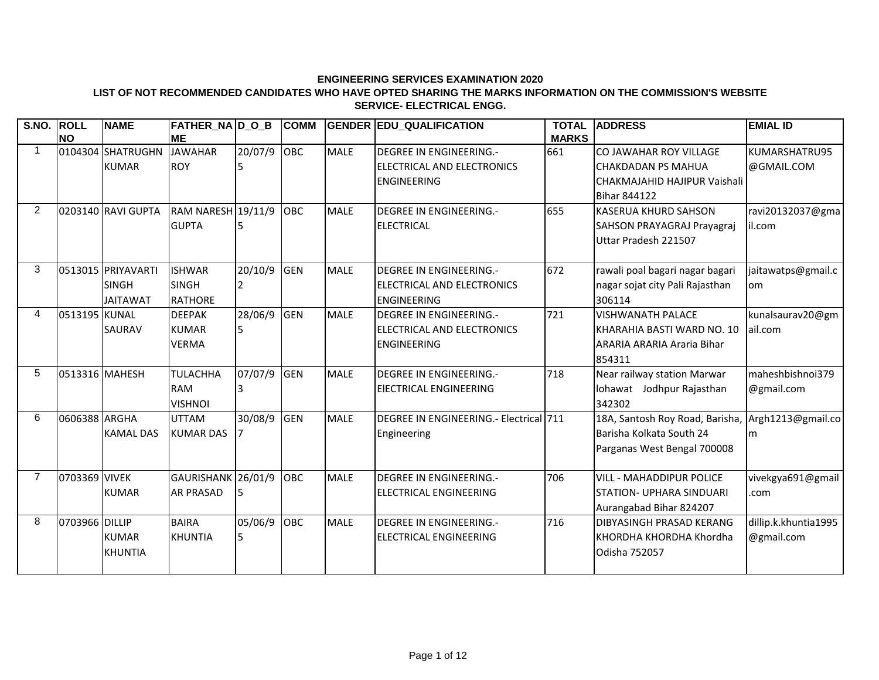#### **LIST OF NOT RECOMMENDED CANDIDATES WHO HAVE OPTED SHARING THE MARKS INFORMATION ON THE COMMISSION'S WEBSITE SERVICE- ELECTRICAL ENGG.**

| S.NO. ROLL     |                | <b>NAME</b>        | <b>FATHER_NA D_O_B</b> |             | <b>COMM</b> |             | <b>GENDER EDU QUALIFICATION</b>        | <b>TOTAL</b> | <b>ADDRESS</b>                                    | <b>EMIAL ID</b>      |
|----------------|----------------|--------------------|------------------------|-------------|-------------|-------------|----------------------------------------|--------------|---------------------------------------------------|----------------------|
|                | <b>NO</b>      |                    | <b>ME</b>              |             |             |             |                                        | <b>MARKS</b> |                                                   |                      |
|                |                | 0104304 SHATRUGHN  | <b>JAWAHAR</b>         | 20/07/9 OBC |             | <b>MALE</b> | <b>DEGREE IN ENGINEERING.-</b>         | 661          | CO JAWAHAR ROY VILLAGE                            | KUMARSHATRU95        |
|                |                | <b>KUMAR</b>       | <b>ROY</b>             |             |             |             | ELECTRICAL AND ELECTRONICS             |              | <b>CHAKDADAN PS MAHUA</b>                         | @GMAIL.COM           |
|                |                |                    |                        |             |             |             | <b>ENGINEERING</b>                     |              | CHAKMAJAHID HAJIPUR Vaishali                      |                      |
|                |                |                    |                        |             |             |             |                                        |              | <b>Bihar 844122</b>                               |                      |
| $\overline{2}$ |                | 0203140 RAVI GUPTA | RAM NARESH 19/11/9 OBC |             |             | <b>MALE</b> | DEGREE IN ENGINEERING.-                | 655          | <b>KASERUA KHURD SAHSON</b>                       | ravi20132037@gma     |
|                |                |                    | <b>GUPTA</b>           |             |             |             | <b>ELECTRICAL</b>                      |              | <b>SAHSON PRAYAGRAJ Prayagraj</b>                 | il.com               |
|                |                |                    |                        |             |             |             |                                        |              | Uttar Pradesh 221507                              |                      |
|                |                |                    |                        |             |             |             |                                        |              |                                                   |                      |
| 3              |                | 0513015 PRIYAVARTI | <b>ISHWAR</b>          | 20/10/9     | <b>GEN</b>  | <b>MALE</b> | <b>DEGREE IN ENGINEERING.-</b>         | 672          | rawali poal bagari nagar bagari                   | jaitawatps@gmail.c   |
|                |                | <b>SINGH</b>       | <b>SINGH</b>           |             |             |             | ELECTRICAL AND ELECTRONICS             |              | nagar sojat city Pali Rajasthan                   | om                   |
|                |                | <b>JAITAWAT</b>    | <b>RATHORE</b>         |             |             |             | <b>ENGINEERING</b>                     |              | 306114                                            |                      |
| 4              | 0513195 KUNAL  |                    | <b>DEEPAK</b>          | 28/06/9 GEN |             | <b>MALE</b> | <b>DEGREE IN ENGINEERING.-</b>         | 721          | <b>VISHWANATH PALACE</b>                          | kunalsaurav20@gm     |
|                |                | <b>SAURAV</b>      | <b>KUMAR</b>           | 5           |             |             | ELECTRICAL AND ELECTRONICS             |              | KHARAHIA BASTI WARD NO. 10                        | lail.com             |
|                |                |                    | <b>VERMA</b>           |             |             |             | <b>ENGINEERING</b>                     |              | ARARIA ARARIA Araria Bihar                        |                      |
|                |                |                    |                        |             |             |             |                                        |              | 854311                                            |                      |
| 5              |                | 0513316 MAHESH     | <b>TULACHHA</b>        | 07/07/9 GEN |             | <b>MALE</b> | <b>DEGREE IN ENGINEERING.-</b>         | 718          | Near railway station Marwar                       | maheshbishnoi379     |
|                |                |                    | <b>RAM</b>             |             |             |             | EIECTRICAL ENGINEERING                 |              | lohawat Jodhpur Rajasthan                         | @gmail.com           |
|                |                |                    | <b>VISHNOI</b>         |             |             |             |                                        |              | 342302                                            |                      |
| 6              | 0606388 ARGHA  |                    | <b>UTTAM</b>           | 30/08/9 GEN |             | <b>MALE</b> | DEGREE IN ENGINEERING.- Electrical 711 |              | 18A, Santosh Roy Road, Barisha, Argh1213@gmail.co |                      |
|                |                | <b>KAMAL DAS</b>   | <b>KUMAR DAS</b>       |             |             |             | Engineering                            |              | Barisha Kolkata South 24                          | l <sub>m</sub>       |
|                |                |                    |                        |             |             |             |                                        |              | Parganas West Bengal 700008                       |                      |
|                |                |                    |                        |             |             |             |                                        |              |                                                   |                      |
| $\overline{7}$ | 0703369 VIVEK  |                    | GAURISHANK 26/01/9     |             | <b>OBC</b>  | <b>MALE</b> | DEGREE IN ENGINEERING.-                | 706          | <b>VILL - MAHADDIPUR POLICE</b>                   | vivekgya691@gmail    |
|                |                | <b>KUMAR</b>       | <b>AR PRASAD</b>       |             |             |             | <b>ELECTRICAL ENGINEERING</b>          |              | <b>STATION- UPHARA SINDUARI</b>                   | .com                 |
|                |                |                    |                        |             |             |             |                                        |              | Aurangabad Bihar 824207                           |                      |
| 8              | 0703966 DILLIP |                    | <b>BAIRA</b>           | 05/06/9 OBC |             | <b>MALE</b> | <b>DEGREE IN ENGINEERING.-</b>         | 716          | <b>DIBYASINGH PRASAD KERANG</b>                   | dillip.k.khuntia1995 |
|                |                | <b>KUMAR</b>       | <b>KHUNTIA</b>         | 5           |             |             | <b>IELECTRICAL ENGINEERING</b>         |              | KHORDHA KHORDHA Khordha                           | @gmail.com           |
|                |                | <b>KHUNTIA</b>     |                        |             |             |             |                                        |              | Odisha 752057                                     |                      |
|                |                |                    |                        |             |             |             |                                        |              |                                                   |                      |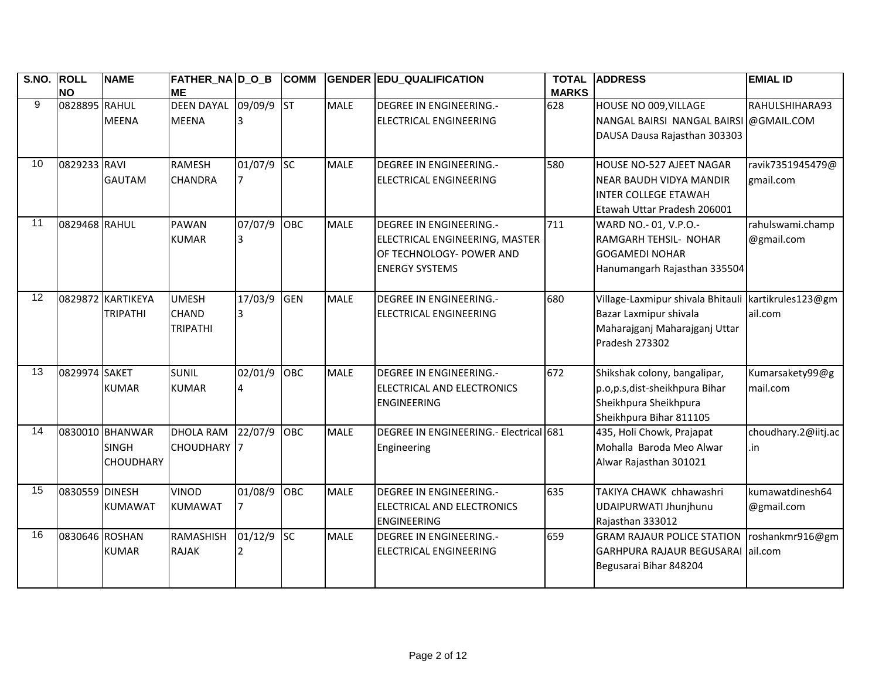| S.NO. ROLL |                | <b>NAME</b>       | <b>FATHER_NA D_O_B</b> |         | <b>COMM</b> |             | <b>GENDER EDU_QUALIFICATION</b>        | <b>TOTAL</b> | <b>ADDRESS</b>                                        | <b>EMIAL ID</b>     |
|------------|----------------|-------------------|------------------------|---------|-------------|-------------|----------------------------------------|--------------|-------------------------------------------------------|---------------------|
| 9          | <b>NO</b>      |                   | <b>ME</b>              |         |             |             |                                        | <b>MARKS</b> |                                                       |                     |
|            | 0828895 RAHUL  |                   | <b>DEEN DAYAL</b>      | 09/09/9 | $\vert$ ST  | <b>MALE</b> | <b>DEGREE IN ENGINEERING.-</b>         | 628          | HOUSE NO 009, VILLAGE                                 | RAHULSHIHARA93      |
|            |                | <b>MEENA</b>      | <b>MEENA</b>           | 3       |             |             | ELECTRICAL ENGINEERING                 |              | NANGAL BAIRSI NANGAL BAIRSI @GMAIL.COM                |                     |
|            |                |                   |                        |         |             |             |                                        |              | DAUSA Dausa Rajasthan 303303                          |                     |
|            |                |                   |                        |         |             |             |                                        |              |                                                       |                     |
| 10         | 0829233 RAVI   |                   | <b>RAMESH</b>          | 01/07/9 | <b>SC</b>   | <b>MALE</b> | <b>DEGREE IN ENGINEERING.-</b>         | 580          | HOUSE NO-527 AJEET NAGAR                              | ravik7351945479@    |
|            |                | <b>GAUTAM</b>     | <b>CHANDRA</b>         | 7       |             |             | <b>ELECTRICAL ENGINEERING</b>          |              | NEAR BAUDH VIDYA MANDIR                               | gmail.com           |
|            |                |                   |                        |         |             |             |                                        |              | <b>INTER COLLEGE ETAWAH</b>                           |                     |
|            |                |                   |                        |         |             |             |                                        |              | Etawah Uttar Pradesh 206001                           |                     |
| 11         | 0829468 RAHUL  |                   | <b>PAWAN</b>           | 07/07/9 | OBC         | <b>MALE</b> | <b>DEGREE IN ENGINEERING.-</b>         | 711          | WARD NO.- 01, V.P.O.-                                 | rahulswami.champ    |
|            |                |                   | <b>KUMAR</b>           | 3       |             |             | ELECTRICAL ENGINEERING, MASTER         |              | <b>RAMGARH TEHSIL- NOHAR</b>                          | @gmail.com          |
|            |                |                   |                        |         |             |             | OF TECHNOLOGY- POWER AND               |              | <b>GOGAMEDI NOHAR</b>                                 |                     |
|            |                |                   |                        |         |             |             | <b>ENERGY SYSTEMS</b>                  |              | Hanumangarh Rajasthan 335504                          |                     |
|            |                |                   |                        |         |             |             |                                        |              |                                                       |                     |
| 12         |                | 0829872 KARTIKEYA | <b>UMESH</b>           | 17/03/9 | <b>GEN</b>  | <b>MALE</b> | <b>DEGREE IN ENGINEERING.-</b>         | 680          | Village-Laxmipur shivala Bhitauli   kartikrules123@gm |                     |
|            |                | <b>TRIPATHI</b>   | <b>CHAND</b>           | 3       |             |             | ELECTRICAL ENGINEERING                 |              | Bazar Laxmipur shivala                                | ail.com             |
|            |                |                   | <b>TRIPATHI</b>        |         |             |             |                                        |              | Maharajganj Maharajganj Uttar                         |                     |
|            |                |                   |                        |         |             |             |                                        |              | Pradesh 273302                                        |                     |
|            |                |                   |                        |         |             |             |                                        |              |                                                       |                     |
| 13         | 0829974 SAKET  |                   | <b>SUNIL</b>           | 02/01/9 | OBC         | <b>MALE</b> | <b>DEGREE IN ENGINEERING.-</b>         | 672          | Shikshak colony, bangalipar,                          | Kumarsakety99@g     |
|            |                | <b>KUMAR</b>      | <b>KUMAR</b>           | 4       |             |             | ELECTRICAL AND ELECTRONICS             |              | p.o,p.s,dist-sheikhpura Bihar                         | mail.com            |
|            |                |                   |                        |         |             |             | <b>ENGINEERING</b>                     |              | Sheikhpura Sheikhpura                                 |                     |
|            |                |                   |                        |         |             |             |                                        |              | Sheikhpura Bihar 811105                               |                     |
| 14         |                | 0830010 BHANWAR   | <b>DHOLA RAM</b>       | 22/07/9 | OBC         | <b>MALE</b> | DEGREE IN ENGINEERING.- Electrical 681 |              | 435, Holi Chowk, Prajapat                             | choudhary.2@iitj.ac |
|            |                | <b>SINGH</b>      | <b>CHOUDHARY</b> 7     |         |             |             | Engineering                            |              | Mohalla Baroda Meo Alwar                              | .in                 |
|            |                | <b>CHOUDHARY</b>  |                        |         |             |             |                                        |              | Alwar Rajasthan 301021                                |                     |
|            |                |                   |                        |         |             |             |                                        |              |                                                       |                     |
| 15         | 0830559 DINESH |                   | <b>VINOD</b>           | 01/08/9 | OBC         | <b>MALE</b> | <b>DEGREE IN ENGINEERING.-</b>         | 635          | TAKIYA CHAWK chhawashri                               | kumawatdinesh64     |
|            |                | <b>KUMAWAT</b>    | <b>KUMAWAT</b>         | 7       |             |             | ELECTRICAL AND ELECTRONICS             |              | UDAIPURWATI Jhunjhunu                                 | @gmail.com          |
|            |                |                   |                        |         |             |             | <b>ENGINEERING</b>                     |              | Rajasthan 333012                                      |                     |
| 16         | 0830646 ROSHAN |                   | RAMASHISH              | 01/12/9 | <b>SC</b>   | <b>MALE</b> | <b>DEGREE IN ENGINEERING.-</b>         | 659          | <b>GRAM RAJAUR POLICE STATION</b>                     | roshankmr916@gm     |
|            |                | <b>KUMAR</b>      | <b>RAJAK</b>           |         |             |             | <b>ELECTRICAL ENGINEERING</b>          |              | GARHPURA RAJAUR BEGUSARAI lail.com                    |                     |
|            |                |                   |                        |         |             |             |                                        |              | Begusarai Bihar 848204                                |                     |
|            |                |                   |                        |         |             |             |                                        |              |                                                       |                     |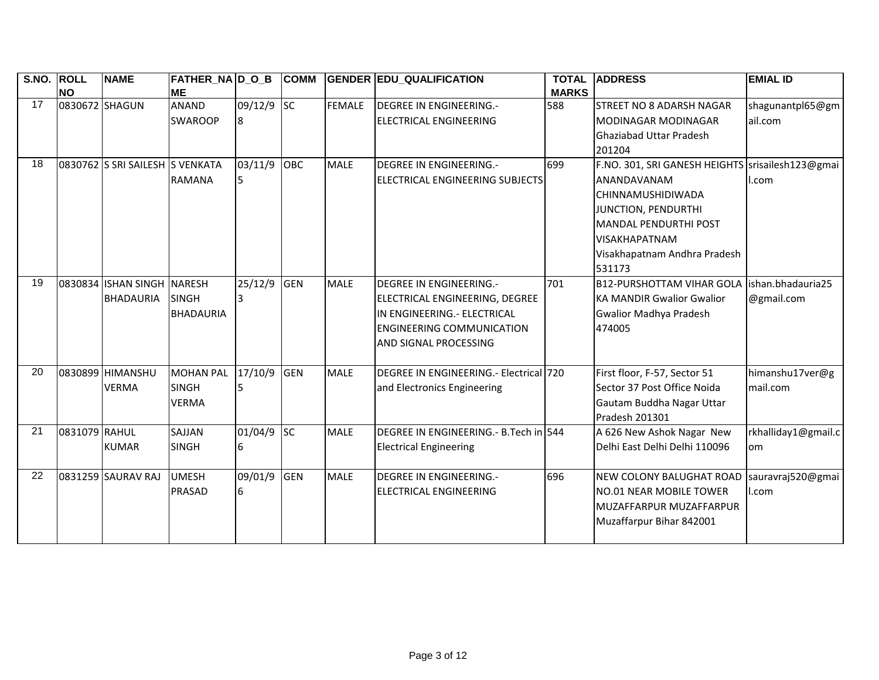| S.NO. ROLL |                | <b>NAME</b>                     | <b>FATHER_NA D_O_B</b> |         | <b>COMM</b> |             | <b>GENDER EDU_QUALIFICATION</b>        | <b>TOTAL</b> | <b>ADDRESS</b>                                   | <b>EMIAL ID</b>     |
|------------|----------------|---------------------------------|------------------------|---------|-------------|-------------|----------------------------------------|--------------|--------------------------------------------------|---------------------|
|            | <b>NO</b>      |                                 | <b>ME</b>              |         |             |             |                                        | <b>MARKS</b> |                                                  |                     |
| 17         | 0830672 SHAGUN |                                 | <b>ANAND</b>           | 09/12/9 | <b>SC</b>   | FEMALE      | <b>DEGREE IN ENGINEERING.-</b>         | 588          | <b>STREET NO 8 ADARSH NAGAR</b>                  | shagunantpl65@gm    |
|            |                |                                 | <b>SWAROOP</b>         | 8       |             |             | <b>ELECTRICAL ENGINEERING</b>          |              | <b>MODINAGAR MODINAGAR</b>                       | ail.com             |
|            |                |                                 |                        |         |             |             |                                        |              | <b>Ghaziabad Uttar Pradesh</b>                   |                     |
|            |                |                                 |                        |         |             |             |                                        |              | 201204                                           |                     |
| 18         |                | 0830762 S SRI SAILESH S VENKATA |                        | 03/11/9 | <b>OBC</b>  | <b>MALE</b> | <b>DEGREE IN ENGINEERING.-</b>         | 699          | F.NO. 301, SRI GANESH HEIGHTS srisailesh123@gmai |                     |
|            |                |                                 | <b>RAMANA</b>          | 5       |             |             | ELECTRICAL ENGINEERING SUBJECTS        |              | ANANDAVANAM                                      | I.com               |
|            |                |                                 |                        |         |             |             |                                        |              | <b>CHINNAMUSHIDIWADA</b>                         |                     |
|            |                |                                 |                        |         |             |             |                                        |              | JUNCTION, PENDURTHI                              |                     |
|            |                |                                 |                        |         |             |             |                                        |              | <b>MANDAL PENDURTHI POST</b>                     |                     |
|            |                |                                 |                        |         |             |             |                                        |              | <b>VISAKHAPATNAM</b>                             |                     |
|            |                |                                 |                        |         |             |             |                                        |              | Visakhapatnam Andhra Pradesh                     |                     |
|            |                |                                 |                        |         |             |             |                                        |              | 531173                                           |                     |
| 19         |                | 0830834 ISHAN SINGH NARESH      |                        | 25/12/9 | <b>GEN</b>  | <b>MALE</b> | <b>DEGREE IN ENGINEERING.-</b>         | 701          | B12-PURSHOTTAM VIHAR GOLA Ishan.bhadauria25      |                     |
|            |                | <b>BHADAURIA</b>                | <b>SINGH</b>           | 3       |             |             | ELECTRICAL ENGINEERING, DEGREE         |              | <b>KA MANDIR Gwalior Gwalior</b>                 | @gmail.com          |
|            |                |                                 | <b>BHADAURIA</b>       |         |             |             | IN ENGINEERING.- ELECTRICAL            |              | <b>Gwalior Madhya Pradesh</b>                    |                     |
|            |                |                                 |                        |         |             |             | <b>ENGINEERING COMMUNICATION</b>       |              | 474005                                           |                     |
|            |                |                                 |                        |         |             |             | AND SIGNAL PROCESSING                  |              |                                                  |                     |
|            |                |                                 |                        |         |             |             |                                        |              |                                                  |                     |
| 20         |                | 0830899 HIMANSHU                | <b>MOHAN PAL</b>       | 17/10/9 | <b>GEN</b>  | <b>MALE</b> | DEGREE IN ENGINEERING.- Electrical 720 |              | First floor, F-57, Sector 51                     | himanshu17ver@g     |
|            |                | <b>VERMA</b>                    | <b>SINGH</b>           | 5       |             |             | and Electronics Engineering            |              | Sector 37 Post Office Noida                      | mail.com            |
|            |                |                                 | <b>VERMA</b>           |         |             |             |                                        |              | Gautam Buddha Nagar Uttar                        |                     |
|            |                |                                 |                        |         |             |             |                                        |              | Pradesh 201301                                   |                     |
| 21         | 0831079 RAHUL  |                                 | SAJJAN                 | 01/04/9 | <b>SC</b>   | <b>MALE</b> | DEGREE IN ENGINEERING. - B.Tech in 544 |              | A 626 New Ashok Nagar New                        | rkhalliday1@gmail.c |
|            |                | <b>KUMAR</b>                    | <b>SINGH</b>           | 6       |             |             | <b>Electrical Engineering</b>          |              | Delhi East Delhi Delhi 110096                    | om                  |
|            |                |                                 |                        |         |             |             |                                        |              |                                                  |                     |
| 22         |                | 0831259 SAURAV RAJ              | <b>UMESH</b>           | 09/01/9 | <b>GEN</b>  | <b>MALE</b> | <b>DEGREE IN ENGINEERING.-</b>         | 696          | NEW COLONY BALUGHAT ROAD                         | sauravraj520@gmai   |
|            |                |                                 | PRASAD                 | 6       |             |             | <b>ELECTRICAL ENGINEERING</b>          |              | <b>NO.01 NEAR MOBILE TOWER</b>                   | I.com               |
|            |                |                                 |                        |         |             |             |                                        |              | MUZAFFARPUR MUZAFFARPUR                          |                     |
|            |                |                                 |                        |         |             |             |                                        |              | Muzaffarpur Bihar 842001                         |                     |
|            |                |                                 |                        |         |             |             |                                        |              |                                                  |                     |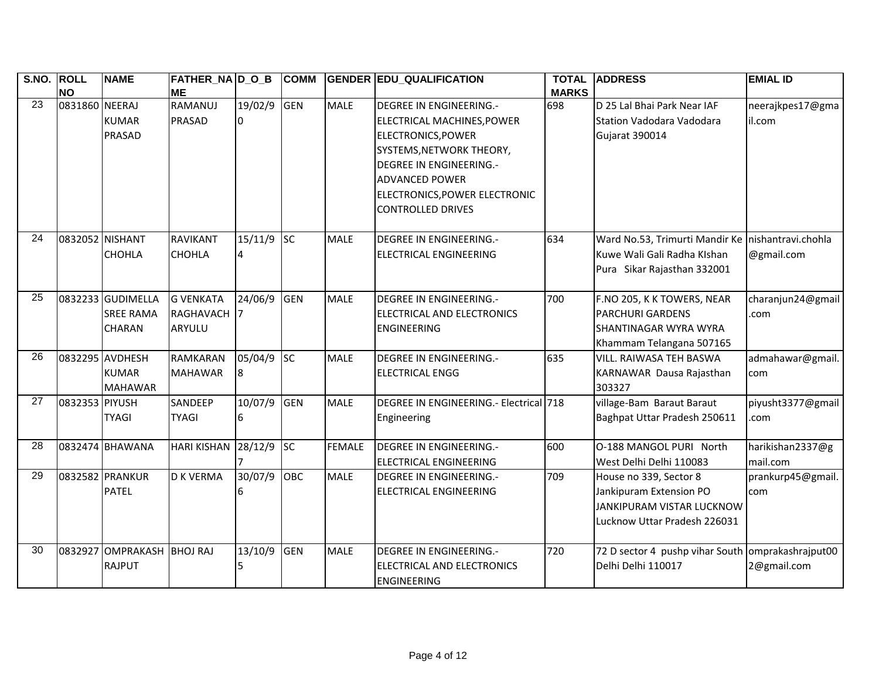| S.NO. ROLL      | <b>NO</b>       | <b>NAME</b>                                       | FATHER_NA D_O_B<br><b>ME</b>            |                         | <b>COMM</b> |               | <b>GENDER EDU_QUALIFICATION</b>                                                                                                                                                                                                 | <b>TOTAL</b><br><b>MARKS</b> | <b>ADDRESS</b>                                                                                                  | <b>EMIAL ID</b>              |
|-----------------|-----------------|---------------------------------------------------|-----------------------------------------|-------------------------|-------------|---------------|---------------------------------------------------------------------------------------------------------------------------------------------------------------------------------------------------------------------------------|------------------------------|-----------------------------------------------------------------------------------------------------------------|------------------------------|
| 23              | 0831860 NEERAJ  | <b>KUMAR</b><br><b>PRASAD</b>                     | RAMANUJ<br>PRASAD                       | 19/02/9<br><sup>0</sup> | <b>GEN</b>  | <b>MALE</b>   | DEGREE IN ENGINEERING.-<br>ELECTRICAL MACHINES, POWER<br>ELECTRONICS, POWER<br>SYSTEMS, NETWORK THEORY,<br><b>DEGREE IN ENGINEERING.-</b><br><b>ADVANCED POWER</b><br>ELECTRONICS, POWER ELECTRONIC<br><b>CONTROLLED DRIVES</b> | 698                          | D 25 Lal Bhai Park Near IAF<br>Station Vadodara Vadodara<br>Gujarat 390014                                      | neerajkpes17@gma<br>il.com   |
| 24              | 0832052 NISHANT | <b>CHOHLA</b>                                     | RAVIKANT<br><b>CHOHLA</b>               | $15/11/9$ SC<br>4       |             | <b>MALE</b>   | <b>DEGREE IN ENGINEERING.-</b><br><b>ELECTRICAL ENGINEERING</b>                                                                                                                                                                 | 634                          | Ward No.53, Trimurti Mandir Ke nishantravi.chohla<br>Kuwe Wali Gali Radha KIshan<br>Pura Sikar Rajasthan 332001 | @gmail.com                   |
| $\overline{25}$ |                 | 0832233 GUDIMELLA<br><b>SREE RAMA</b><br>CHARAN   | <b>G VENKATA</b><br>RAGHAVACH<br>ARYULU | 24/06/9                 | <b>GEN</b>  | <b>MALE</b>   | <b>DEGREE IN ENGINEERING.-</b><br>ELECTRICAL AND ELECTRONICS<br><b>ENGINEERING</b>                                                                                                                                              | 700                          | F.NO 205, K K TOWERS, NEAR<br><b>PARCHURI GARDENS</b><br>SHANTINAGAR WYRA WYRA<br>Khammam Telangana 507165      | charanjun24@gmail<br>.com    |
| 26              |                 | 0832295 AVDHESH<br><b>KUMAR</b><br><b>MAHAWAR</b> | <b>RAMKARAN</b><br><b>MAHAWAR</b>       | 05/04/9 SC<br>8         |             | <b>MALE</b>   | <b>DEGREE IN ENGINEERING.-</b><br><b>ELECTRICAL ENGG</b>                                                                                                                                                                        | 635                          | VILL. RAIWASA TEH BASWA<br>KARNAWAR Dausa Rajasthan<br>303327                                                   | admahawar@gmail.<br>com      |
| 27              | 0832353 PIYUSH  | <b>TYAGI</b>                                      | SANDEEP<br><b>TYAGI</b>                 | 10/07/9 GEN<br>6        |             | <b>MALE</b>   | DEGREE IN ENGINEERING .- Electrical 718<br>Engineering                                                                                                                                                                          |                              | village-Bam Baraut Baraut<br>Baghpat Uttar Pradesh 250611                                                       | piyusht3377@gmail<br>com     |
| 28              |                 | 0832474 BHAWANA                                   | <b>HARI KISHAN</b>                      | 28/12/9                 | <b>SC</b>   | <b>FEMALE</b> | <b>DEGREE IN ENGINEERING.-</b><br><b>ELECTRICAL ENGINEERING</b>                                                                                                                                                                 | 600                          | O-188 MANGOL PURI North<br>West Delhi Delhi 110083                                                              | harikishan2337@g<br>mail.com |
| 29              |                 | 0832582 PRANKUR<br><b>PATEL</b>                   | <b>D K VERMA</b>                        | 30/07/9                 | <b>OBC</b>  | <b>MALE</b>   | <b>DEGREE IN ENGINEERING.-</b><br><b>ELECTRICAL ENGINEERING</b>                                                                                                                                                                 | 709                          | House no 339, Sector 8<br>Jankipuram Extension PO<br>JANKIPURAM VISTAR LUCKNOW<br>Lucknow Uttar Pradesh 226031  | prankurp45@gmail.<br>com     |
| 30              | 0832927         | OMPRAKASH BHOJ RAJ<br><b>RAJPUT</b>               |                                         | 13/10/9<br>5            | <b>GEN</b>  | <b>MALE</b>   | <b>DEGREE IN ENGINEERING.-</b><br>ELECTRICAL AND ELECTRONICS<br><b>ENGINEERING</b>                                                                                                                                              | 720                          | 72 D sector 4 pushp vihar South omprakashrajput00<br>Delhi Delhi 110017                                         | 2@gmail.com                  |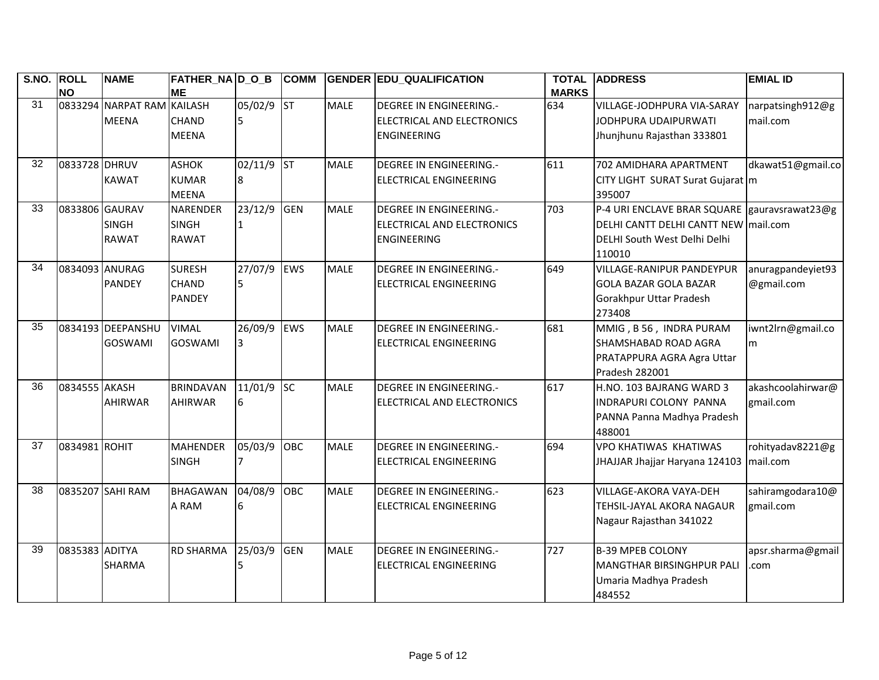| S.NO. ROLL | <b>NO</b>      | <b>NAME</b>                | <b>FATHER NA D O B</b><br><b>ME</b> |              | <b>COMM</b> |             | <b>GENDER EDU QUALIFICATION</b> | <b>TOTAL</b><br><b>MARKS</b> | <b>ADDRESS</b>                               | <b>EMIAL ID</b>   |
|------------|----------------|----------------------------|-------------------------------------|--------------|-------------|-------------|---------------------------------|------------------------------|----------------------------------------------|-------------------|
| 31         |                | 0833294 NARPAT RAM KAILASH |                                     | 05/02/9 ST   |             | <b>MALE</b> | <b>DEGREE IN ENGINEERING.-</b>  | 634                          | <b>VILLAGE-JODHPURA VIA-SARAY</b>            | narpatsingh912@g  |
|            |                | <b>MEENA</b>               | <b>CHAND</b>                        | 5            |             |             | ELECTRICAL AND ELECTRONICS      |                              | JODHPURA UDAIPURWATI                         | mail.com          |
|            |                |                            | <b>MEENA</b>                        |              |             |             | <b>ENGINEERING</b>              |                              | Jhunjhunu Rajasthan 333801                   |                   |
| 32         | 0833728 DHRUV  |                            | <b>ASHOK</b>                        | 02/11/9 ST   |             | <b>MALE</b> | <b>DEGREE IN ENGINEERING.-</b>  | 611                          | 702 AMIDHARA APARTMENT                       | dkawat51@gmail.co |
|            |                | <b>KAWAT</b>               | <b>KUMAR</b>                        | 8            |             |             | <b>ELECTRICAL ENGINEERING</b>   |                              | CITY LIGHT SURAT Surat Gujarat m             |                   |
|            |                |                            | <b>MEENA</b>                        |              |             |             |                                 |                              | 395007                                       |                   |
| 33         | 0833806 GAURAV |                            | <b>NARENDER</b>                     | 23/12/9      | <b>GEN</b>  | <b>MALE</b> | <b>DEGREE IN ENGINEERING.-</b>  | 703                          | P-4 URI ENCLAVE BRAR SQUARE gauravsrawat23@g |                   |
|            |                | <b>SINGH</b>               | <b>SINGH</b>                        | $\mathbf{1}$ |             |             | ELECTRICAL AND ELECTRONICS      |                              | DELHI CANTT DELHI CANTT NEW mail.com         |                   |
|            |                | <b>RAWAT</b>               | <b>RAWAT</b>                        |              |             |             | <b>ENGINEERING</b>              |                              | DELHI South West Delhi Delhi<br>110010       |                   |
| 34         | 0834093 ANURAG |                            | <b>SURESH</b>                       | 27/07/9      | EWS         | <b>MALE</b> | DEGREE IN ENGINEERING.-         | 649                          | <b>VILLAGE-RANIPUR PANDEYPUR</b>             | anuragpandeyiet93 |
|            |                | <b>PANDEY</b>              | <b>CHAND</b>                        | 5            |             |             | <b>ELECTRICAL ENGINEERING</b>   |                              | <b>GOLA BAZAR GOLA BAZAR</b>                 | @gmail.com        |
|            |                |                            | <b>PANDEY</b>                       |              |             |             |                                 |                              | Gorakhpur Uttar Pradesh                      |                   |
|            |                |                            |                                     |              |             |             |                                 |                              | 273408                                       |                   |
| 35         |                | 0834193 DEEPANSHU          | <b>VIMAL</b>                        | 26/09/9      | EWS         | <b>MALE</b> | <b>DEGREE IN ENGINEERING.-</b>  | 681                          | MMIG, B56, INDRA PURAM                       | iwnt2lrn@gmail.co |
|            |                | <b>GOSWAMI</b>             | <b>GOSWAMI</b>                      | 3            |             |             | <b>ELECTRICAL ENGINEERING</b>   |                              | SHAMSHABAD ROAD AGRA                         | <b>m</b>          |
|            |                |                            |                                     |              |             |             |                                 |                              | PRATAPPURA AGRA Agra Uttar                   |                   |
|            |                |                            |                                     |              |             |             |                                 |                              | Pradesh 282001                               |                   |
| 36         | 0834555 AKASH  |                            | <b>BRINDAVAN</b>                    | 11/01/9      | <b>SC</b>   | <b>MALE</b> | <b>DEGREE IN ENGINEERING.-</b>  | 617                          | H.NO. 103 BAJRANG WARD 3                     | akashcoolahirwar@ |
|            |                | <b>AHIRWAR</b>             | <b>AHIRWAR</b>                      | 6            |             |             | ELECTRICAL AND ELECTRONICS      |                              | INDRAPURI COLONY PANNA                       | gmail.com         |
|            |                |                            |                                     |              |             |             |                                 |                              | PANNA Panna Madhya Pradesh                   |                   |
|            |                |                            |                                     |              |             |             |                                 |                              | 488001                                       |                   |
| 37         | 0834981 ROHIT  |                            | <b>MAHENDER</b>                     | 05/03/9      | OBC         | <b>MALE</b> | <b>DEGREE IN ENGINEERING.-</b>  | 694                          | <b>VPO KHATIWAS KHATIWAS</b>                 | rohityadav8221@g  |
|            |                |                            | <b>SINGH</b>                        |              |             |             | <b>ELECTRICAL ENGINEERING</b>   |                              | JHAJJAR Jhajjar Haryana 124103   mail.com    |                   |
| 38         |                | 0835207 SAHI RAM           | <b>BHAGAWAN</b>                     | 04/08/9      | OBC         | <b>MALE</b> | <b>DEGREE IN ENGINEERING.-</b>  | 623                          | <b>VILLAGE-AKORA VAYA-DEH</b>                | sahiramgodara10@  |
|            |                |                            | A RAM                               | 6            |             |             | <b>ELECTRICAL ENGINEERING</b>   |                              | TEHSIL-JAYAL AKORA NAGAUR                    | gmail.com         |
|            |                |                            |                                     |              |             |             |                                 |                              | Nagaur Rajasthan 341022                      |                   |
| 39         | 0835383 ADITYA |                            | <b>RD SHARMA</b>                    | 25/03/9      | <b>GEN</b>  | <b>MALE</b> | <b>DEGREE IN ENGINEERING.-</b>  | 727                          | <b>B-39 MPEB COLONY</b>                      | apsr.sharma@gmail |
|            |                | <b>SHARMA</b>              |                                     | 5            |             |             | <b>ELECTRICAL ENGINEERING</b>   |                              | MANGTHAR BIRSINGHPUR PALI                    | com               |
|            |                |                            |                                     |              |             |             |                                 |                              | Umaria Madhya Pradesh                        |                   |
|            |                |                            |                                     |              |             |             |                                 |                              | 484552                                       |                   |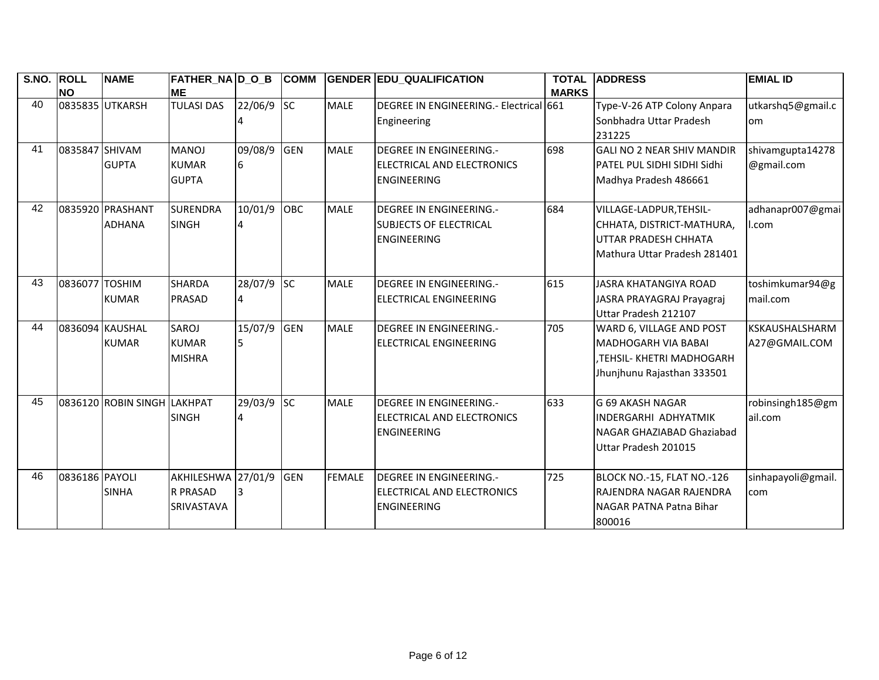| S.NO. | <b>ROLL</b>    | <b>NAME</b>         | <b>FATHER_NA D_O_B</b> |         | <b>COMM</b> |               | <b>GENDER EDU_QUALIFICATION</b>         | <b>TOTAL</b> | <b>ADDRESS</b>                    | <b>EMIAL ID</b>       |
|-------|----------------|---------------------|------------------------|---------|-------------|---------------|-----------------------------------------|--------------|-----------------------------------|-----------------------|
|       | <b>NO</b>      |                     | <b>ME</b>              |         |             |               |                                         | <b>MARKS</b> |                                   |                       |
| 40    |                | 0835835 UTKARSH     | <b>TULASI DAS</b>      | 22/06/9 | <b>SC</b>   | <b>MALE</b>   | DEGREE IN ENGINEERING .- Electrical 661 |              | Type-V-26 ATP Colony Anpara       | utkarshq5@gmail.c     |
|       |                |                     |                        |         |             |               | Engineering                             |              | Sonbhadra Uttar Pradesh           | <b>om</b>             |
|       |                |                     |                        |         |             |               |                                         |              | 231225                            |                       |
| 41    | 0835847 SHIVAM |                     | <b>MANOJ</b>           | 09/08/9 | <b>GEN</b>  | <b>MALE</b>   | <b>DEGREE IN ENGINEERING.-</b>          | 698          | <b>GALI NO 2 NEAR SHIV MANDIR</b> | shivamgupta14278      |
|       |                | <b>GUPTA</b>        | <b>KUMAR</b>           | 6       |             |               | ELECTRICAL AND ELECTRONICS              |              | PATEL PUL SIDHI SIDHI Sidhi       | @gmail.com            |
|       |                |                     | <b>GUPTA</b>           |         |             |               | <b>ENGINEERING</b>                      |              | Madhya Pradesh 486661             |                       |
|       |                |                     |                        |         |             |               |                                         |              |                                   |                       |
| 42    |                | 0835920 PRASHANT    | <b>SURENDRA</b>        | 10/01/9 | OBC         | <b>MALE</b>   | <b>DEGREE IN ENGINEERING.-</b>          | 684          | VILLAGE-LADPUR, TEHSIL-           | adhanapr007@gmai      |
|       |                | <b>ADHANA</b>       | <b>SINGH</b>           |         |             |               | <b>SUBJECTS OF ELECTRICAL</b>           |              | CHHATA, DISTRICT-MATHURA,         | l.com                 |
|       |                |                     |                        |         |             |               | <b>ENGINEERING</b>                      |              | UTTAR PRADESH CHHATA              |                       |
|       |                |                     |                        |         |             |               |                                         |              | Mathura Uttar Pradesh 281401      |                       |
|       |                |                     |                        |         |             |               |                                         |              |                                   |                       |
| 43    | 0836077 TOSHIM |                     | <b>SHARDA</b>          | 28/07/9 | <b>SC</b>   | <b>MALE</b>   | <b>DEGREE IN ENGINEERING.-</b>          | 615          | JASRA KHATANGIYA ROAD             | toshimkumar94@g       |
|       |                | <b>KUMAR</b>        | <b>PRASAD</b>          |         |             |               | ELECTRICAL ENGINEERING                  |              | JASRA PRAYAGRAJ Prayagraj         | mail.com              |
|       |                |                     |                        |         |             |               |                                         |              | Uttar Pradesh 212107              |                       |
| 44    |                | 0836094 KAUSHAL     | SAROJ                  | 15/07/9 | <b>GEN</b>  | <b>MALE</b>   | <b>DEGREE IN ENGINEERING.-</b>          | 705          | WARD 6, VILLAGE AND POST          | <b>KSKAUSHALSHARM</b> |
|       |                | <b>KUMAR</b>        | <b>KUMAR</b>           | 5.      |             |               | <b>ELECTRICAL ENGINEERING</b>           |              | <b>MADHOGARH VIA BABAI</b>        | A27@GMAIL.COM         |
|       |                |                     | <b>MISHRA</b>          |         |             |               |                                         |              | .TEHSIL- KHETRI MADHOGARH         |                       |
|       |                |                     |                        |         |             |               |                                         |              | Jhunjhunu Rajasthan 333501        |                       |
|       |                |                     |                        |         |             |               |                                         |              |                                   |                       |
| 45    |                | 0836120 ROBIN SINGH | <b>LAKHPAT</b>         | 29/03/9 | <b>SC</b>   | <b>MALE</b>   | <b>DEGREE IN ENGINEERING.-</b>          | 633          | IG 69 AKASH NAGAR                 | robinsingh185@gm      |
|       |                |                     | <b>SINGH</b>           |         |             |               | ELECTRICAL AND ELECTRONICS              |              | <b>INDERGARHI ADHYATMIK</b>       | ail.com               |
|       |                |                     |                        |         |             |               | <b>ENGINEERING</b>                      |              | NAGAR GHAZIABAD Ghaziabad         |                       |
|       |                |                     |                        |         |             |               |                                         |              | Uttar Pradesh 201015              |                       |
|       |                |                     |                        |         |             |               |                                         |              |                                   |                       |
| 46    | 0836186 PAYOLI |                     | AKHILESHWA 27/01/9     |         | <b>GEN</b>  | <b>FEMALE</b> | <b>DEGREE IN ENGINEERING.-</b>          | 725          | BLOCK NO.-15, FLAT NO.-126        | sinhapayoli@gmail.    |
|       |                | <b>SINHA</b>        | <b>R PRASAD</b>        | 3       |             |               | ELECTRICAL AND ELECTRONICS              |              | RAJENDRA NAGAR RAJENDRA           | com                   |
|       |                |                     | <b>SRIVASTAVA</b>      |         |             |               | <b>ENGINEERING</b>                      |              | NAGAR PATNA Patna Bihar           |                       |
|       |                |                     |                        |         |             |               |                                         |              | 800016                            |                       |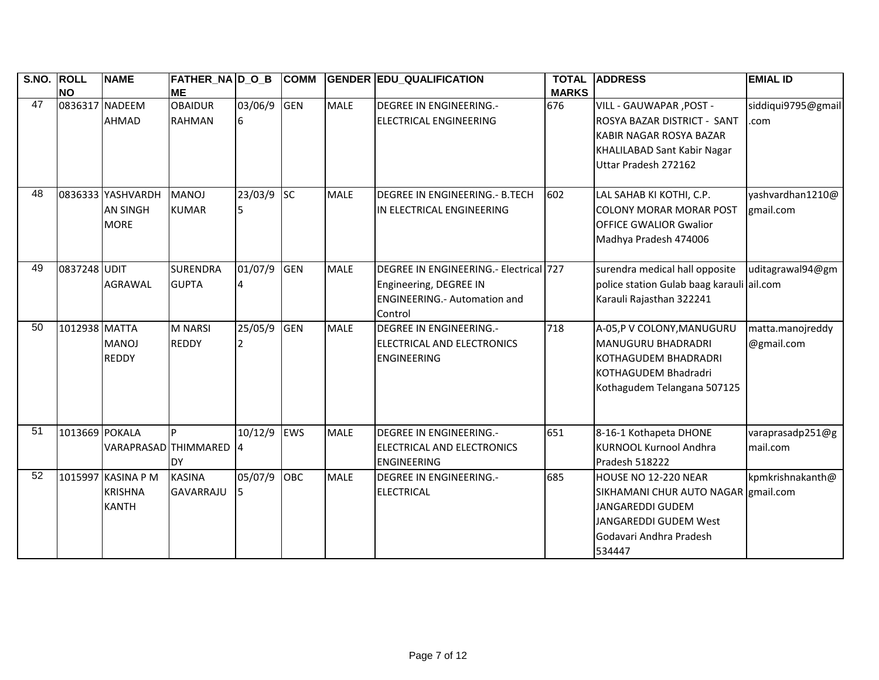| $\overline{S}$ . NO. | <b>ROLL</b>    | <b>NAME</b>        | FATHER_NA D_O_B        |                | <b>COMM</b> |             | <b>GENDER EDU_QUALIFICATION</b>        | <b>TOTAL</b> | <b>ADDRESS</b>                            | <b>EMIAL ID</b>    |
|----------------------|----------------|--------------------|------------------------|----------------|-------------|-------------|----------------------------------------|--------------|-------------------------------------------|--------------------|
|                      | <b>NO</b>      |                    | <b>ME</b>              |                |             |             |                                        | <b>MARKS</b> |                                           |                    |
| 47                   | 0836317 NADEEM |                    | <b>OBAIDUR</b>         | 03/06/9        | <b>GEN</b>  | <b>MALE</b> | <b>DEGREE IN ENGINEERING.-</b>         | 676          | VILL - GAUWAPAR, POST -                   | siddiqui9795@gmail |
|                      |                | <b>AHMAD</b>       | <b>RAHMAN</b>          | 16             |             |             | <b>ELECTRICAL ENGINEERING</b>          |              | <b>IROSYA BAZAR DISTRICT - SANT</b>       | .com               |
|                      |                |                    |                        |                |             |             |                                        |              | KABIR NAGAR ROSYA BAZAR                   |                    |
|                      |                |                    |                        |                |             |             |                                        |              | <b>KHALILABAD Sant Kabir Nagar</b>        |                    |
|                      |                |                    |                        |                |             |             |                                        |              | Uttar Pradesh 272162                      |                    |
|                      |                |                    |                        |                |             |             |                                        |              |                                           |                    |
| 48                   |                | 0836333 YASHVARDH  | <b>MANOJ</b>           | 23/03/9        | sc          | <b>MALE</b> | DEGREE IN ENGINEERING.- B.TECH         | 602          | LAL SAHAB KI KOTHI, C.P.                  | yashvardhan1210@   |
|                      |                | <b>AN SINGH</b>    | <b>KUMAR</b>           | 5.             |             |             | IN ELECTRICAL ENGINEERING              |              | <b>COLONY MORAR MORAR POST</b>            | gmail.com          |
|                      |                | <b>MORE</b>        |                        |                |             |             |                                        |              | <b>OFFICE GWALIOR Gwalior</b>             |                    |
|                      |                |                    |                        |                |             |             |                                        |              | Madhya Pradesh 474006                     |                    |
|                      |                |                    |                        |                |             |             |                                        |              |                                           |                    |
| 49                   | 0837248 UDIT   |                    | <b>SURENDRA</b>        | 01/07/9        | <b>GEN</b>  | <b>MALE</b> | DEGREE IN ENGINEERING.- Electrical 727 |              | surendra medical hall opposite            | uditagrawal94@gm   |
|                      |                | <b>AGRAWAL</b>     | <b>GUPTA</b>           | $\overline{4}$ |             |             | Engineering, DEGREE IN                 |              | police station Gulab baag karauli ail.com |                    |
|                      |                |                    |                        |                |             |             | <b>ENGINEERING.- Automation and</b>    |              | Karauli Rajasthan 322241                  |                    |
|                      |                |                    |                        |                |             |             | Control                                |              |                                           |                    |
| 50                   | 1012938 MATTA  |                    | <b>M NARSI</b>         | 25/05/9        | <b>GEN</b>  | <b>MALE</b> | <b>DEGREE IN ENGINEERING.-</b>         | 718          | A-05,P V COLONY, MANUGURU                 | matta.manojreddy   |
|                      |                | <b>MANOJ</b>       | <b>REDDY</b>           | 2              |             |             | ELECTRICAL AND ELECTRONICS             |              | MANUGURU BHADRADRI                        | @gmail.com         |
|                      |                | <b>REDDY</b>       |                        |                |             |             | <b>ENGINEERING</b>                     |              | KOTHAGUDEM BHADRADRI                      |                    |
|                      |                |                    |                        |                |             |             |                                        |              | KOTHAGUDEM Bhadradri                      |                    |
|                      |                |                    |                        |                |             |             |                                        |              | Kothagudem Telangana 507125               |                    |
|                      |                |                    |                        |                |             |             |                                        |              |                                           |                    |
|                      |                |                    |                        |                |             |             |                                        |              |                                           |                    |
| 51                   | 1013669 POKALA |                    | <b>p</b>               | 10/12/9        | <b>EWS</b>  | <b>MALE</b> | <b>DEGREE IN ENGINEERING.-</b>         | 651          | 8-16-1 Kothapeta DHONE                    | varaprasadp251@g   |
|                      |                |                    | VARAPRASAD THIMMARED 4 |                |             |             | ELECTRICAL AND ELECTRONICS             |              | <b>KURNOOL Kurnool Andhra</b>             | mail.com           |
|                      |                |                    | <b>DY</b>              |                |             |             | <b>ENGINEERING</b>                     |              | Pradesh 518222                            |                    |
| 52                   |                | 1015997 KASINA P M | <b>KASINA</b>          | 05/07/9        | OBC         | <b>MALE</b> | <b>DEGREE IN ENGINEERING.-</b>         | 685          | HOUSE NO 12-220 NEAR                      | kpmkrishnakanth@   |
|                      |                | <b>KRISHNA</b>     | <b>GAVARRAJU</b>       | 5              |             |             | <b>ELECTRICAL</b>                      |              | SIKHAMANI CHUR AUTO NAGAR gmail.com       |                    |
|                      |                | <b>KANTH</b>       |                        |                |             |             |                                        |              | JANGAREDDI GUDEM                          |                    |
|                      |                |                    |                        |                |             |             |                                        |              | JANGAREDDI GUDEM West                     |                    |
|                      |                |                    |                        |                |             |             |                                        |              | Godavari Andhra Pradesh                   |                    |
|                      |                |                    |                        |                |             |             |                                        |              | 534447                                    |                    |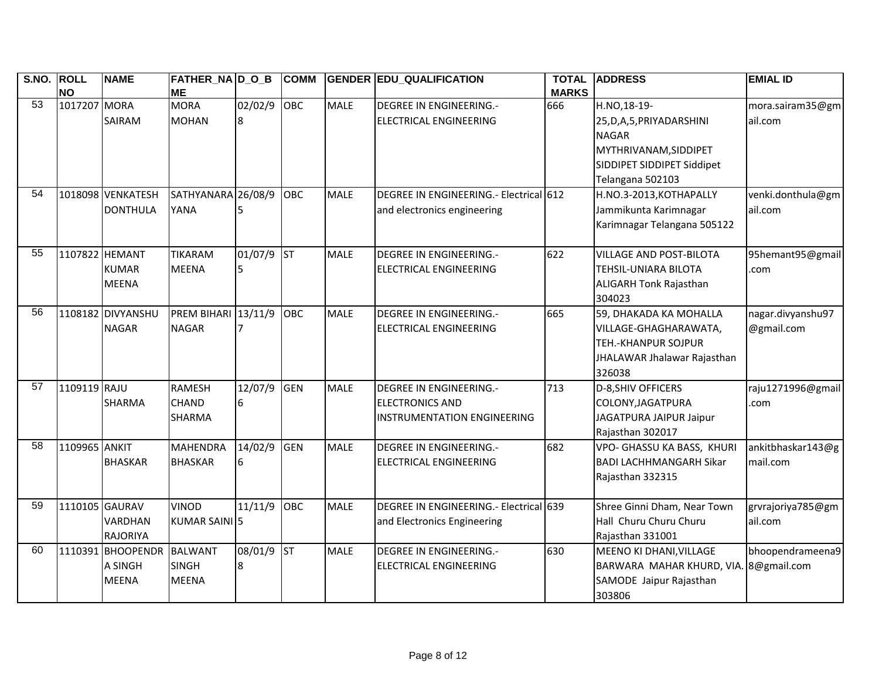| S.NO. ROLL      | <b>NO</b>      | <b>NAME</b>       | FATHER_NA D_O_B<br><b>ME</b> |            | <b>COMM</b> |             | <b>GENDER EDU_QUALIFICATION</b>        | <b>TOTAL</b><br><b>MARKS</b> | <b>ADDRESS</b>                        | <b>EMIAL ID</b>   |
|-----------------|----------------|-------------------|------------------------------|------------|-------------|-------------|----------------------------------------|------------------------------|---------------------------------------|-------------------|
| 53              | 1017207 MORA   |                   | <b>MORA</b>                  | 02/02/9    | OBC         | <b>MALE</b> | <b>DEGREE IN ENGINEERING.-</b>         | 666                          | H.NO,18-19-                           | mora.sairam35@gm  |
|                 |                | <b>SAIRAM</b>     | <b>MOHAN</b>                 | 8          |             |             | <b>ELECTRICAL ENGINEERING</b>          |                              | 25, D, A, 5, PRIYADARSHINI            | ail.com           |
|                 |                |                   |                              |            |             |             |                                        |                              | <b>NAGAR</b>                          |                   |
|                 |                |                   |                              |            |             |             |                                        |                              | MYTHRIVANAM, SIDDIPET                 |                   |
|                 |                |                   |                              |            |             |             |                                        |                              | SIDDIPET SIDDIPET Siddipet            |                   |
|                 |                |                   |                              |            |             |             |                                        |                              | Telangana 502103                      |                   |
| $\overline{54}$ |                | 1018098 VENKATESH | SATHYANARA 26/08/9           |            | OBC         | <b>MALE</b> | DEGREE IN ENGINEERING.- Electrical 612 |                              | H.NO.3-2013, KOTHAPALLY               | venki.donthula@gm |
|                 |                | <b>DONTHULA</b>   | YANA                         |            |             |             | and electronics engineering            |                              | Jammikunta Karimnagar                 | ail.com           |
|                 |                |                   |                              |            |             |             |                                        |                              | Karimnagar Telangana 505122           |                   |
| 55              | 1107822 HEMANT |                   | <b>TIKARAM</b>               | 01/07/9    | <b>ST</b>   | <b>MALE</b> | <b>DEGREE IN ENGINEERING.-</b>         | 622                          | <b>VILLAGE AND POST-BILOTA</b>        | 95hemant95@gmail  |
|                 |                | <b>KUMAR</b>      | <b>MEENA</b>                 | 5          |             |             | <b>ELECTRICAL ENGINEERING</b>          |                              | <b>TEHSIL-UNIARA BILOTA</b>           | .com              |
|                 |                | <b>MEENA</b>      |                              |            |             |             |                                        |                              | <b>ALIGARH Tonk Rajasthan</b>         |                   |
|                 |                |                   |                              |            |             |             |                                        |                              | 304023                                |                   |
| 56              |                | 1108182 DIVYANSHU | <b>PREM BIHARI</b> 13/11/9   |            | <b>OBC</b>  | <b>MALE</b> | <b>DEGREE IN ENGINEERING.-</b>         | 665                          | 59, DHAKADA KA MOHALLA                | nagar.divyanshu97 |
|                 |                | <b>NAGAR</b>      | <b>NAGAR</b>                 |            |             |             | <b>ELECTRICAL ENGINEERING</b>          |                              | VILLAGE-GHAGHARAWATA,                 | @gmail.com        |
|                 |                |                   |                              |            |             |             |                                        |                              | <b>TEH.-KHANPUR SOJPUR</b>            |                   |
|                 |                |                   |                              |            |             |             |                                        |                              | JHALAWAR Jhalawar Rajasthan           |                   |
|                 |                |                   |                              |            |             |             |                                        |                              | 326038                                |                   |
| 57              | 1109119 RAJU   |                   | <b>RAMESH</b>                | 12/07/9    | GEN         | <b>MALE</b> | <b>DEGREE IN ENGINEERING.-</b>         | 713                          | D-8, SHIV OFFICERS                    | raju1271996@gmail |
|                 |                | <b>SHARMA</b>     | <b>CHAND</b>                 | 6          |             |             | <b>ELECTRONICS AND</b>                 |                              | COLONY, JAGATPURA                     | .com              |
|                 |                |                   | <b>SHARMA</b>                |            |             |             | <b>INSTRUMENTATION ENGINEERING</b>     |                              | JAGATPURA JAIPUR Jaipur               |                   |
|                 |                |                   |                              |            |             |             |                                        |                              | Rajasthan 302017                      |                   |
| $\overline{58}$ | 1109965 ANKIT  |                   | <b>MAHENDRA</b>              | 14/02/9    | <b>GEN</b>  | <b>MALE</b> | <b>DEGREE IN ENGINEERING.-</b>         | 682                          | VPO- GHASSU KA BASS, KHURI            | ankitbhaskar143@g |
|                 |                | <b>BHASKAR</b>    | <b>BHASKAR</b>               | 6          |             |             | <b>ELECTRICAL ENGINEERING</b>          |                              | <b>BADI LACHHMANGARH Sikar</b>        | mail.com          |
|                 |                |                   |                              |            |             |             |                                        |                              | Rajasthan 332315                      |                   |
| 59              | 1110105 GAURAV |                   | <b>VINOD</b>                 | 11/11/9    | OBC         | <b>MALE</b> | DEGREE IN ENGINEERING.- Electrical 639 |                              | Shree Ginni Dham, Near Town           | grvrajoriya785@gm |
|                 |                | <b>VARDHAN</b>    | KUMAR SAINI 5                |            |             |             | and Electronics Engineering            |                              | Hall Churu Churu Churu                | ail.com           |
|                 |                | <b>RAJORIYA</b>   |                              |            |             |             |                                        |                              | Rajasthan 331001                      |                   |
| 60              |                | 1110391 BHOOPENDR | <b>BALWANT</b>               | 08/01/9 ST |             | <b>MALE</b> | <b>DEGREE IN ENGINEERING.-</b>         | 630                          | MEENO KI DHANI, VILLAGE               | bhoopendrameena9  |
|                 |                | A SINGH           | <b>SINGH</b>                 | 8          |             |             | ELECTRICAL ENGINEERING                 |                              | BARWARA MAHAR KHURD, VIA. 8@gmail.com |                   |
|                 |                | <b>MEENA</b>      | <b>MEENA</b>                 |            |             |             |                                        |                              | SAMODE Jaipur Rajasthan               |                   |
|                 |                |                   |                              |            |             |             |                                        |                              | 303806                                |                   |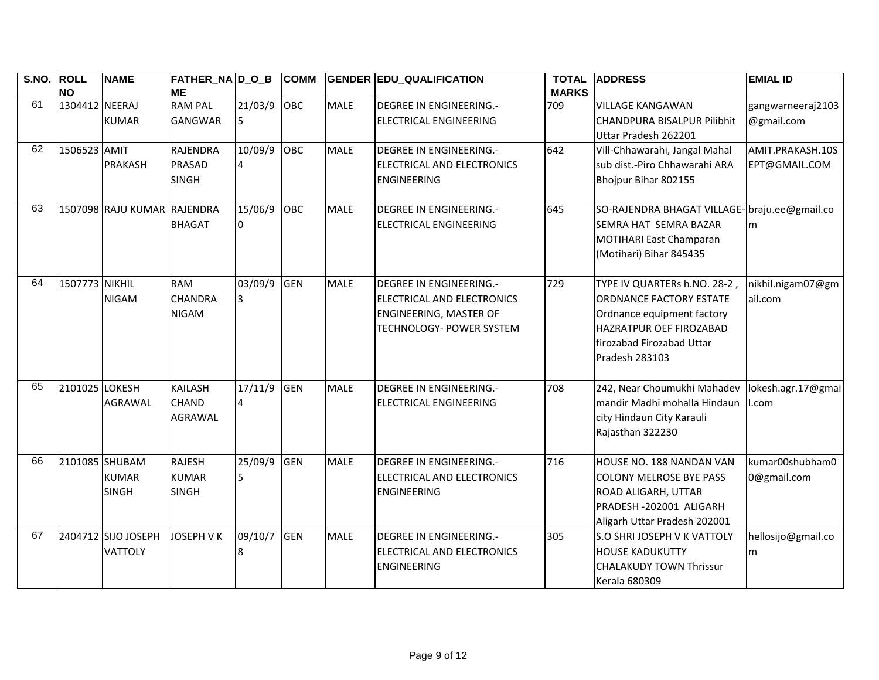| S.NO. | <b>ROLL</b><br><b>NO</b> | <b>NAME</b>                           | FATHER_NA D_O_B<br><b>ME</b>                  |                            | <b>COMM</b> |             | <b>GENDER EDU_QUALIFICATION</b>                                                                                           | <b>TOTAL</b><br><b>MARKS</b> | <b>ADDRESS</b>                                                                                                                                                         | <b>EMIAL ID</b>                   |
|-------|--------------------------|---------------------------------------|-----------------------------------------------|----------------------------|-------------|-------------|---------------------------------------------------------------------------------------------------------------------------|------------------------------|------------------------------------------------------------------------------------------------------------------------------------------------------------------------|-----------------------------------|
| 61    | 1304412 NEERAJ           | <b>KUMAR</b>                          | <b>RAM PAL</b><br><b>GANGWAR</b>              | 21/03/9<br>15              | OBC         | <b>MALE</b> | <b>DEGREE IN ENGINEERING.-</b><br>ELECTRICAL ENGINEERING                                                                  | 709                          | <b>VILLAGE KANGAWAN</b><br>CHANDPURA BISALPUR Pilibhit<br>Uttar Pradesh 262201                                                                                         | gangwarneeraj2103<br>@gmail.com   |
| 62    | 1506523 AMIT             | <b>PRAKASH</b>                        | <b>RAJENDRA</b><br>PRASAD<br><b>SINGH</b>     | 10/09/9<br>4               | <b>OBC</b>  | <b>MALE</b> | <b>DEGREE IN ENGINEERING.-</b><br>ELECTRICAL AND ELECTRONICS<br><b>ENGINEERING</b>                                        | 642                          | Vill-Chhawarahi, Jangal Mahal<br>sub dist.-Piro Chhawarahi ARA<br>Bhojpur Bihar 802155                                                                                 | AMIT.PRAKASH.10S<br>EPT@GMAIL.COM |
| 63    |                          | 1507098 RAJU KUMAR RAJENDRA           | <b>BHAGAT</b>                                 | $15/06/\overline{9}$<br>I0 | <b>OBC</b>  | <b>MALE</b> | <b>DEGREE IN ENGINEERING.-</b><br>ELECTRICAL ENGINEERING                                                                  | 645                          | SO-RAJENDRA BHAGAT VILLAGE-braju.ee@gmail.co<br><b>SEMRA HAT SEMRA BAZAR</b><br>MOTIHARI East Champaran<br>(Motihari) Bihar 845435                                     | l <sub>m</sub>                    |
| 64    | 1507773 NIKHIL           | <b>NIGAM</b>                          | <b>RAM</b><br><b>CHANDRA</b><br><b>NIGAM</b>  | 03/09/9<br>3               | <b>GEN</b>  | <b>MALE</b> | <b>DEGREE IN ENGINEERING.-</b><br>ELECTRICAL AND ELECTRONICS<br><b>ENGINEERING, MASTER OF</b><br>TECHNOLOGY- POWER SYSTEM | 729                          | TYPE IV QUARTERs h.NO. 28-2,<br><b>ORDNANCE FACTORY ESTATE</b><br>Ordnance equipment factory<br>HAZRATPUR OEF FIROZABAD<br>firozabad Firozabad Uttar<br>Pradesh 283103 | nikhil.nigam07@gm<br>ail.com      |
| 65    | 2101025 LOKESH           | <b>AGRAWAL</b>                        | <b>KAILASH</b><br><b>CHAND</b><br>AGRAWAL     | 17/11/9<br>$\overline{4}$  | <b>GEN</b>  | <b>MALE</b> | <b>DEGREE IN ENGINEERING.-</b><br>ELECTRICAL ENGINEERING                                                                  | 708                          | 242, Near Choumukhi Mahadev<br>mandir Madhi mohalla Hindaun<br>city Hindaun City Karauli<br>Rajasthan 322230                                                           | lokesh.agr.17@gmai<br>.com        |
| 66    | 2101085 SHUBAM           | <b>KUMAR</b><br><b>SINGH</b>          | <b>RAJESH</b><br><b>KUMAR</b><br><b>SINGH</b> | 25/09/9<br>5               | <b>GEN</b>  | <b>MALE</b> | <b>DEGREE IN ENGINEERING.-</b><br>ELECTRICAL AND ELECTRONICS<br><b>ENGINEERING</b>                                        | 716                          | HOUSE NO. 188 NANDAN VAN<br><b>COLONY MELROSE BYE PASS</b><br>ROAD ALIGARH, UTTAR<br>PRADESH-202001 ALIGARH<br>Aligarh Uttar Pradesh 202001                            | kumar00shubham0<br>0@gmail.com    |
| 67    |                          | 2404712 SIJO JOSEPH<br><b>VATTOLY</b> | <b>JOSEPH V K</b>                             | 09/10/7                    | <b>GEN</b>  | <b>MALE</b> | <b>DEGREE IN ENGINEERING.-</b><br>ELECTRICAL AND ELECTRONICS<br><b>ENGINEERING</b>                                        | 305                          | S.O SHRI JOSEPH V K VATTOLY<br><b>HOUSE KADUKUTTY</b><br><b>CHALAKUDY TOWN Thrissur</b><br><b>Kerala 680309</b>                                                        | hellosijo@gmail.co<br>m           |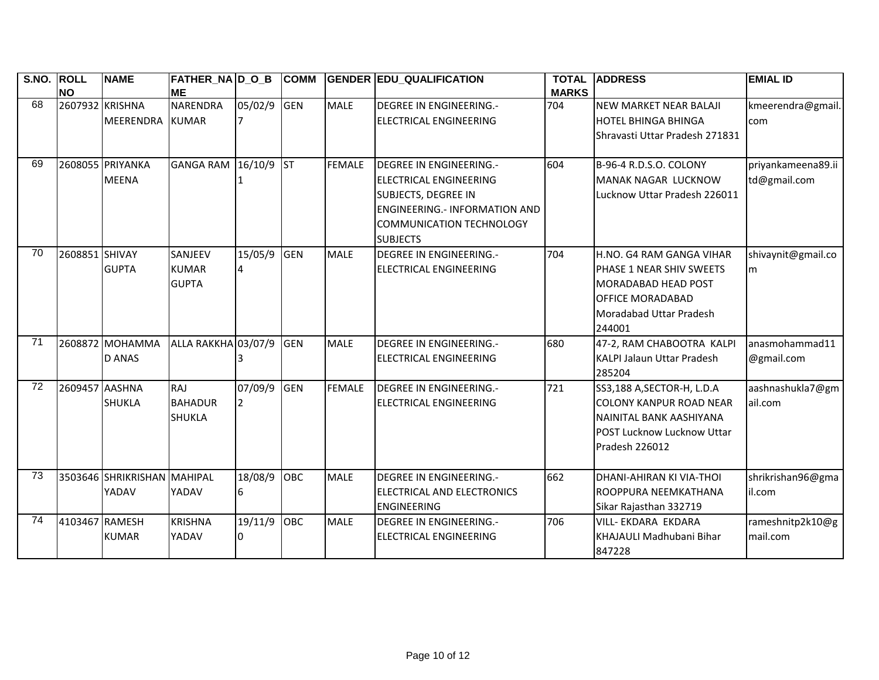| S.NO. ROLL | <b>NO</b>       | <b>NAME</b>                      | <b>FATHER_NA D_O_B</b><br><b>ME</b>           |                           | <b>COMM</b> |               | <b>GENDER EDU_QUALIFICATION</b>                                                                                                                                                      | <b>TOTAL</b><br><b>MARKS</b> | <b>ADDRESS</b>                                                                                                                               | <b>EMIAL ID</b>                    |
|------------|-----------------|----------------------------------|-----------------------------------------------|---------------------------|-------------|---------------|--------------------------------------------------------------------------------------------------------------------------------------------------------------------------------------|------------------------------|----------------------------------------------------------------------------------------------------------------------------------------------|------------------------------------|
| 68         | 2607932 KRISHNA | <b>MEERENDRA</b>                 | <b>NARENDRA</b><br><b>KUMAR</b>               | 05/02/9                   | <b>GEN</b>  | <b>MALE</b>   | <b>DEGREE IN ENGINEERING.-</b><br><b>ELECTRICAL ENGINEERING</b>                                                                                                                      | 704                          | <b>NEW MARKET NEAR BALAJI</b><br><b>HOTEL BHINGA BHINGA</b><br>lShravasti Uttar Pradesh 271831                                               | kmeerendra@gmail.<br>com           |
| 69         |                 | 2608055 PRIYANKA<br><b>MEENA</b> | GANGA RAM 16/10/9                             |                           | <b>ST</b>   | <b>FEMALE</b> | <b>DEGREE IN ENGINEERING.-</b><br><b>ELECTRICAL ENGINEERING</b><br><b>SUBJECTS, DEGREE IN</b><br><b>ENGINEERING.- INFORMATION AND</b><br>COMMUNICATION TECHNOLOGY<br><b>SUBJECTS</b> | 604                          | B-96-4 R.D.S.O. COLONY<br>MANAK NAGAR LUCKNOW<br>Lucknow Uttar Pradesh 226011                                                                | priyankameena89.ii<br>td@gmail.com |
| 70         | 2608851 SHIVAY  | <b>GUPTA</b>                     | SANJEEV<br><b>KUMAR</b><br><b>GUPTA</b>       | 15/05/9<br>$\overline{4}$ | <b>GEN</b>  | <b>MALE</b>   | <b>DEGREE IN ENGINEERING.-</b><br><b>ELECTRICAL ENGINEERING</b>                                                                                                                      | 704                          | H.NO. G4 RAM GANGA VIHAR<br>PHASE 1 NEAR SHIV SWEETS<br>IMORADABAD HEAD POST<br><b>OFFICE MORADABAD</b><br>Moradabad Uttar Pradesh<br>244001 | shivaynit@gmail.co<br>lm.          |
| 71         |                 | 2608872 MOHAMMA<br><b>D ANAS</b> | ALLA RAKKHA 03/07/9                           |                           | <b>GEN</b>  | <b>MALE</b>   | DEGREE IN ENGINEERING.-<br>ELECTRICAL ENGINEERING                                                                                                                                    | 680                          | 47-2, RAM CHABOOTRA KALPI<br><b>KALPI Jalaun Uttar Pradesh</b><br>285204                                                                     | anasmohammad11<br>@gmail.com       |
| 72         | 2609457 AASHNA  | <b>SHUKLA</b>                    | <b>RAJ</b><br><b>BAHADUR</b><br><b>SHUKLA</b> | 07/09/9<br>2              | <b>GEN</b>  | <b>FEMALE</b> | <b>DEGREE IN ENGINEERING.-</b><br><b>ELECTRICAL ENGINEERING</b>                                                                                                                      | 721                          | SS3,188 A, SECTOR-H, L.D.A<br><b>COLONY KANPUR ROAD NEAR</b><br>NAINITAL BANK AASHIYANA<br>POST Lucknow Lucknow Uttar<br>Pradesh 226012      | aashnashukla7@gm<br>ail.com        |
| 73         |                 | 3503646 SHRIKRISHAN<br>YADAV     | MAHIPAL<br>YADAV                              | 18/08/9<br>6              | <b>OBC</b>  | <b>MALE</b>   | <b>DEGREE IN ENGINEERING.-</b><br>ELECTRICAL AND ELECTRONICS<br><b>ENGINEERING</b>                                                                                                   | 662                          | DHANI-AHIRAN KI VIA-THOI<br>IROOPPURA NEEMKATHANA<br>Sikar Rajasthan 332719                                                                  | shrikrishan96@gma<br>il.com        |
| 74         | 4103467 RAMESH  | <b>KUMAR</b>                     | <b>KRISHNA</b><br>YADAV                       | 19/11/9<br>0              | OBC         | <b>MALE</b>   | <b>DEGREE IN ENGINEERING.-</b><br><b>ELECTRICAL ENGINEERING</b>                                                                                                                      | 706                          | VILL- EKDARA EKDARA<br>KHAJAULI Madhubani Bihar<br>847228                                                                                    | rameshnitp2k10@g<br>mail.com       |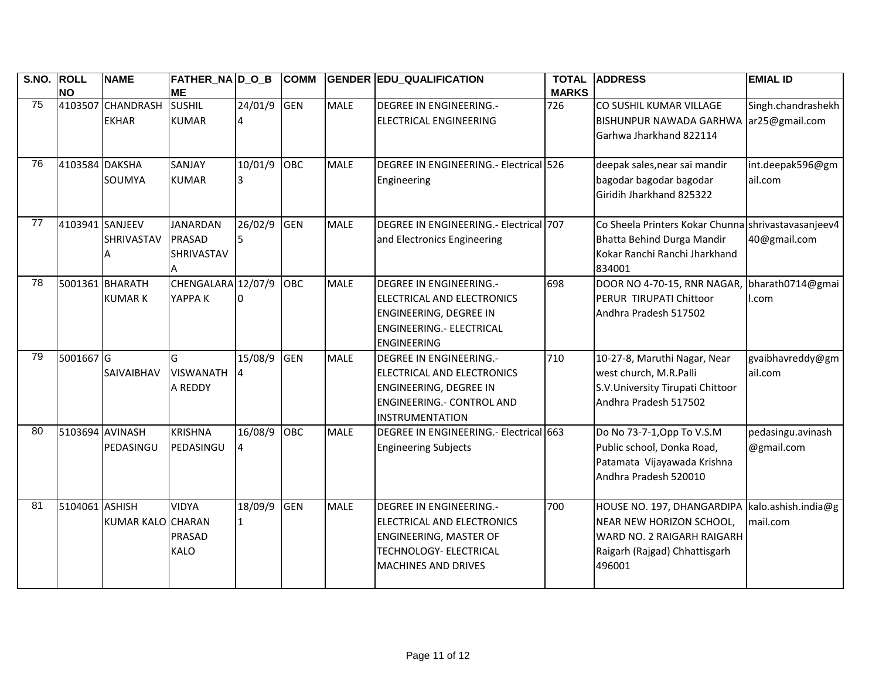| <b>S.NO.</b> | <b>ROLL</b><br><b>NO</b> | <b>NAME</b>                       | FATHER_NA D_O_B<br><b>ME</b>                        |               | <b>COMM</b> |             | <b>GENDER EDU_QUALIFICATION</b>                                                                                                                       | <b>TOTAL</b><br><b>MARKS</b> | <b>ADDRESS</b>                                                                                                                                        | <b>EMIAL ID</b>                      |
|--------------|--------------------------|-----------------------------------|-----------------------------------------------------|---------------|-------------|-------------|-------------------------------------------------------------------------------------------------------------------------------------------------------|------------------------------|-------------------------------------------------------------------------------------------------------------------------------------------------------|--------------------------------------|
| 75           |                          | 4103507 CHANDRASH<br><b>EKHAR</b> | <b>SUSHIL</b><br><b>KUMAR</b>                       | 24/01/9       | <b>GEN</b>  | <b>MALE</b> | <b>DEGREE IN ENGINEERING.-</b><br>ELECTRICAL ENGINEERING                                                                                              | 726                          | CO SUSHIL KUMAR VILLAGE<br><b>BISHUNPUR NAWADA GARHWA</b><br>Garhwa Jharkhand 822114                                                                  | Singh.chandrashekh<br>ar25@gmail.com |
| 76           | 4103584 DAKSHA           | SOUMYA                            | SANJAY<br><b>KUMAR</b>                              | 10/01/9<br>I3 | OBC         | <b>MALE</b> | DEGREE IN ENGINEERING.- Electrical 526<br>Engineering                                                                                                 |                              | deepak sales, near sai mandir<br>bagodar bagodar bagodar<br>Giridih Jharkhand 825322                                                                  | int.deepak596@gm<br>ail.com          |
| 77           | 4103941 SANJEEV          | SHRIVASTAV<br>А                   | <b>JANARDAN</b><br><b>PRASAD</b><br>SHRIVASTAV<br>А | 26/02/9<br>5  | <b>GEN</b>  | <b>MALE</b> | DEGREE IN ENGINEERING.- Electrical 707<br>and Electronics Engineering                                                                                 |                              | Co Sheela Printers Kokar Chunna shrivastavasanjeev4<br>Bhatta Behind Durga Mandir<br>Kokar Ranchi Ranchi Jharkhand<br>834001                          | 40@gmail.com                         |
| 78           |                          | 5001361 BHARATH<br><b>KUMARK</b>  | CHENGALARA 12/07/9<br>YAPPA K                       |               | <b>OBC</b>  | <b>MALE</b> | <b>DEGREE IN ENGINEERING.-</b><br>ELECTRICAL AND ELECTRONICS<br>ENGINEERING, DEGREE IN<br><b>ENGINEERING.- ELECTRICAL</b><br><b>ENGINEERING</b>       | 698                          | DOOR NO 4-70-15, RNR NAGAR,<br>PERUR TIRUPATI Chittoor<br>Andhra Pradesh 517502                                                                       | bharath0714@gmai<br>l.com            |
| 79           | 5001667 G                | SAIVAIBHAV                        | G<br><b>VISWANATH</b><br>A REDDY                    | 15/08/9<br>4  | <b>GEN</b>  | <b>MALE</b> | <b>DEGREE IN ENGINEERING.-</b><br>ELECTRICAL AND ELECTRONICS<br>ENGINEERING, DEGREE IN<br><b>ENGINEERING.- CONTROL AND</b><br><b>INSTRUMENTATION</b>  | 710                          | 10-27-8, Maruthi Nagar, Near<br>west church, M.R.Palli<br>S.V.University Tirupati Chittoor<br>Andhra Pradesh 517502                                   | gvaibhavreddy@gm<br>ail.com          |
| 80           | 5103694 AVINASH          | PEDASINGU                         | <b>KRISHNA</b><br>PEDASINGU                         | 16/08/9<br>4  | OBC         | <b>MALE</b> | DEGREE IN ENGINEERING.- Electrical 663<br><b>Engineering Subjects</b>                                                                                 |                              | Do No 73-7-1, Opp To V.S.M<br>Public school, Donka Road,<br>Patamata Vijayawada Krishna<br>Andhra Pradesh 520010                                      | pedasingu.avinash<br>@gmail.com      |
| 81           | 5104061 ASHISH           | KUMAR KALO CHARAN                 | <b>VIDYA</b><br>PRASAD<br><b>KALO</b>               | 18/09/9<br>1  | <b>GEN</b>  | <b>MALE</b> | <b>DEGREE IN ENGINEERING.-</b><br>ELECTRICAL AND ELECTRONICS<br><b>ENGINEERING, MASTER OF</b><br>TECHNOLOGY- ELECTRICAL<br><b>MACHINES AND DRIVES</b> | 700                          | HOUSE NO. 197, DHANGARDIPA   kalo.ashish.india@g<br>NEAR NEW HORIZON SCHOOL,<br>WARD NO. 2 RAIGARH RAIGARH<br>Raigarh (Rajgad) Chhattisgarh<br>496001 | mail.com                             |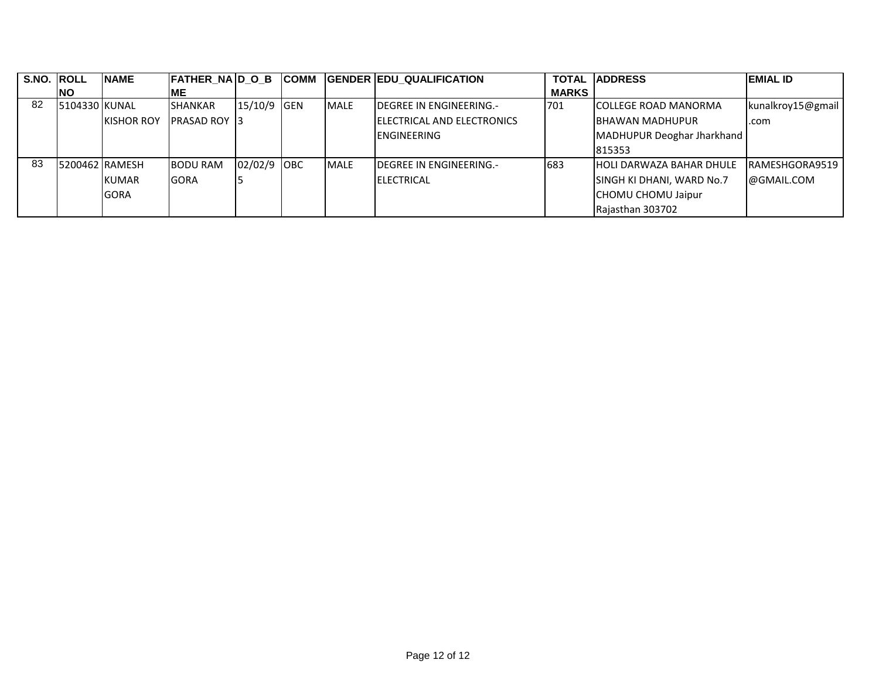| S.NO. ROLL |                | <b>NAME</b>       | <b>FATHER NAD OB</b>  |             | <b>ICOMM</b> |              | <b>GENDER EDU QUALIFICATION</b> |              | <b>TOTAL IADDRESS</b>           | <b>EMIAL ID</b>   |
|------------|----------------|-------------------|-----------------------|-------------|--------------|--------------|---------------------------------|--------------|---------------------------------|-------------------|
|            | INO            |                   | <b>IME</b>            |             |              |              |                                 | <b>MARKS</b> |                                 |                   |
| 82         | 15104330 KUNAL |                   | <b>SHANKAR</b>        | 15/10/9 GEN |              | <b>IMALE</b> | <b>IDEGREE IN ENGINEERING.-</b> | 701          | <b>ICOLLEGE ROAD MANORMA</b>    | kunalkroy15@gmail |
|            |                | <b>KISHOR ROY</b> | <b>IPRASAD ROY 13</b> |             |              |              | IELECTRICAL AND ELECTRONICS     |              | <b>IBHAWAN MADHUPUR</b>         | .com              |
|            |                |                   |                       |             |              |              | <b>ENGINEERING</b>              |              | MADHUPUR Deoghar Jharkhand      |                   |
|            |                |                   |                       |             |              |              |                                 |              | 815353                          |                   |
| 83         | 5200462 RAMESH |                   | <b>BODU RAM</b>       | 02/02/9 OBC |              | <b>MALE</b>  | <b>DEGREE IN ENGINEERING.-</b>  | 683          | <b>HOLI DARWAZA BAHAR DHULE</b> | RAMESHGORA9519    |
|            |                | KUMAR             | <b>IGORA</b>          |             |              |              | <b>ELECTRICAL</b>               |              | SINGH KI DHANI, WARD No.7       | @GMAIL.COM        |
|            |                | <b>GORA</b>       |                       |             |              |              |                                 |              | <b>CHOMU CHOMU Jaipur</b>       |                   |
|            |                |                   |                       |             |              |              |                                 |              | Rajasthan 303702                |                   |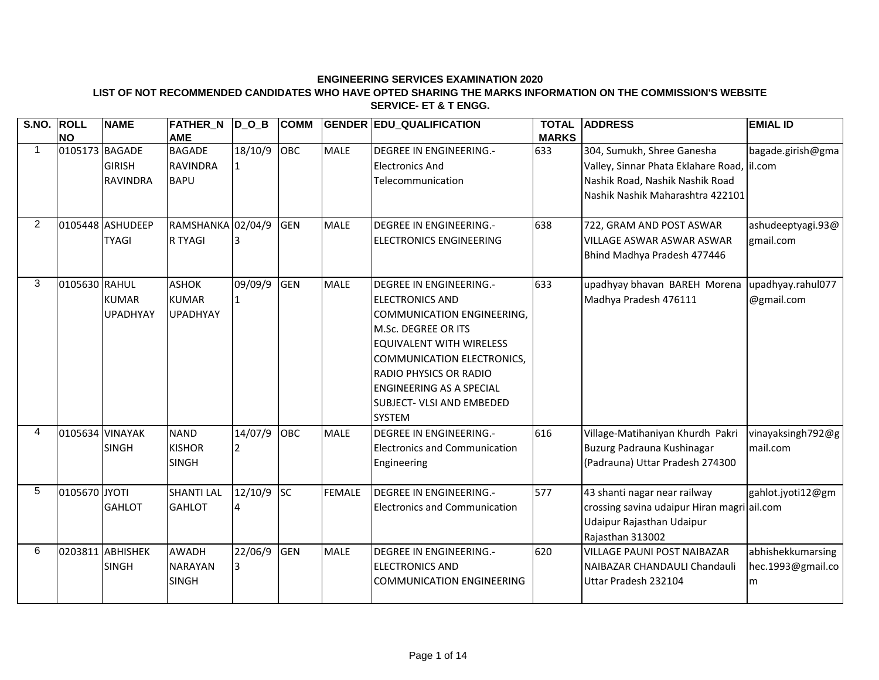**LIST OF NOT RECOMMENDED CANDIDATES WHO HAVE OPTED SHARING THE MARKS INFORMATION ON THE COMMISSION'S WEBSITE SERVICE- ET & T ENGG.**

| S.NO. ROLL     |                 | <b>NAME</b>      | <b>FATHER_N</b>   | $D_0_B$      | <b>COMM</b> |               | <b>GENDER EDU QUALIFICATION</b>      | <b>TOTAL</b> | <b>ADDRESS</b>                              | <b>EMIAL ID</b>   |
|----------------|-----------------|------------------|-------------------|--------------|-------------|---------------|--------------------------------------|--------------|---------------------------------------------|-------------------|
|                | <b>NO</b>       |                  | <b>AME</b>        |              |             |               |                                      | <b>MARKS</b> |                                             |                   |
| $\mathbf 1$    | 0105173 BAGADE  |                  | <b>BAGADE</b>     | 18/10/9      | OBC         | <b>MALE</b>   | <b>DEGREE IN ENGINEERING.-</b>       | 633          | 304, Sumukh, Shree Ganesha                  | bagade.girish@gma |
|                |                 | <b>GIRISH</b>    | <b>RAVINDRA</b>   |              |             |               | <b>Electronics And</b>               |              | Valley, Sinnar Phata Eklahare Road,         | il.com            |
|                |                 | <b>RAVINDRA</b>  | <b>BAPU</b>       |              |             |               | Telecommunication                    |              | Nashik Road, Nashik Nashik Road             |                   |
|                |                 |                  |                   |              |             |               |                                      |              | Nashik Nashik Maharashtra 422101            |                   |
|                |                 |                  |                   |              |             |               |                                      |              |                                             |                   |
| $\overline{2}$ |                 | 0105448 ASHUDEEP | RAMSHANKA 02/04/9 |              | <b>GEN</b>  | <b>MALE</b>   | <b>DEGREE IN ENGINEERING.-</b>       | 638          | 722, GRAM AND POST ASWAR                    | ashudeeptyagi.93@ |
|                |                 | <b>TYAGI</b>     | <b>R TYAGI</b>    |              |             |               | <b>ELECTRONICS ENGINEERING</b>       |              | VILLAGE ASWAR ASWAR ASWAR                   | gmail.com         |
|                |                 |                  |                   |              |             |               |                                      |              | Bhind Madhya Pradesh 477446                 |                   |
|                |                 |                  |                   |              |             |               |                                      |              |                                             |                   |
| 3              | 0105630 RAHUL   |                  | <b>ASHOK</b>      | 09/09/9      | GEN         | <b>MALE</b>   | DEGREE IN ENGINEERING.-              | 633          | upadhyay bhavan BAREH Morena                | upadhyay.rahul077 |
|                |                 | <b>KUMAR</b>     | <b>KUMAR</b>      |              |             |               | <b>ELECTRONICS AND</b>               |              | Madhya Pradesh 476111                       | @gmail.com        |
|                |                 | <b>UPADHYAY</b>  | <b>UPADHYAY</b>   |              |             |               | <b>COMMUNICATION ENGINEERING,</b>    |              |                                             |                   |
|                |                 |                  |                   |              |             |               | M.Sc. DEGREE OR ITS                  |              |                                             |                   |
|                |                 |                  |                   |              |             |               | <b>EQUIVALENT WITH WIRELESS</b>      |              |                                             |                   |
|                |                 |                  |                   |              |             |               | COMMUNICATION ELECTRONICS,           |              |                                             |                   |
|                |                 |                  |                   |              |             |               | <b>RADIO PHYSICS OR RADIO</b>        |              |                                             |                   |
|                |                 |                  |                   |              |             |               | <b>ENGINEERING AS A SPECIAL</b>      |              |                                             |                   |
|                |                 |                  |                   |              |             |               | SUBJECT- VLSI AND EMBEDED            |              |                                             |                   |
|                |                 |                  |                   |              |             |               | <b>SYSTEM</b>                        |              |                                             |                   |
| 4              | 0105634 VINAYAK |                  | <b>NAND</b>       | 14/07/9      | OBC         | <b>MALE</b>   | <b>DEGREE IN ENGINEERING.-</b>       | 616          | Village-Matihaniyan Khurdh Pakri            | vinayaksingh792@g |
|                |                 | <b>SINGH</b>     | <b>KISHOR</b>     |              |             |               | <b>Electronics and Communication</b> |              | Buzurg Padrauna Kushinagar                  | mail.com          |
|                |                 |                  | <b>SINGH</b>      |              |             |               | Engineering                          |              | (Padrauna) Uttar Pradesh 274300             |                   |
|                |                 |                  |                   |              |             |               |                                      |              |                                             |                   |
| 5              | 0105670 JYOTI   |                  | <b>SHANTI LAL</b> | $12/10/9$ SC |             | <b>FEMALE</b> | DEGREE IN ENGINEERING.-              | 577          | 43 shanti nagar near railway                | gahlot.jyoti12@gm |
|                |                 | <b>GAHLOT</b>    | <b>GAHLOT</b>     |              |             |               | <b>Electronics and Communication</b> |              | crossing savina udaipur Hiran magri ail.com |                   |
|                |                 |                  |                   |              |             |               |                                      |              | Udaipur Rajasthan Udaipur                   |                   |
|                |                 |                  |                   |              |             |               |                                      |              | Rajasthan 313002                            |                   |
| 6              |                 | 0203811 ABHISHEK | <b>AWADH</b>      | 22/06/9      | <b>GEN</b>  | <b>MALE</b>   | <b>DEGREE IN ENGINEERING.-</b>       | 620          | <b>VILLAGE PAUNI POST NAIBAZAR</b>          | abhishekkumarsing |
|                |                 | <b>SINGH</b>     | <b>NARAYAN</b>    | 3            |             |               | <b>ELECTRONICS AND</b>               |              | NAIBAZAR CHANDAULI Chandauli                | hec.1993@gmail.co |
|                |                 |                  | <b>SINGH</b>      |              |             |               | <b>COMMUNICATION ENGINEERING</b>     |              | Uttar Pradesh 232104                        | m                 |
|                |                 |                  |                   |              |             |               |                                      |              |                                             |                   |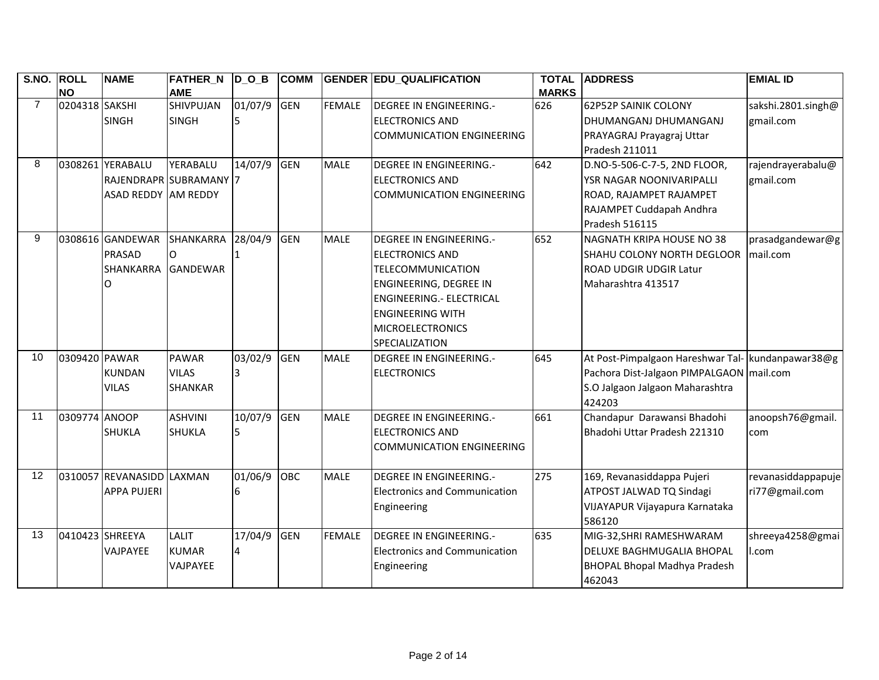| <b>S.NO.</b>    | <b>ROLL</b><br><b>NO</b> | <b>NAME</b>                | <b>FATHER_N</b><br><b>AME</b> | $\overline{D}_O_B$ | <b>COMM</b> |               | <b>GENDER EDU_QUALIFICATION</b>      | <b>TOTAL</b><br><b>MARKS</b> | <b>ADDRESS</b>                                    | <b>EMIAL ID</b>    |
|-----------------|--------------------------|----------------------------|-------------------------------|--------------------|-------------|---------------|--------------------------------------|------------------------------|---------------------------------------------------|--------------------|
| $\overline{7}$  | 0204318 SAKSHI           |                            | SHIVPUJAN                     | 01/07/9            | GEN         | <b>FEMALE</b> | <b>DEGREE IN ENGINEERING.-</b>       | 626                          | <b>62P52P SAINIK COLONY</b>                       | sakshi.2801.singh@ |
|                 |                          | <b>SINGH</b>               | <b>SINGH</b>                  |                    |             |               | <b>ELECTRONICS AND</b>               |                              | DHUMANGANJ DHUMANGANJ                             | gmail.com          |
|                 |                          |                            |                               |                    |             |               | <b>COMMUNICATION ENGINEERING</b>     |                              | PRAYAGRAJ Prayagraj Uttar                         |                    |
|                 |                          |                            |                               |                    |             |               |                                      |                              | Pradesh 211011                                    |                    |
| 8               |                          | 0308261 YERABALU           | YERABALU                      | 14/07/9            | <b>GEN</b>  | <b>MALE</b>   | <b>DEGREE IN ENGINEERING.-</b>       | 642                          | D.NO-5-506-C-7-5, 2ND FLOOR,                      | rajendrayerabalu@  |
|                 |                          | RAJENDRAPR SUBRAMANY 7     |                               |                    |             |               | <b>ELECTRONICS AND</b>               |                              | YSR NAGAR NOONIVARIPALLI                          | gmail.com          |
|                 |                          | <b>ASAD REDDY AM REDDY</b> |                               |                    |             |               | <b>COMMUNICATION ENGINEERING</b>     |                              | ROAD, RAJAMPET RAJAMPET                           |                    |
|                 |                          |                            |                               |                    |             |               |                                      |                              | RAJAMPET Cuddapah Andhra                          |                    |
|                 |                          |                            |                               |                    |             |               |                                      |                              | Pradesh 516115                                    |                    |
| 9               |                          | 0308616 GANDEWAR           | <b>SHANKARRA</b>              | 28/04/9            | <b>GEN</b>  | <b>MALE</b>   | <b>DEGREE IN ENGINEERING.-</b>       | 652                          | <b>NAGNATH KRIPA HOUSE NO 38</b>                  | prasadgandewar@g   |
|                 |                          | PRASAD                     | $\Omega$                      |                    |             |               | <b>ELECTRONICS AND</b>               |                              | <b>SHAHU COLONY NORTH DEGLOOR</b>                 | mail.com           |
|                 |                          | SHANKARRA                  | <b>GANDEWAR</b>               |                    |             |               | <b>TELECOMMUNICATION</b>             |                              | ROAD UDGIR UDGIR Latur                            |                    |
|                 |                          | O                          |                               |                    |             |               | <b>ENGINEERING, DEGREE IN</b>        |                              | Maharashtra 413517                                |                    |
|                 |                          |                            |                               |                    |             |               | ENGINEERING.- ELECTRICAL             |                              |                                                   |                    |
|                 |                          |                            |                               |                    |             |               | <b>ENGINEERING WITH</b>              |                              |                                                   |                    |
|                 |                          |                            |                               |                    |             |               | <b>MICROELECTRONICS</b>              |                              |                                                   |                    |
|                 |                          |                            |                               |                    |             |               | SPECIALIZATION                       |                              |                                                   |                    |
| 10              | 0309420 PAWAR            |                            | <b>PAWAR</b>                  | 03/02/9            | <b>GEN</b>  | <b>MALE</b>   | DEGREE IN ENGINEERING.-              | 645                          | At Post-Pimpalgaon Hareshwar Tal- kundanpawar38@g |                    |
|                 |                          | <b>KUNDAN</b>              | <b>VILAS</b>                  |                    |             |               | <b>ELECTRONICS</b>                   |                              | Pachora Dist-Jalgaon PIMPALGAON mail.com          |                    |
|                 |                          | <b>VILAS</b>               | <b>SHANKAR</b>                |                    |             |               |                                      |                              | S.O Jalgaon Jalgaon Maharashtra                   |                    |
|                 |                          |                            |                               |                    |             |               |                                      |                              | 424203                                            |                    |
| 11              | 0309774 ANOOP            |                            | <b>ASHVINI</b>                | 10/07/9            | GEN         | <b>MALE</b>   | <b>DEGREE IN ENGINEERING.-</b>       | 661                          | Chandapur Darawansi Bhadohi                       | anoopsh76@gmail.   |
|                 |                          | <b>SHUKLA</b>              | <b>SHUKLA</b>                 | 5                  |             |               | <b>ELECTRONICS AND</b>               |                              | Bhadohi Uttar Pradesh 221310                      | com                |
|                 |                          |                            |                               |                    |             |               | <b>COMMUNICATION ENGINEERING</b>     |                              |                                                   |                    |
| $\overline{12}$ |                          | 0310057 REVANASIDD LAXMAN  |                               | 01/06/9            | <b>OBC</b>  | <b>MALE</b>   | <b>DEGREE IN ENGINEERING.-</b>       | 275                          | 169, Revanasiddappa Pujeri                        | revanasiddappapuje |
|                 |                          | <b>APPA PUJERI</b>         |                               |                    |             |               | <b>Electronics and Communication</b> |                              | ATPOST JALWAD TQ Sindagi                          | ri77@gmail.com     |
|                 |                          |                            |                               |                    |             |               | Engineering                          |                              | VIJAYAPUR Vijayapura Karnataka                    |                    |
|                 |                          |                            |                               |                    |             |               |                                      |                              | 586120                                            |                    |
| 13              | 0410423 SHREEYA          |                            | <b>LALIT</b>                  | 17/04/9            | <b>GEN</b>  | <b>FEMALE</b> | <b>DEGREE IN ENGINEERING.-</b>       | 635                          | MIG-32, SHRI RAMESHWARAM                          | shreeya4258@gmai   |
|                 |                          | VAJPAYEE                   | <b>KUMAR</b>                  | $\overline{4}$     |             |               | <b>Electronics and Communication</b> |                              | DELUXE BAGHMUGALIA BHOPAL                         | I.com              |
|                 |                          |                            | VAJPAYEE                      |                    |             |               | Engineering                          |                              | <b>BHOPAL Bhopal Madhya Pradesh</b>               |                    |
|                 |                          |                            |                               |                    |             |               |                                      |                              | 462043                                            |                    |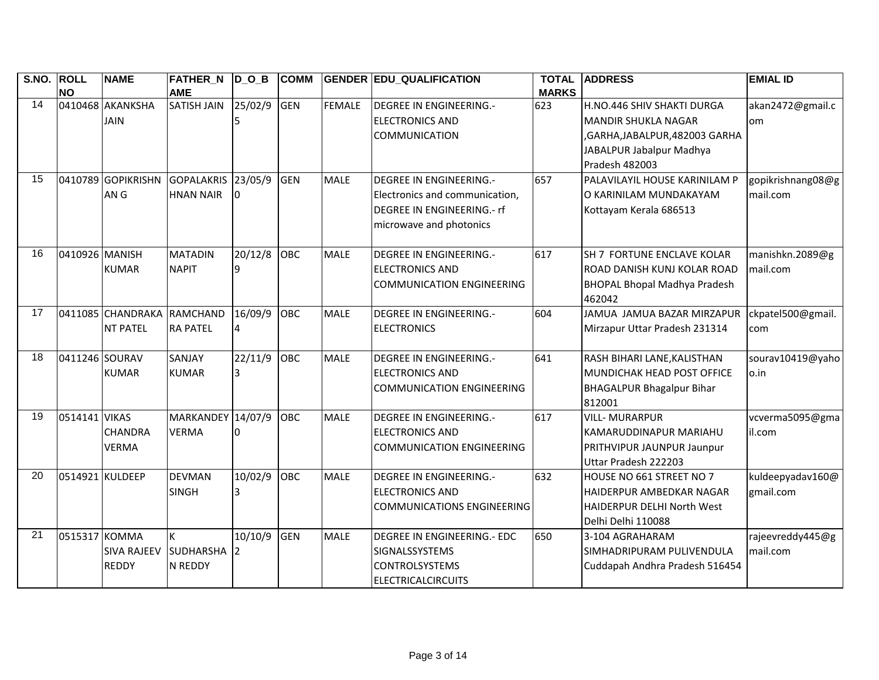| S.NO. ROLL |                 | <b>NAME</b>                | <b>FATHER N DOB</b> |         | <b>COMM</b> |               | <b>GENDER EDU_QUALIFICATION</b>   | <b>TOTAL</b> | <b>ADDRESS</b>                      | <b>EMIAL ID</b>   |
|------------|-----------------|----------------------------|---------------------|---------|-------------|---------------|-----------------------------------|--------------|-------------------------------------|-------------------|
|            | <b>NO</b>       |                            | <b>AME</b>          |         |             |               |                                   | <b>MARKS</b> |                                     |                   |
| 14         |                 | 0410468 AKANKSHA           | <b>SATISH JAIN</b>  | 25/02/9 | <b>GEN</b>  | <b>FEMALE</b> | DEGREE IN ENGINEERING.-           | 623          | H.NO.446 SHIV SHAKTI DURGA          | akan2472@gmail.c  |
|            |                 | <b>JAIN</b>                |                     |         |             |               | <b>ELECTRONICS AND</b>            |              | <b>MANDIR SHUKLA NAGAR</b>          | om                |
|            |                 |                            |                     |         |             |               | <b>COMMUNICATION</b>              |              | ,GARHA,JABALPUR,482003 GARHA        |                   |
|            |                 |                            |                     |         |             |               |                                   |              | JABALPUR Jabalpur Madhya            |                   |
|            |                 |                            |                     |         |             |               |                                   |              | Pradesh 482003                      |                   |
| 15         |                 | 0410789 GOPIKRISHN         | GOPALAKRIS 23/05/9  |         | <b>GEN</b>  | <b>MALE</b>   | <b>DEGREE IN ENGINEERING.-</b>    | 657          | PALAVILAYIL HOUSE KARINILAM P       | gopikrishnang08@g |
|            |                 | AN G                       | <b>HNAN NAIR</b>    |         |             |               | Electronics and communication,    |              | O KARINILAM MUNDAKAYAM              | mail.com          |
|            |                 |                            |                     |         |             |               | DEGREE IN ENGINEERING.- rf        |              | Kottayam Kerala 686513              |                   |
|            |                 |                            |                     |         |             |               | microwave and photonics           |              |                                     |                   |
|            |                 |                            |                     |         |             |               |                                   |              |                                     |                   |
| 16         | 0410926 MANISH  |                            | <b>MATADIN</b>      | 20/12/8 | OBC         | <b>MALE</b>   | <b>DEGREE IN ENGINEERING.-</b>    | 617          | SH 7 FORTUNE ENCLAVE KOLAR          | manishkn.2089@g   |
|            |                 | <b>KUMAR</b>               | <b>NAPIT</b>        |         |             |               | <b>ELECTRONICS AND</b>            |              | ROAD DANISH KUNJ KOLAR ROAD         | mail.com          |
|            |                 |                            |                     |         |             |               | <b>COMMUNICATION ENGINEERING</b>  |              | <b>BHOPAL Bhopal Madhya Pradesh</b> |                   |
|            |                 |                            |                     |         |             |               |                                   |              | 462042                              |                   |
| 17         |                 | 0411085 CHANDRAKA RAMCHAND |                     | 16/09/9 | OBC         | <b>MALE</b>   | <b>DEGREE IN ENGINEERING.-</b>    | 604          | JAMUA JAMUA BAZAR MIRZAPUR          | ckpatel500@gmail. |
|            |                 | <b>NT PATEL</b>            | <b>RA PATEL</b>     | 4       |             |               | <b>ELECTRONICS</b>                |              | Mirzapur Uttar Pradesh 231314       | com               |
|            |                 |                            |                     |         |             |               |                                   |              |                                     |                   |
| 18         | 0411246 SOURAV  |                            | SANJAY              | 22/11/9 | <b>OBC</b>  | <b>MALE</b>   | <b>DEGREE IN ENGINEERING.-</b>    | 641          | RASH BIHARI LANE, KALISTHAN         | sourav10419@yaho  |
|            |                 | <b>KUMAR</b>               | <b>KUMAR</b>        |         |             |               | <b>ELECTRONICS AND</b>            |              | MUNDICHAK HEAD POST OFFICE          | o.in              |
|            |                 |                            |                     |         |             |               | <b>COMMUNICATION ENGINEERING</b>  |              | <b>BHAGALPUR Bhagalpur Bihar</b>    |                   |
|            |                 |                            |                     |         |             |               |                                   |              | 812001                              |                   |
| 19         | 0514141 VIKAS   |                            | <b>MARKANDEY</b>    | 14/07/9 | <b>OBC</b>  | <b>MALE</b>   | <b>DEGREE IN ENGINEERING.-</b>    | 617          | <b>VILL-MURARPUR</b>                | vcverma5095@gma   |
|            |                 | <b>CHANDRA</b>             | <b>VERMA</b>        |         |             |               | <b>ELECTRONICS AND</b>            |              | KAMARUDDINAPUR MARIAHU              | il.com            |
|            |                 | <b>VERMA</b>               |                     |         |             |               | <b>COMMUNICATION ENGINEERING</b>  |              | PRITHVIPUR JAUNPUR Jaunpur          |                   |
|            |                 |                            |                     |         |             |               |                                   |              | Uttar Pradesh 222203                |                   |
| 20         | 0514921 KULDEEP |                            | <b>DEVMAN</b>       | 10/02/9 | <b>OBC</b>  | <b>MALE</b>   | <b>DEGREE IN ENGINEERING.-</b>    | 632          | HOUSE NO 661 STREET NO 7            | kuldeepyadav160@  |
|            |                 |                            | <b>SINGH</b>        |         |             |               | <b>ELECTRONICS AND</b>            |              | <b>HAIDERPUR AMBEDKAR NAGAR</b>     | gmail.com         |
|            |                 |                            |                     |         |             |               | <b>COMMUNICATIONS ENGINEERING</b> |              | <b>HAIDERPUR DELHI North West</b>   |                   |
|            |                 |                            |                     |         |             |               |                                   |              | Delhi Delhi 110088                  |                   |
| 21         | 0515317         | <b>KOMMA</b>               | K                   | 10/10/9 | <b>GEN</b>  | <b>MALE</b>   | DEGREE IN ENGINEERING.- EDC       | 650          | 3-104 AGRAHARAM                     | rajeevreddy445@g  |
|            |                 | <b>SIVA RAJEEV</b>         | <b>SUDHARSHA</b>    | 12      |             |               | SIGNALSSYSTEMS                    |              | SIMHADRIPURAM PULIVENDULA           | mail.com          |
|            |                 | <b>REDDY</b>               | N REDDY             |         |             |               | <b>CONTROLSYSTEMS</b>             |              | Cuddapah Andhra Pradesh 516454      |                   |
|            |                 |                            |                     |         |             |               | <b>ELECTRICALCIRCUITS</b>         |              |                                     |                   |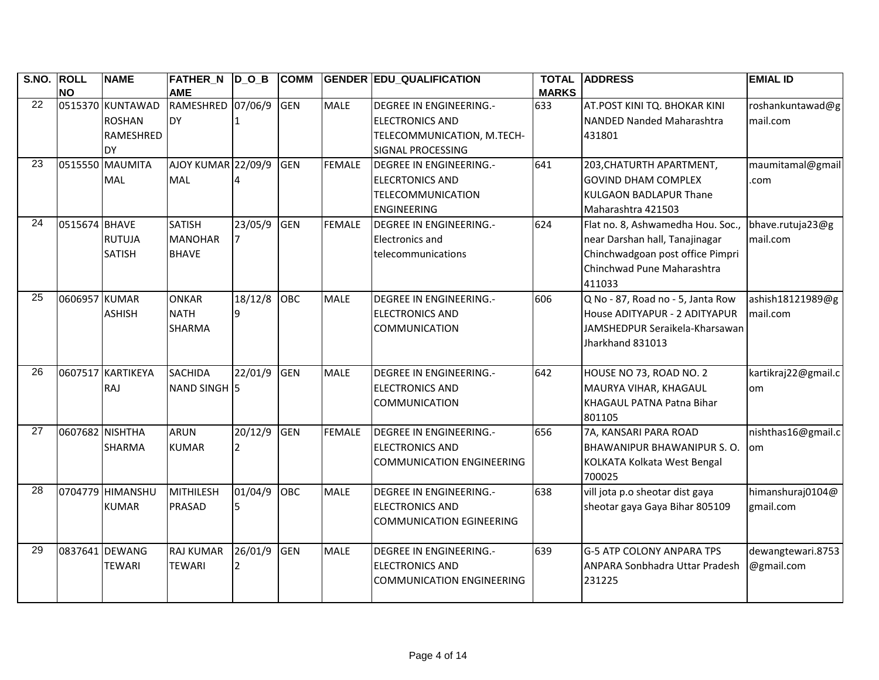| S.NO. ROLL      |                 | <b>NAME</b>       | <b>FATHER_N D_O_B</b> |         | <b>COMM</b> |               | <b>GENDER EDU QUALIFICATION</b>  | <b>TOTAL</b> | <b>ADDRESS</b>                     | <b>EMIAL ID</b>     |
|-----------------|-----------------|-------------------|-----------------------|---------|-------------|---------------|----------------------------------|--------------|------------------------------------|---------------------|
|                 | <b>NO</b>       |                   | <b>AME</b>            |         |             |               |                                  | <b>MARKS</b> |                                    |                     |
| 22              |                 | 0515370 KUNTAWAD  | RAMESHRED             | 07/06/9 | <b>GEN</b>  | <b>MALE</b>   | <b>DEGREE IN ENGINEERING.-</b>   | 633          | AT.POST KINI TQ. BHOKAR KINI       | roshankuntawad@g    |
|                 |                 | <b>ROSHAN</b>     | DY                    |         |             |               | <b>ELECTRONICS AND</b>           |              | NANDED Nanded Maharashtra          | mail.com            |
|                 |                 | RAMESHRED         |                       |         |             |               | TELECOMMUNICATION, M.TECH-       |              | 431801                             |                     |
|                 |                 | <b>DY</b>         |                       |         |             |               | SIGNAL PROCESSING                |              |                                    |                     |
| 23              |                 | 0515550 MAUMITA   | AJOY KUMAR 22/09/9    |         | <b>GEN</b>  | <b>FEMALE</b> | <b>DEGREE IN ENGINEERING.-</b>   | 641          | 203, CHATURTH APARTMENT,           | maumitamal@gmail    |
|                 |                 | <b>MAL</b>        | <b>MAL</b>            |         |             |               | <b>ELECRTONICS AND</b>           |              | <b>GOVIND DHAM COMPLEX</b>         | .com                |
|                 |                 |                   |                       |         |             |               | <b>TELECOMMUNICATION</b>         |              | <b>KULGAON BADLAPUR Thane</b>      |                     |
|                 |                 |                   |                       |         |             |               | <b>ENGINEERING</b>               |              | Maharashtra 421503                 |                     |
| 24              | 0515674 BHAVE   |                   | <b>SATISH</b>         | 23/05/9 | <b>GEN</b>  | <b>FEMALE</b> | <b>DEGREE IN ENGINEERING.-</b>   | 624          | Flat no. 8, Ashwamedha Hou. Soc.,  | bhave.rutuja23@g    |
|                 |                 | <b>RUTUJA</b>     | <b>MANOHAR</b>        |         |             |               | <b>Electronics and</b>           |              | near Darshan hall, Tanajinagar     | mail.com            |
|                 |                 | <b>SATISH</b>     | <b>BHAVE</b>          |         |             |               | telecommunications               |              | Chinchwadgoan post office Pimpri   |                     |
|                 |                 |                   |                       |         |             |               |                                  |              | Chinchwad Pune Maharashtra         |                     |
|                 |                 |                   |                       |         |             |               |                                  |              | 411033                             |                     |
| 25              | 0606957 KUMAR   |                   | <b>ONKAR</b>          | 18/12/8 | OBC         | <b>MALE</b>   | <b>DEGREE IN ENGINEERING.-</b>   | 606          | Q No - 87, Road no - 5, Janta Row  | ashish18121989@g    |
|                 |                 | <b>ASHISH</b>     | <b>NATH</b>           |         |             |               | <b>ELECTRONICS AND</b>           |              | House ADITYAPUR - 2 ADITYAPUR      | mail.com            |
|                 |                 |                   | <b>SHARMA</b>         |         |             |               | COMMUNICATION                    |              | JAMSHEDPUR Seraikela-Kharsawan     |                     |
|                 |                 |                   |                       |         |             |               |                                  |              | Jharkhand 831013                   |                     |
|                 |                 |                   |                       |         |             |               |                                  |              |                                    |                     |
| $\overline{26}$ |                 | 0607517 KARTIKEYA | <b>SACHIDA</b>        | 22/01/9 | <b>GEN</b>  | <b>MALE</b>   | <b>DEGREE IN ENGINEERING.-</b>   | 642          | HOUSE NO 73, ROAD NO. 2            | kartikraj22@gmail.c |
|                 |                 | RAJ               | NAND SINGH 5          |         |             |               | <b>ELECTRONICS AND</b>           |              | MAURYA VIHAR, KHAGAUL              | lom                 |
|                 |                 |                   |                       |         |             |               | <b>COMMUNICATION</b>             |              | KHAGAUL PATNA Patna Bihar          |                     |
|                 |                 |                   |                       |         |             |               |                                  |              | 801105                             |                     |
| $\overline{27}$ | 0607682 NISHTHA |                   | <b>ARUN</b>           | 20/12/9 | GEN         | <b>FEMALE</b> | <b>DEGREE IN ENGINEERING.-</b>   | 656          | 7A, KANSARI PARA ROAD              | nishthas16@gmail.c  |
|                 |                 | <b>SHARMA</b>     | <b>KUMAR</b>          |         |             |               | <b>ELECTRONICS AND</b>           |              | <b>BHAWANIPUR BHAWANIPUR S. O.</b> | om                  |
|                 |                 |                   |                       |         |             |               | <b>COMMUNICATION ENGINEERING</b> |              | KOLKATA Kolkata West Bengal        |                     |
|                 |                 |                   |                       |         |             |               |                                  |              | 700025                             |                     |
| 28              |                 | 0704779 HIMANSHU  | <b>MITHILESH</b>      | 01/04/9 | OBC         | <b>MALE</b>   | <b>DEGREE IN ENGINEERING.-</b>   | 638          | vill jota p.o sheotar dist gaya    | himanshuraj0104@    |
|                 |                 | <b>KUMAR</b>      | PRASAD                |         |             |               | <b>ELECTRONICS AND</b>           |              | sheotar gaya Gaya Bihar 805109     | gmail.com           |
|                 |                 |                   |                       |         |             |               | <b>COMMUNICATION EGINEERING</b>  |              |                                    |                     |
|                 |                 |                   |                       |         |             |               |                                  |              |                                    |                     |
| 29              |                 | 0837641 DEWANG    | <b>RAJ KUMAR</b>      | 26/01/9 | <b>GEN</b>  | <b>MALE</b>   | <b>DEGREE IN ENGINEERING.-</b>   | 639          | <b>G-5 ATP COLONY ANPARA TPS</b>   | dewangtewari.8753   |
|                 |                 | <b>TEWARI</b>     | <b>TEWARI</b>         |         |             |               | <b>ELECTRONICS AND</b>           |              | ANPARA Sonbhadra Uttar Pradesh     | @gmail.com          |
|                 |                 |                   |                       |         |             |               | <b>COMMUNICATION ENGINEERING</b> |              | 231225                             |                     |
|                 |                 |                   |                       |         |             |               |                                  |              |                                    |                     |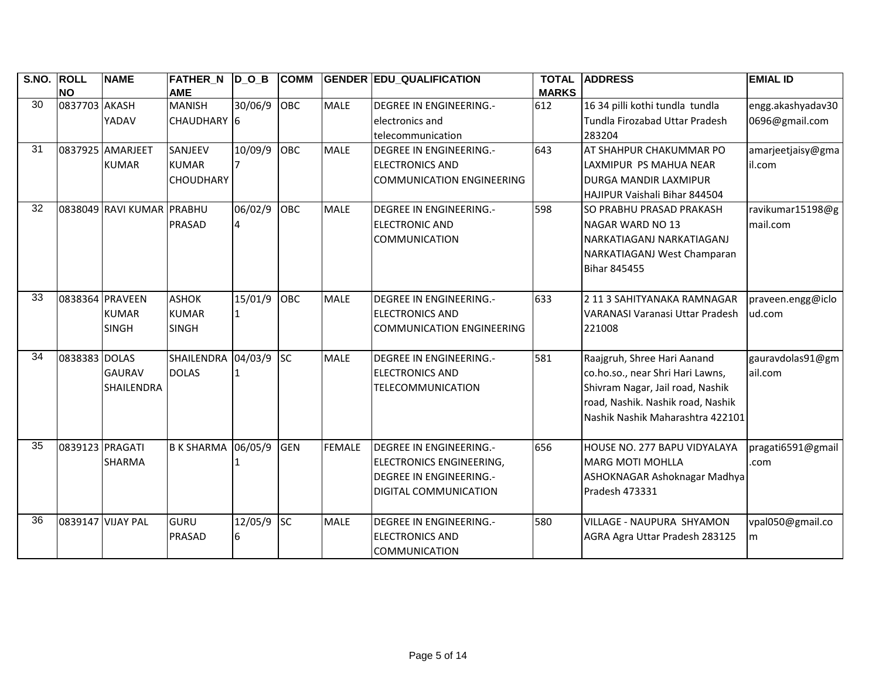| S.NO. ROLL      |                 | <b>NAME</b>               | FATHER_N D_O_B          |         | <b>COMM</b> |               | <b>GENDER EDU_QUALIFICATION</b>  | <b>TOTAL</b> | <b>ADDRESS</b>                    | <b>EMIAL ID</b>   |
|-----------------|-----------------|---------------------------|-------------------------|---------|-------------|---------------|----------------------------------|--------------|-----------------------------------|-------------------|
|                 | <b>NO</b>       |                           | <b>AME</b>              |         |             |               |                                  | <b>MARKS</b> |                                   |                   |
| 30              | 0837703 AKASH   |                           | <b>MANISH</b>           | 30/06/9 | OBC         | <b>MALE</b>   | <b>DEGREE IN ENGINEERING.-</b>   | 612          | 16 34 pilli kothi tundla tundla   | engg.akashyadav30 |
|                 |                 | YADAV                     | CHAUDHARY <sup>16</sup> |         |             |               | electronics and                  |              | Tundla Firozabad Uttar Pradesh    | 0696@gmail.com    |
|                 |                 |                           |                         |         |             |               | telecommunication                |              | 283204                            |                   |
| 31              |                 | 0837925 AMARJEET          | SANJEEV                 | 10/09/9 | <b>OBC</b>  | <b>MALE</b>   | <b>DEGREE IN ENGINEERING.-</b>   | 643          | AT SHAHPUR CHAKUMMAR PO           | amarjeetjaisy@gma |
|                 |                 | <b>KUMAR</b>              | <b>KUMAR</b>            |         |             |               | <b>ELECTRONICS AND</b>           |              | LAXMIPUR PS MAHUA NEAR            | il.com            |
|                 |                 |                           | <b>CHOUDHARY</b>        |         |             |               | <b>COMMUNICATION ENGINEERING</b> |              | <b>IDURGA MANDIR LAXMIPUR</b>     |                   |
|                 |                 |                           |                         |         |             |               |                                  |              | HAJIPUR Vaishali Bihar 844504     |                   |
| 32              |                 | 0838049 RAVI KUMAR PRABHU |                         | 06/02/9 | OBC         | <b>MALE</b>   | <b>DEGREE IN ENGINEERING.-</b>   | 598          | SO PRABHU PRASAD PRAKASH          | ravikumar15198@g  |
|                 |                 |                           | PRASAD                  |         |             |               | <b>ELECTRONIC AND</b>            |              | NAGAR WARD NO 13                  | mail.com          |
|                 |                 |                           |                         |         |             |               | <b>COMMUNICATION</b>             |              | NARKATIAGANJ NARKATIAGANJ         |                   |
|                 |                 |                           |                         |         |             |               |                                  |              | NARKATIAGANJ West Champaran       |                   |
|                 |                 |                           |                         |         |             |               |                                  |              | <b>Bihar 845455</b>               |                   |
|                 |                 |                           |                         |         |             |               |                                  |              |                                   |                   |
| 33              |                 | 0838364 PRAVEEN           | <b>ASHOK</b>            | 15/01/9 | OBC         | <b>MALE</b>   | <b>DEGREE IN ENGINEERING.-</b>   | 633          | 2 11 3 SAHITYANAKA RAMNAGAR       | praveen.engg@iclo |
|                 |                 | <b>KUMAR</b>              | <b>KUMAR</b>            |         |             |               | <b>ELECTRONICS AND</b>           |              | VARANASI Varanasi Uttar Pradesh   | ud.com            |
|                 |                 | <b>SINGH</b>              | <b>SINGH</b>            |         |             |               | <b>COMMUNICATION ENGINEERING</b> |              | 221008                            |                   |
|                 |                 |                           |                         |         |             |               |                                  |              |                                   |                   |
| 34              | 0838383 DOLAS   |                           | SHAILENDRA              | 04/03/9 | <b>SC</b>   | <b>MALE</b>   | <b>DEGREE IN ENGINEERING.-</b>   | 581          | Raajgruh, Shree Hari Aanand       | gauravdolas91@gm  |
|                 |                 | <b>GAURAV</b>             | <b>DOLAS</b>            |         |             |               | <b>ELECTRONICS AND</b>           |              | co.ho.so., near Shri Hari Lawns,  | ail.com           |
|                 |                 | <b>SHAILENDRA</b>         |                         |         |             |               | <b>TELECOMMUNICATION</b>         |              | Shivram Nagar, Jail road, Nashik  |                   |
|                 |                 |                           |                         |         |             |               |                                  |              | road, Nashik. Nashik road, Nashik |                   |
|                 |                 |                           |                         |         |             |               |                                  |              | Nashik Nashik Maharashtra 422101  |                   |
|                 |                 |                           |                         |         |             |               |                                  |              |                                   |                   |
| $\overline{35}$ | 0839123 PRAGATI |                           | <b>B K SHARMA</b>       | 06/05/9 | GEN         | <b>FEMALE</b> | <b>DEGREE IN ENGINEERING.-</b>   | 656          | HOUSE NO. 277 BAPU VIDYALAYA      | pragati6591@gmail |
|                 |                 | <b>SHARMA</b>             |                         |         |             |               | <b>ELECTRONICS ENGINEERING,</b>  |              | <b>MARG MOTI MOHLLA</b>           | .com              |
|                 |                 |                           |                         |         |             |               | <b>DEGREE IN ENGINEERING.-</b>   |              | ASHOKNAGAR Ashoknagar Madhya      |                   |
|                 |                 |                           |                         |         |             |               | DIGITAL COMMUNICATION            |              | Pradesh 473331                    |                   |
|                 |                 |                           |                         |         |             |               |                                  |              |                                   |                   |
| 36              |                 | 0839147 VIJAY PAL         | GURU                    | 12/05/9 | <b>SC</b>   | <b>MALE</b>   | <b>DEGREE IN ENGINEERING.-</b>   | 580          | VILLAGE - NAUPURA SHYAMON         | vpal050@gmail.co  |
|                 |                 |                           | PRASAD                  | 6       |             |               | <b>ELECTRONICS AND</b>           |              | AGRA Agra Uttar Pradesh 283125    | m                 |
|                 |                 |                           |                         |         |             |               | <b>COMMUNICATION</b>             |              |                                   |                   |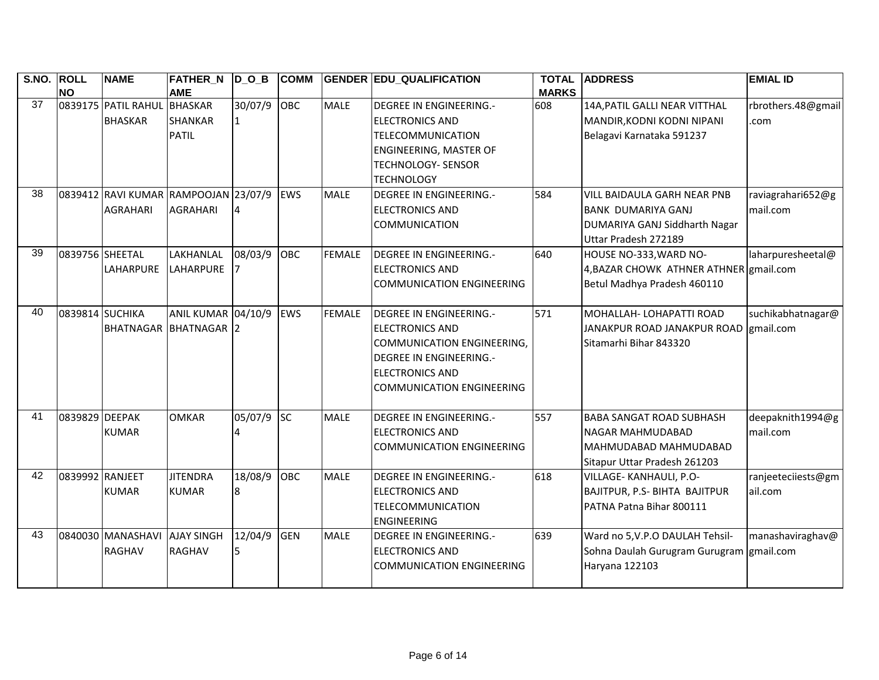| S.NO. ROLL      | <b>NO</b>       | <b>NAME</b>                                             | <b>FATHER_N</b><br><b>AME</b>      | $D_0_B$      | <b>COMM</b> |               | <b>GENDER EDU_QUALIFICATION</b>                                                                                                                                                        | <b>TOTAL</b><br><b>MARKS</b> | <b>ADDRESS</b>                                                                                                    | <b>EMIAL ID</b>               |
|-----------------|-----------------|---------------------------------------------------------|------------------------------------|--------------|-------------|---------------|----------------------------------------------------------------------------------------------------------------------------------------------------------------------------------------|------------------------------|-------------------------------------------------------------------------------------------------------------------|-------------------------------|
| 37              |                 | 0839175 PATIL RAHUL BHASKAR<br><b>BHASKAR</b>           | <b>SHANKAR</b><br><b>PATIL</b>     | 30/07/9 OBC  |             | <b>MALE</b>   | <b>DEGREE IN ENGINEERING.-</b><br><b>ELECTRONICS AND</b><br><b>TELECOMMUNICATION</b>                                                                                                   | 608                          | 14A, PATIL GALLI NEAR VITTHAL<br>MANDIR, KODNI KODNI NIPANI<br>Belagavi Karnataka 591237                          | rbrothers.48@gmail<br>.com    |
|                 |                 |                                                         |                                    |              |             |               | ENGINEERING, MASTER OF<br><b>TECHNOLOGY- SENSOR</b><br><b>TECHNOLOGY</b>                                                                                                               |                              |                                                                                                                   |                               |
| 38              |                 | 0839412 RAVI KUMAR RAMPOOJAN 23/07/9<br><b>AGRAHARI</b> | <b>AGRAHARI</b>                    |              | EWS         | <b>MALE</b>   | <b>DEGREE IN ENGINEERING.-</b><br><b>ELECTRONICS AND</b><br>COMMUNICATION                                                                                                              | 584                          | VILL BAIDAULA GARH NEAR PNB<br><b>BANK DUMARIYA GANJ</b><br>DUMARIYA GANJ Siddharth Nagar<br>Uttar Pradesh 272189 | raviagrahari652@g<br>mail.com |
| 39              | 0839756 SHEETAL | <b>LAHARPURE</b>                                        | LAKHANLAL<br><b>LAHARPURE</b>      | 08/03/9      | OBC         | <b>FEMALE</b> | <b>DEGREE IN ENGINEERING.-</b><br><b>ELECTRONICS AND</b><br><b>COMMUNICATION ENGINEERING</b>                                                                                           | 640                          | HOUSE NO-333, WARD NO-<br>4, BAZAR CHOWK ATHNER ATHNER gmail.com<br>Betul Madhya Pradesh 460110                   | laharpuresheetal@             |
| 40              | 0839814 SUCHIKA | BHATNAGAR BHATNAGAR 2                                   | ANIL KUMAR 04/10/9                 |              | EWS         | <b>FEMALE</b> | <b>DEGREE IN ENGINEERING.-</b><br><b>ELECTRONICS AND</b><br>COMMUNICATION ENGINEERING,<br><b>DEGREE IN ENGINEERING.-</b><br><b>ELECTRONICS AND</b><br><b>COMMUNICATION ENGINEERING</b> | 571                          | MOHALLAH- LOHAPATTI ROAD<br>JANAKPUR ROAD JANAKPUR ROAD gmail.com<br>Sitamarhi Bihar 843320                       | suchikabhatnagar@             |
| 41              | 0839829 DEEPAK  | <b>KUMAR</b>                                            | <b>OMKAR</b>                       | 05/07/9      | <b>SC</b>   | <b>MALE</b>   | <b>DEGREE IN ENGINEERING.-</b><br><b>ELECTRONICS AND</b><br><b>COMMUNICATION ENGINEERING</b>                                                                                           | 557                          | <b>BABA SANGAT ROAD SUBHASH</b><br>NAGAR MAHMUDABAD<br>MAHMUDABAD MAHMUDABAD<br>Sitapur Uttar Pradesh 261203      | deepaknith1994@g<br>mail.com  |
| $\overline{42}$ | 0839992 RANJEET | <b>KUMAR</b>                                            | <b>JITENDRA</b><br><b>KUMAR</b>    | 18/08/9<br>8 | OBC         | <b>MALE</b>   | <b>DEGREE IN ENGINEERING.-</b><br><b>ELECTRONICS AND</b><br>TELECOMMUNICATION<br><b>ENGINEERING</b>                                                                                    | 618                          | VILLAGE- KANHAULI, P.O-<br>BAJITPUR, P.S- BIHTA BAJITPUR<br>PATNA Patna Bihar 800111                              | ranjeeteciiests@gm<br>ail.com |
| 43              |                 | 0840030 MANASHAVI<br><b>RAGHAV</b>                      | <b>AJAY SINGH</b><br><b>RAGHAV</b> | 12/04/9<br>5 | <b>GEN</b>  | <b>MALE</b>   | <b>DEGREE IN ENGINEERING.-</b><br><b>ELECTRONICS AND</b><br><b>COMMUNICATION ENGINEERING</b>                                                                                           | 639                          | Ward no 5, V.P.O DAULAH Tehsil-<br>Sohna Daulah Gurugram Gurugram gmail.com<br>Haryana 122103                     | manashaviraghav@              |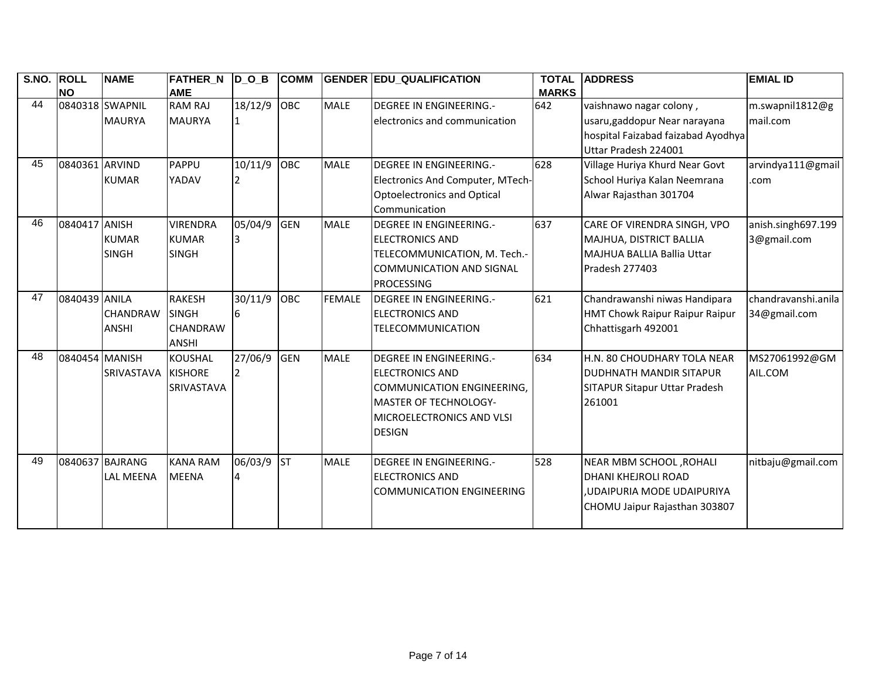| S.NO. | <b>ROLL</b>     | <b>NAME</b>       | <b>FATHER N DOB</b> |                | <b>COMM</b> |               | <b>GENDER EDU QUALIFICATION</b>  | <b>TOTAL</b> | <b>ADDRESS</b>                        | <b>EMIAL ID</b>     |
|-------|-----------------|-------------------|---------------------|----------------|-------------|---------------|----------------------------------|--------------|---------------------------------------|---------------------|
|       | <b>NO</b>       |                   | <b>AME</b>          |                |             |               |                                  | <b>MARKS</b> |                                       |                     |
| 44    | 0840318 SWAPNIL |                   | <b>RAM RAJ</b>      | 18/12/9        | <b>OBC</b>  | <b>MALE</b>   | <b>DEGREE IN ENGINEERING.-</b>   | 642          | vaishnawo nagar colony,               | m.swapnil1812@g     |
|       |                 | <b>MAURYA</b>     | <b>MAURYA</b>       | 1              |             |               | electronics and communication    |              | usaru, gaddopur Near narayana         | mail.com            |
|       |                 |                   |                     |                |             |               |                                  |              | hospital Faizabad faizabad Ayodhya    |                     |
|       |                 |                   |                     |                |             |               |                                  |              | Uttar Pradesh 224001                  |                     |
| 45    | 0840361 ARVIND  |                   | PAPPU               | 10/11/9        | OBC         | <b>MALE</b>   | <b>DEGREE IN ENGINEERING.-</b>   | 628          | Village Huriya Khurd Near Govt        | arvindya111@gmail   |
|       |                 | <b>KUMAR</b>      | YADAV               |                |             |               | Electronics And Computer, MTech- |              | School Huriya Kalan Neemrana          | .com                |
|       |                 |                   |                     |                |             |               | Optoelectronics and Optical      |              | Alwar Rajasthan 301704                |                     |
|       |                 |                   |                     |                |             |               | Communication                    |              |                                       |                     |
| 46    | 0840417 ANISH   |                   | <b>VIRENDRA</b>     | 05/04/9        | <b>GEN</b>  | <b>MALE</b>   | <b>DEGREE IN ENGINEERING.-</b>   | 637          | CARE OF VIRENDRA SINGH, VPO           | anish.singh697.199  |
|       |                 | <b>KUMAR</b>      | <b>KUMAR</b>        |                |             |               | <b>ELECTRONICS AND</b>           |              | MAJHUA, DISTRICT BALLIA               | 3@gmail.com         |
|       |                 | <b>SINGH</b>      | <b>SINGH</b>        |                |             |               | TELECOMMUNICATION, M. Tech.-     |              | MAJHUA BALLIA Ballia Uttar            |                     |
|       |                 |                   |                     |                |             |               | <b>COMMUNICATION AND SIGNAL</b>  |              | Pradesh 277403                        |                     |
|       |                 |                   |                     |                |             |               | <b>PROCESSING</b>                |              |                                       |                     |
| 47    | 0840439 ANILA   |                   | <b>RAKESH</b>       | 30/11/9        | <b>OBC</b>  | <b>FEMALE</b> | <b>DEGREE IN ENGINEERING.-</b>   | 621          | Chandrawanshi niwas Handipara         | chandravanshi.anila |
|       |                 | CHANDRAW          | <b>SINGH</b>        |                |             |               | <b>ELECTRONICS AND</b>           |              | <b>HMT Chowk Raipur Raipur Raipur</b> | 34@gmail.com        |
|       |                 | <b>ANSHI</b>      | <b>CHANDRAW</b>     |                |             |               | TELECOMMUNICATION                |              | Chhattisgarh 492001                   |                     |
|       |                 |                   | <b>ANSHI</b>        |                |             |               |                                  |              |                                       |                     |
| 48    | 0840454 MANISH  |                   | <b>KOUSHAL</b>      | 27/06/9        | GEN         | <b>MALE</b>   | <b>DEGREE IN ENGINEERING.-</b>   | 634          | H.N. 80 CHOUDHARY TOLA NEAR           | MS27061992@GM       |
|       |                 | <b>SRIVASTAVA</b> | <b>KISHORE</b>      | 12             |             |               | <b>IELECTRONICS AND</b>          |              | IDUDHNATH MANDIR SITAPUR              | AIL.COM             |
|       |                 |                   | SRIVASTAVA          |                |             |               | COMMUNICATION ENGINEERING,       |              | SITAPUR Sitapur Uttar Pradesh         |                     |
|       |                 |                   |                     |                |             |               | <b>MASTER OF TECHNOLOGY-</b>     |              | 261001                                |                     |
|       |                 |                   |                     |                |             |               | MICROELECTRONICS AND VLSI        |              |                                       |                     |
|       |                 |                   |                     |                |             |               | <b>DESIGN</b>                    |              |                                       |                     |
|       |                 |                   |                     |                |             |               |                                  |              |                                       |                     |
| 49    | 0840637 BAJRANG |                   | <b>KANA RAM</b>     | 06/03/9        | <b>ST</b>   | <b>MALE</b>   | <b>DEGREE IN ENGINEERING.-</b>   | 528          | NEAR MBM SCHOOL, ROHALI               | nitbaju@gmail.com   |
|       |                 | <b>LAL MEENA</b>  | <b>MEENA</b>        | $\overline{4}$ |             |               | <b>ELECTRONICS AND</b>           |              | IDHANI KHEJROLI ROAD                  |                     |
|       |                 |                   |                     |                |             |               | COMMUNICATION ENGINEERING        |              | <b>.UDAIPURIA MODE UDAIPURIYA</b>     |                     |
|       |                 |                   |                     |                |             |               |                                  |              | CHOMU Jaipur Rajasthan 303807         |                     |
|       |                 |                   |                     |                |             |               |                                  |              |                                       |                     |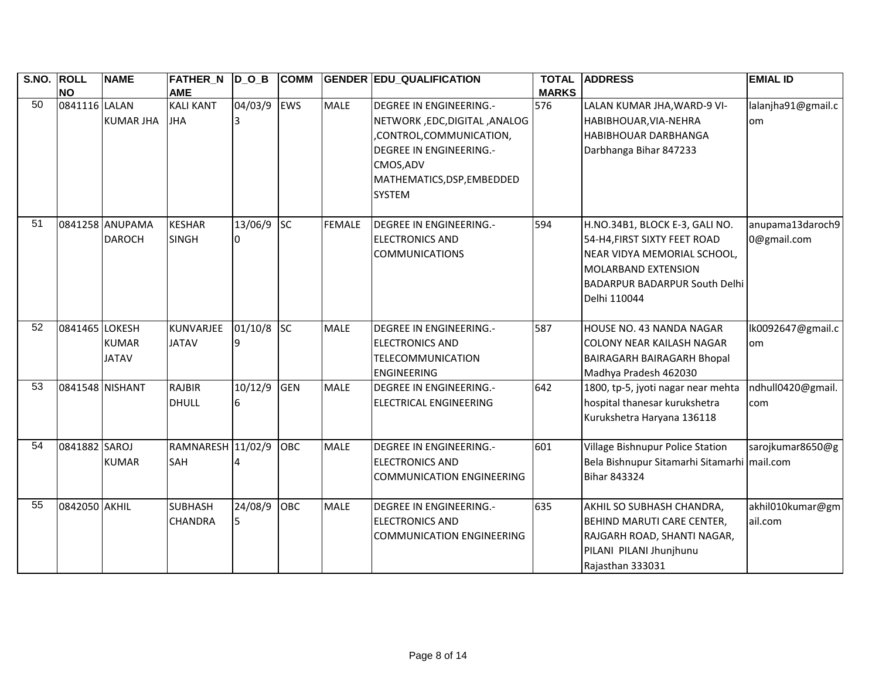| S.NO. ROLL      | <b>NO</b>       | <b>NAME</b>                      | <b>FATHER_N</b><br><b>AME</b>    | $D_0_B$      | <b>COMM</b> |               | <b>GENDER EDU_QUALIFICATION</b>                                                                                                                                                   | <b>TOTAL</b><br><b>MARKS</b> | <b>ADDRESS</b>                                                                                                                                                                      | <b>EMIAL ID</b>                 |
|-----------------|-----------------|----------------------------------|----------------------------------|--------------|-------------|---------------|-----------------------------------------------------------------------------------------------------------------------------------------------------------------------------------|------------------------------|-------------------------------------------------------------------------------------------------------------------------------------------------------------------------------------|---------------------------------|
| 50              | 0841116 LALAN   | <b>KUMAR JHA</b>                 | <b>KALI KANT</b><br><b>JHA</b>   | 04/03/9      | EWS         | <b>MALE</b>   | <b>DEGREE IN ENGINEERING.-</b><br>NETWORK, EDC, DIGITAL, ANALOG<br>,CONTROL,COMMUNICATION,<br><b>DEGREE IN ENGINEERING.-</b><br>CMOS, ADV<br>MATHEMATICS, DSP, EMBEDDED<br>SYSTEM | 576                          | LALAN KUMAR JHA, WARD-9 VI-<br>HABIBHOUAR, VIA-NEHRA<br><b>HABIBHOUAR DARBHANGA</b><br>Darbhanga Bihar 847233                                                                       | lalanjha91@gmail.c<br>lom       |
| 51              |                 | 0841258 ANUPAMA<br><b>DAROCH</b> | <b>KESHAR</b><br><b>SINGH</b>    | 13/06/9      | <b>SC</b>   | <b>FEMALE</b> | <b>DEGREE IN ENGINEERING.-</b><br><b>ELECTRONICS AND</b><br><b>COMMUNICATIONS</b>                                                                                                 | 594                          | H.NO.34B1, BLOCK E-3, GALI NO.<br>54-H4, FIRST SIXTY FEET ROAD<br>NEAR VIDYA MEMORIAL SCHOOL,<br><b>MOLARBAND EXTENSION</b><br><b>BADARPUR BADARPUR South Delhi</b><br>Delhi 110044 | anupama13daroch9<br>0@gmail.com |
| 52              | 0841465 LOKESH  | <b>KUMAR</b><br><b>JATAV</b>     | KUNVARJEE<br><b>JATAV</b>        | 01/10/8<br>q | <b>SC</b>   | <b>MALE</b>   | <b>DEGREE IN ENGINEERING.-</b><br><b>ELECTRONICS AND</b><br><b>TELECOMMUNICATION</b><br><b>ENGINEERING</b>                                                                        | 587                          | HOUSE NO. 43 NANDA NAGAR<br><b>COLONY NEAR KAILASH NAGAR</b><br><b>BAIRAGARH BAIRAGARH Bhopal</b><br>Madhya Pradesh 462030                                                          | lk0092647@gmail.c<br>lom        |
| $\overline{53}$ | 0841548 NISHANT |                                  | <b>RAJBIR</b><br><b>DHULL</b>    | 10/12/9      | GEN         | <b>MALE</b>   | <b>DEGREE IN ENGINEERING.-</b><br><b>ELECTRICAL ENGINEERING</b>                                                                                                                   | 642                          | 1800, tp-5, jyoti nagar near mehta<br>hospital thanesar kurukshetra<br>Kurukshetra Haryana 136118                                                                                   | ndhull0420@gmail.<br>com        |
| 54              | 0841882 SAROJ   | <b>KUMAR</b>                     | RAMNARESH 11/02/9<br>SAH         |              | <b>OBC</b>  | <b>MALE</b>   | <b>DEGREE IN ENGINEERING.-</b><br><b>ELECTRONICS AND</b><br><b>COMMUNICATION ENGINEERING</b>                                                                                      | 601                          | Village Bishnupur Police Station<br>Bela Bishnupur Sitamarhi Sitamarhi mail.com<br><b>Bihar 843324</b>                                                                              | sarojkumar8650@g                |
| 55              | 0842050 AKHIL   |                                  | <b>SUBHASH</b><br><b>CHANDRA</b> | 24/08/9      | OBC         | <b>MALE</b>   | <b>DEGREE IN ENGINEERING.-</b><br><b>ELECTRONICS AND</b><br><b>COMMUNICATION ENGINEERING</b>                                                                                      | 635                          | AKHIL SO SUBHASH CHANDRA,<br>BEHIND MARUTI CARE CENTER,<br>RAJGARH ROAD, SHANTI NAGAR,<br>PILANI PILANI Jhunjhunu<br>Rajasthan 333031                                               | akhil010kumar@gm <br>ail.com    |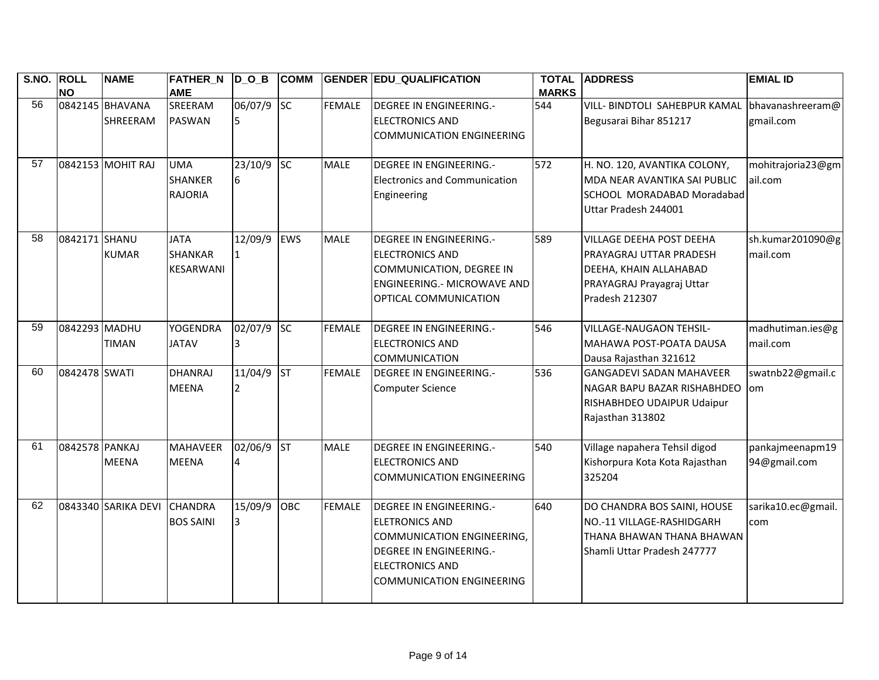| S.NO. ROLL      | <b>NO</b>      | <b>NAME</b>                 | <b>FATHER N</b><br><b>AME</b>                     | $D$ O B         | <b>COMM</b> |               | <b>GENDER EDU QUALIFICATION</b>                                                                                                                                                       | <b>TOTAL</b><br><b>MARKS</b> | <b>ADDRESS</b>                                                                                                               | <b>EMIAL ID</b>                 |
|-----------------|----------------|-----------------------------|---------------------------------------------------|-----------------|-------------|---------------|---------------------------------------------------------------------------------------------------------------------------------------------------------------------------------------|------------------------------|------------------------------------------------------------------------------------------------------------------------------|---------------------------------|
| 56              |                | 0842145 BHAVANA<br>SHREERAM | SREERAM<br><b>PASWAN</b>                          | 06/07/9 SC      |             | <b>FEMALE</b> | DEGREE IN ENGINEERING.-<br><b>ELECTRONICS AND</b><br><b>COMMUNICATION ENGINEERING</b>                                                                                                 | 544                          | <b>VILL- BINDTOLI SAHEBPUR KAMAL</b><br>Begusarai Bihar 851217                                                               | bhavanashreeram@<br>gmail.com   |
| $\overline{57}$ |                | 0842153 MOHIT RAJ           | <b>UMA</b><br><b>SHANKER</b><br><b>RAJORIA</b>    | 23/10/9 SC<br>6 |             | <b>MALE</b>   | <b>DEGREE IN ENGINEERING.-</b><br><b>Electronics and Communication</b><br>Engineering                                                                                                 | 572                          | H. NO. 120, AVANTIKA COLONY,<br>MDA NEAR AVANTIKA SAI PUBLIC<br>SCHOOL MORADABAD Moradabad<br>Uttar Pradesh 244001           | mohitrajoria23@gm<br>ail.com    |
| 58              | 0842171 SHANU  | <b>KUMAR</b>                | <b>JATA</b><br><b>SHANKAR</b><br><b>KESARWANI</b> | 12/09/9         | <b>EWS</b>  | <b>MALE</b>   | <b>DEGREE IN ENGINEERING.-</b><br><b>ELECTRONICS AND</b><br>COMMUNICATION, DEGREE IN<br><b>ENGINEERING.- MICROWAVE AND</b><br>OPTICAL COMMUNICATION                                   | 589                          | VILLAGE DEEHA POST DEEHA<br>PRAYAGRAJ UTTAR PRADESH<br>DEEHA, KHAIN ALLAHABAD<br>PRAYAGRAJ Prayagraj Uttar<br>Pradesh 212307 | sh.kumar201090@g<br>mail.com    |
| 59              | 0842293 MADHU  | TIMAN                       | <b>YOGENDRA</b><br><b>JATAV</b>                   | 02/07/9<br>3    | <b>SC</b>   | <b>FEMALE</b> | <b>DEGREE IN ENGINEERING.-</b><br><b>ELECTRONICS AND</b><br><b>COMMUNICATION</b>                                                                                                      | 546                          | VILLAGE-NAUGAON TEHSIL-<br>MAHAWA POST-POATA DAUSA<br>Dausa Rajasthan 321612                                                 | madhutiman.ies@g<br>mail.com    |
| 60              | 0842478 SWATI  |                             | <b>DHANRAJ</b><br><b>MEENA</b>                    | 11/04/9         | <b>ST</b>   | <b>FEMALE</b> | DEGREE IN ENGINEERING.-<br><b>Computer Science</b>                                                                                                                                    | 536                          | <b>GANGADEVI SADAN MAHAVEER</b><br>NAGAR BAPU BAZAR RISHABHDEO<br>RISHABHDEO UDAIPUR Udaipur<br>Rajasthan 313802             | swatnb22@gmail.c<br>lom         |
| 61              | 0842578 PANKAJ | <b>MEENA</b>                | <b>MAHAVEER</b><br><b>MEENA</b>                   | 02/06/9 ST      |             | <b>MALE</b>   | <b>DEGREE IN ENGINEERING.-</b><br><b>ELECTRONICS AND</b><br><b>COMMUNICATION ENGINEERING</b>                                                                                          | 540                          | Village napahera Tehsil digod<br>Kishorpura Kota Kota Rajasthan<br>325204                                                    | pankajmeenapm19<br>94@gmail.com |
| 62              |                | 0843340 SARIKA DEVI         | <b>CHANDRA</b><br><b>BOS SAINI</b>                | 15/09/9<br>3    | OBC         | <b>FEMALE</b> | DEGREE IN ENGINEERING.-<br><b>ELETRONICS AND</b><br><b>COMMUNICATION ENGINEERING,</b><br><b>DEGREE IN ENGINEERING.-</b><br><b>ELECTRONICS AND</b><br><b>COMMUNICATION ENGINEERING</b> | 640                          | DO CHANDRA BOS SAINI, HOUSE<br>NO.-11 VILLAGE-RASHIDGARH<br>THANA BHAWAN THANA BHAWAN<br>Shamli Uttar Pradesh 247777         | sarika10.ec@gmail.<br>com       |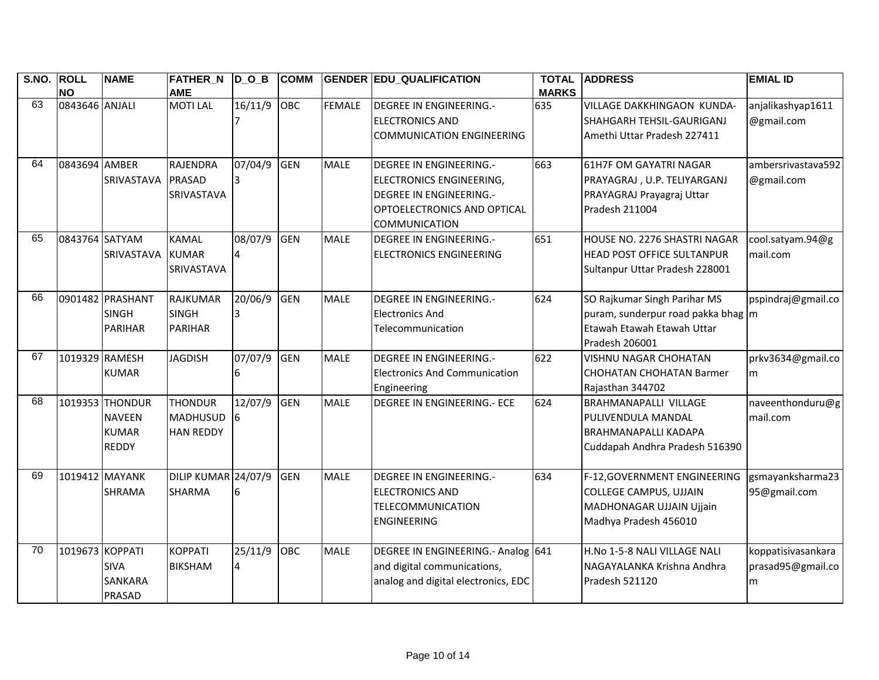| S.NO. | <b>ROLL</b><br><b>NO</b> | <b>NAME</b>      | <b>FATHER N</b><br><b>AME</b> | $D$ O B | <b>COMM</b> |               | <b>GENDER EDU QUALIFICATION</b>     | <b>TOTAL</b><br><b>MARKS</b> | <b>ADDRESS</b>                     | <b>EMIAL ID</b>    |
|-------|--------------------------|------------------|-------------------------------|---------|-------------|---------------|-------------------------------------|------------------------------|------------------------------------|--------------------|
| 63    | 0843646 ANJALI           |                  | <b>MOTILAL</b>                | 16/11/9 | <b>OBC</b>  | <b>FEMALE</b> | <b>DEGREE IN ENGINEERING.-</b>      | 635                          | <b>VILLAGE DAKKHINGAON KUNDA-</b>  | anjalikashyap1611  |
|       |                          |                  |                               |         |             |               | <b>ELECTRONICS AND</b>              |                              | SHAHGARH TEHSIL-GAURIGANJ          | @gmail.com         |
|       |                          |                  |                               |         |             |               | <b>COMMUNICATION ENGINEERING</b>    |                              | Amethi Uttar Pradesh 227411        |                    |
|       |                          |                  |                               |         |             |               |                                     |                              |                                    |                    |
| 64    | 0843694 AMBER            |                  | <b>RAJENDRA</b>               | 07/04/9 | GEN         | <b>MALE</b>   | DEGREE IN ENGINEERING.-             | 663                          | 61H7F OM GAYATRI NAGAR             | ambersrivastava592 |
|       |                          | SRIVASTAVA       | PRASAD                        |         |             |               | <b>ELECTRONICS ENGINEERING,</b>     |                              | PRAYAGRAJ, U.P. TELIYARGANJ        | @gmail.com         |
|       |                          |                  | SRIVASTAVA                    |         |             |               | DEGREE IN ENGINEERING.-             |                              | PRAYAGRAJ Prayagraj Uttar          |                    |
|       |                          |                  |                               |         |             |               | OPTOELECTRONICS AND OPTICAL         |                              | Pradesh 211004                     |                    |
|       |                          |                  |                               |         |             |               | <b>COMMUNICATION</b>                |                              |                                    |                    |
| 65    | 0843764 SATYAM           |                  | <b>KAMAL</b>                  | 08/07/9 | GEN         | <b>MALE</b>   | <b>DEGREE IN ENGINEERING.-</b>      | 651                          | HOUSE NO. 2276 SHASTRI NAGAR       | cool.satyam.94@g   |
|       |                          | SRIVASTAVA       | <b>KUMAR</b>                  |         |             |               | <b>ELECTRONICS ENGINEERING</b>      |                              | <b>HEAD POST OFFICE SULTANPUR</b>  | mail.com           |
|       |                          |                  | <b>SRIVASTAVA</b>             |         |             |               |                                     |                              | Sultanpur Uttar Pradesh 228001     |                    |
| 66    |                          | 0901482 PRASHANT | <b>RAJKUMAR</b>               | 20/06/9 | GEN         | <b>MALE</b>   | <b>DEGREE IN ENGINEERING.-</b>      | 624                          | SO Rajkumar Singh Parihar MS       | pspindraj@gmail.co |
|       |                          | <b>SINGH</b>     | <b>SINGH</b>                  |         |             |               | <b>Electronics And</b>              |                              | puram, sunderpur road pakka bhag m |                    |
|       |                          | <b>PARIHAR</b>   | <b>PARIHAR</b>                |         |             |               | Telecommunication                   |                              | Etawah Etawah Etawah Uttar         |                    |
|       |                          |                  |                               |         |             |               |                                     |                              | Pradesh 206001                     |                    |
| 67    | 1019329 RAMESH           |                  | <b>JAGDISH</b>                | 07/07/9 | <b>GEN</b>  | <b>MALE</b>   | <b>DEGREE IN ENGINEERING.-</b>      | 622                          | <b>VISHNU NAGAR CHOHATAN</b>       | prkv3634@gmail.co  |
|       |                          | <b>KUMAR</b>     |                               |         |             |               | Electronics And Communication       |                              | <b>CHOHATAN CHOHATAN Barmer</b>    | lm.                |
|       |                          |                  |                               |         |             |               | Engineering                         |                              | Rajasthan 344702                   |                    |
| 68    |                          | 1019353 THONDUR  | <b>THONDUR</b>                | 12/07/9 | <b>GEN</b>  | <b>MALE</b>   | <b>DEGREE IN ENGINEERING.- ECE</b>  | 624                          | <b>BRAHMANAPALLI VILLAGE</b>       | naveenthonduru@g   |
|       |                          | <b>NAVEEN</b>    | <b>MADHUSUD</b>               |         |             |               |                                     |                              | PULIVENDULA MANDAL                 | mail.com           |
|       |                          | <b>KUMAR</b>     | <b>HAN REDDY</b>              |         |             |               |                                     |                              | <b>BRAHMANAPALLI KADAPA</b>        |                    |
|       |                          | <b>REDDY</b>     |                               |         |             |               |                                     |                              | Cuddapah Andhra Pradesh 516390     |                    |
| 69    | 1019412 MAYANK           |                  | DILIP KUMAR 24/07/9           |         | GEN         | <b>MALE</b>   | <b>DEGREE IN ENGINEERING.-</b>      | 634                          | F-12, GOVERNMENT ENGINEERING       | gsmayanksharma23   |
|       |                          | <b>SHRAMA</b>    | SHARMA                        |         |             |               | <b>ELECTRONICS AND</b>              |                              | <b>COLLEGE CAMPUS, UJJAIN</b>      | 95@gmail.com       |
|       |                          |                  |                               |         |             |               | <b>TELECOMMUNICATION</b>            |                              | MADHONAGAR UJJAIN Ujjain           |                    |
|       |                          |                  |                               |         |             |               | <b>ENGINEERING</b>                  |                              | Madhya Pradesh 456010              |                    |
| 70    | 1019673 KOPPATI          |                  | <b>KOPPATI</b>                | 25/11/9 | OBC         | <b>MALE</b>   | DEGREE IN ENGINEERING .- Analog 641 |                              | H.No 1-5-8 NALI VILLAGE NALI       | koppatisivasankara |
|       |                          | <b>SIVA</b>      | <b>BIKSHAM</b>                | 4       |             |               | and digital communications,         |                              | NAGAYALANKA Krishna Andhra         | prasad95@gmail.co  |
|       |                          | <b>SANKARA</b>   |                               |         |             |               | analog and digital electronics, EDC |                              | Pradesh 521120                     | m                  |
|       |                          | PRASAD           |                               |         |             |               |                                     |                              |                                    |                    |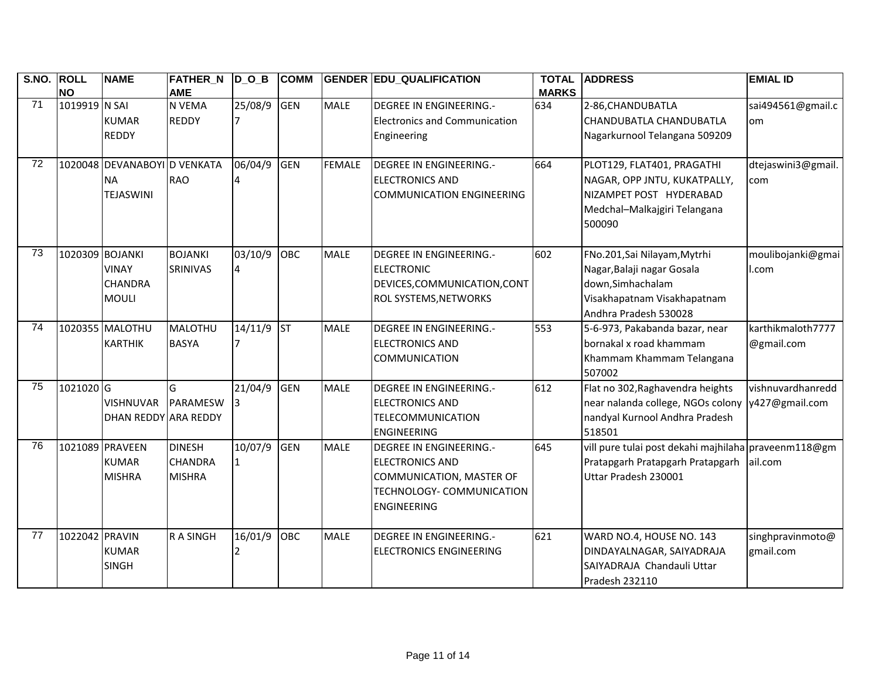| S.NO. ROLL      | <b>NO</b>       | <b>NAME</b>                                                   | <b>FATHER_N</b><br><b>AME</b>                    | $\overline{D}_O$ _B | <b>COMM</b> |               | <b>GENDER EDU_QUALIFICATION</b>                                                                                                         | <b>TOTAL</b><br><b>MARKS</b> | <b>ADDRESS</b>                                                                                                                          | <b>EMIAL ID</b>                 |
|-----------------|-----------------|---------------------------------------------------------------|--------------------------------------------------|---------------------|-------------|---------------|-----------------------------------------------------------------------------------------------------------------------------------------|------------------------------|-----------------------------------------------------------------------------------------------------------------------------------------|---------------------------------|
| 71              | 1019919 N SAI   | <b>KUMAR</b><br><b>REDDY</b>                                  | N VEMA<br><b>REDDY</b>                           | 25/08/9             | <b>GEN</b>  | <b>MALE</b>   | <b>DEGREE IN ENGINEERING.-</b><br><b>Electronics and Communication</b><br>Engineering                                                   | 634                          | 2-86, CHANDUBATLA<br>CHANDUBATLA CHANDUBATLA<br>Nagarkurnool Telangana 509209                                                           | sai494561@gmail.c<br>om         |
| 72              |                 | 1020048 DEVANABOYI D VENKATA<br><b>NA</b><br><b>TEJASWINI</b> | <b>RAO</b>                                       | 06/04/9             | <b>GEN</b>  | <b>FEMALE</b> | <b>DEGREE IN ENGINEERING.-</b><br><b>ELECTRONICS AND</b><br><b>COMMUNICATION ENGINEERING</b>                                            | 664                          | PLOT129, FLAT401, PRAGATHI<br>NAGAR, OPP JNTU, KUKATPALLY,<br>NIZAMPET POST HYDERABAD<br>Medchal-Malkajgiri Telangana<br>500090         | dtejaswini3@gmail.<br>com       |
| 73              | 1020309 BOJANKI | <b>VINAY</b><br><b>CHANDRA</b><br><b>MOULI</b>                | <b>BOJANKI</b><br>SRINIVAS                       | 03/10/9<br>$\Delta$ | OBC         | <b>MALE</b>   | <b>DEGREE IN ENGINEERING.-</b><br><b>ELECTRONIC</b><br>DEVICES, COMMUNICATION, CONT<br>ROL SYSTEMS, NETWORKS                            | 602                          | FNo.201, Sai Nilayam, Mytrhi<br>Nagar, Balaji nagar Gosala<br>down, Simhachalam<br>Visakhapatnam Visakhapatnam<br>Andhra Pradesh 530028 | moulibojanki@gmai<br>l.com      |
| $\overline{74}$ |                 | 1020355 MALOTHU<br><b>KARTHIK</b>                             | MALOTHU<br><b>BASYA</b>                          | 14/11/9             | <b>ST</b>   | <b>MALE</b>   | <b>DEGREE IN ENGINEERING.-</b><br><b>ELECTRONICS AND</b><br><b>COMMUNICATION</b>                                                        | 553                          | 5-6-973, Pakabanda bazar, near<br>bornakal x road khammam<br>Khammam Khammam Telangana<br>507002                                        | karthikmaloth7777<br>@gmail.com |
| $\overline{75}$ | 1021020 G       | <b>VISHNUVAR</b><br>DHAN REDDY ARA REDDY                      | G<br>PARAMESW                                    | 21/04/9             | GEN         | <b>MALE</b>   | DEGREE IN ENGINEERING.-<br><b>ELECTRONICS AND</b><br>TELECOMMUNICATION<br><b>ENGINEERING</b>                                            | 612                          | Flat no 302, Raghavendra heights<br>near nalanda college, NGOs colony y427@gmail.com<br>nandyal Kurnool Andhra Pradesh<br>518501        | vishnuvardhanredd               |
| 76              |                 | 1021089 PRAVEEN<br><b>KUMAR</b><br><b>MISHRA</b>              | <b>DINESH</b><br><b>CHANDRA</b><br><b>MISHRA</b> | 10/07/9             | <b>GEN</b>  | <b>MALE</b>   | <b>DEGREE IN ENGINEERING.-</b><br><b>ELECTRONICS AND</b><br>COMMUNICATION, MASTER OF<br>TECHNOLOGY- COMMUNICATION<br><b>ENGINEERING</b> | 645                          | vill pure tulai post dekahi majhilaha praveenm118@gm<br>Pratapgarh Pratapgarh Pratapgarh ail.com<br>Uttar Pradesh 230001                |                                 |
| 77              | 1022042 PRAVIN  | <b>KUMAR</b><br><b>SINGH</b>                                  | R A SINGH                                        | 16/01/9             | OBC         | <b>MALE</b>   | <b>DEGREE IN ENGINEERING.-</b><br><b>ELECTRONICS ENGINEERING</b>                                                                        | 621                          | WARD NO.4, HOUSE NO. 143<br>DINDAYALNAGAR, SAIYADRAJA<br>SAIYADRAJA Chandauli Uttar<br>Pradesh 232110                                   | singhpravinmoto@<br>gmail.com   |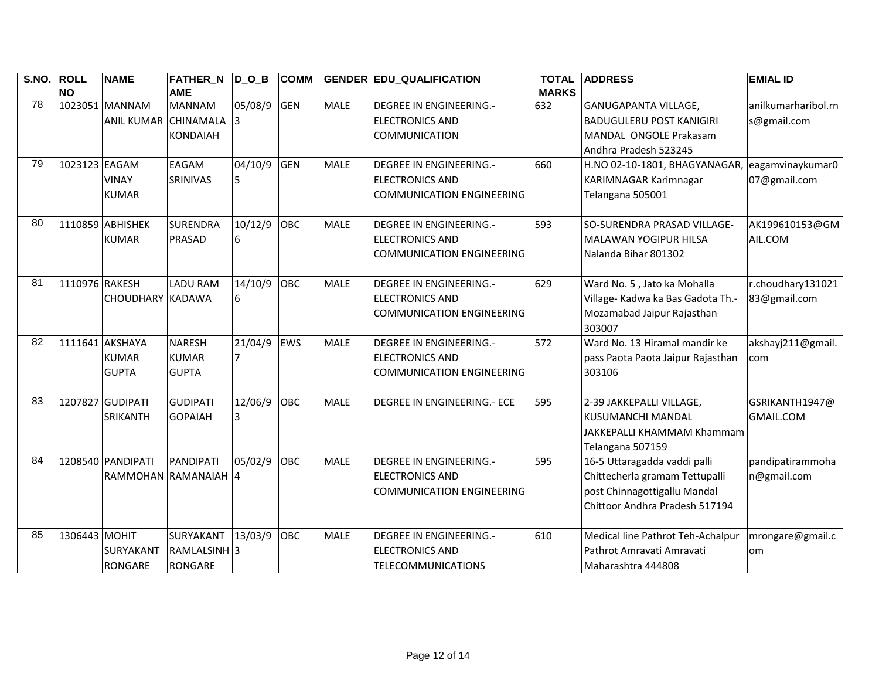| S.NO. | <b>ROLL</b>    | <b>NAME</b>          | FATHER_N D_O_B          |         | <b>COMM</b> |             | <b>GENDER EDU_QUALIFICATION</b>    | <b>TOTAL</b> | <b>ADDRESS</b>                                 | <b>EMIAL ID</b>     |
|-------|----------------|----------------------|-------------------------|---------|-------------|-------------|------------------------------------|--------------|------------------------------------------------|---------------------|
|       | <b>NO</b>      |                      | <b>AME</b>              |         |             |             |                                    | <b>MARKS</b> |                                                |                     |
| 78    |                | 1023051 MANNAM       | <b>MANNAM</b>           | 05/08/9 | <b>GEN</b>  | <b>MALE</b> | <b>DEGREE IN ENGINEERING.-</b>     | 632          | <b>GANUGAPANTA VILLAGE,</b>                    | anilkumarharibol.rn |
|       |                | ANIL KUMAR CHINAMALA |                         |         |             |             | <b>ELECTRONICS AND</b>             |              | <b>BADUGULERU POST KANIGIRI</b>                | s@gmail.com         |
|       |                |                      | <b>KONDAIAH</b>         |         |             |             | <b>COMMUNICATION</b>               |              | MANDAL ONGOLE Prakasam                         |                     |
|       |                |                      |                         |         |             |             |                                    |              | Andhra Pradesh 523245                          |                     |
| 79    | 1023123 EAGAM  |                      | EAGAM                   | 04/10/9 | GEN         | <b>MALE</b> | DEGREE IN ENGINEERING.-            | 660          | H.NO 02-10-1801, BHAGYANAGAR, eagamvinaykumar0 |                     |
|       |                | <b>VINAY</b>         | SRINIVAS                | 5       |             |             | <b>ELECTRONICS AND</b>             |              | <b>KARIMNAGAR Karimnagar</b>                   | 07@gmail.com        |
|       |                | <b>KUMAR</b>         |                         |         |             |             | <b>COMMUNICATION ENGINEERING</b>   |              | Telangana 505001                               |                     |
| 80    |                | 1110859 ABHISHEK     | <b>SURENDRA</b>         | 10/12/9 | OBC         | <b>MALE</b> | <b>DEGREE IN ENGINEERING.-</b>     | 593          | SO-SURENDRA PRASAD VILLAGE-                    | AK199610153@GM      |
|       |                | <b>KUMAR</b>         | <b>PRASAD</b>           | 6       |             |             | <b>ELECTRONICS AND</b>             |              | <b>MALAWAN YOGIPUR HILSA</b>                   | AIL.COM             |
|       |                |                      |                         |         |             |             | <b>COMMUNICATION ENGINEERING</b>   |              | Nalanda Bihar 801302                           |                     |
|       |                |                      |                         |         |             |             |                                    |              |                                                |                     |
| 81    | 1110976 RAKESH |                      | <b>LADU RAM</b>         | 14/10/9 | OBC         | <b>MALE</b> | DEGREE IN ENGINEERING.-            | 629          | Ward No. 5, Jato ka Mohalla                    | r.choudhary131021   |
|       |                | CHOUDHARY KADAWA     |                         | 6       |             |             | <b>ELECTRONICS AND</b>             |              | Village- Kadwa ka Bas Gadota Th.-              | 83@gmail.com        |
|       |                |                      |                         |         |             |             | <b>COMMUNICATION ENGINEERING</b>   |              | Mozamabad Jaipur Rajasthan                     |                     |
|       |                |                      |                         |         |             |             |                                    |              | 303007                                         |                     |
| 82    |                | 1111641 AKSHAYA      | <b>NARESH</b>           | 21/04/9 | <b>EWS</b>  | <b>MALE</b> | <b>DEGREE IN ENGINEERING.-</b>     | 572          | Ward No. 13 Hiramal mandir ke                  | akshayj211@gmail.   |
|       |                | <b>KUMAR</b>         | <b>KUMAR</b>            |         |             |             | <b>ELECTRONICS AND</b>             |              | pass Paota Paota Jaipur Rajasthan              | com                 |
|       |                | <b>GUPTA</b>         | <b>GUPTA</b>            |         |             |             | <b>COMMUNICATION ENGINEERING</b>   |              | 303106                                         |                     |
|       |                |                      |                         |         |             |             |                                    |              |                                                |                     |
| 83    |                | 1207827 GUDIPATI     | <b>GUDIPATI</b>         | 12/06/9 | OBC         | <b>MALE</b> | <b>DEGREE IN ENGINEERING.- ECE</b> | 595          | 2-39 JAKKEPALLI VILLAGE,                       | GSRIKANTH1947@      |
|       |                | <b>SRIKANTH</b>      | <b>GOPAIAH</b>          |         |             |             |                                    |              | <b>KUSUMANCHI MANDAL</b>                       | <b>GMAIL.COM</b>    |
|       |                |                      |                         |         |             |             |                                    |              | JAKKEPALLI KHAMMAM Khammam                     |                     |
|       |                |                      |                         |         |             |             |                                    |              | Telangana 507159                               |                     |
| 84    |                | 1208540 PANDIPATI    | PANDIPATI               | 05/02/9 | OBC         | <b>MALE</b> | <b>DEGREE IN ENGINEERING.-</b>     | 595          | 16-5 Uttaragadda vaddi palli                   | pandipatirammoha    |
|       |                |                      | RAMMOHAN RAMANAIAH 4    |         |             |             | <b>ELECTRONICS AND</b>             |              | Chittecherla gramam Tettupalli                 | n@gmail.com         |
|       |                |                      |                         |         |             |             | <b>COMMUNICATION ENGINEERING</b>   |              | post Chinnagottigallu Mandal                   |                     |
|       |                |                      |                         |         |             |             |                                    |              | Chittoor Andhra Pradesh 517194                 |                     |
|       |                |                      |                         |         |             |             |                                    |              |                                                |                     |
| 85    | 1306443 MOHIT  |                      | SURYAKANT               | 13/03/9 | OBC         | MALE        | <b>DEGREE IN ENGINEERING.-</b>     | 610          | Medical line Pathrot Teh-Achalpur              | mrongare@gmail.c    |
|       |                | <b>SURYAKANT</b>     | RAMLALSINH <sup>3</sup> |         |             |             | <b>ELECTRONICS AND</b>             |              | Pathrot Amravati Amravati                      | lom                 |
|       |                | <b>RONGARE</b>       | <b>RONGARE</b>          |         |             |             | <b>TELECOMMUNICATIONS</b>          |              | Maharashtra 444808                             |                     |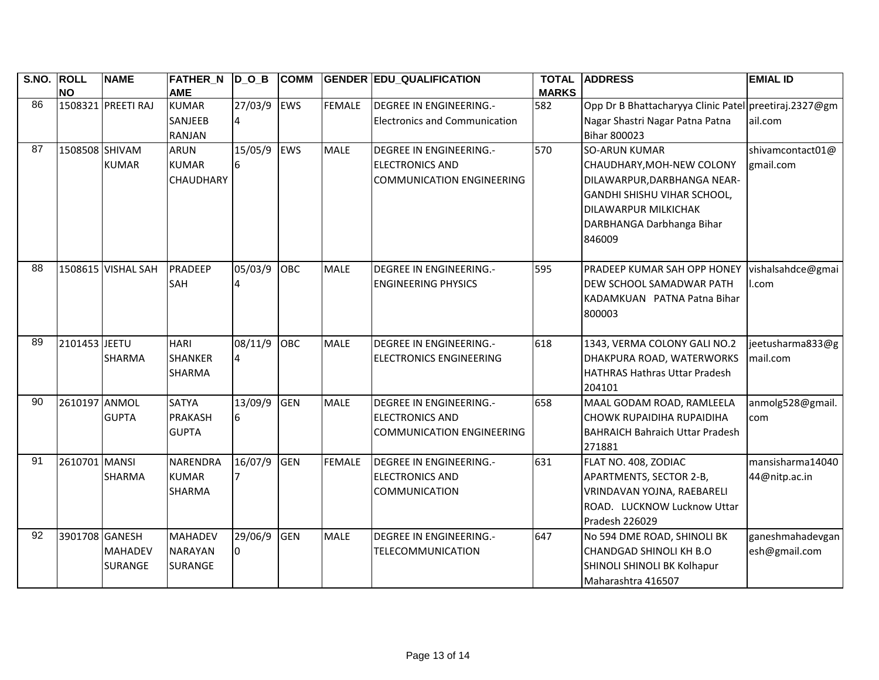| S.NO. | <b>ROLL</b><br><b>NO</b> | <b>NAME</b>        | <b>FATHER_N</b><br><b>AME</b> | $\overline{D}_O$ _B | <b>COMM</b> |               | <b>GENDER EDU_QUALIFICATION</b>      | <b>TOTAL</b><br><b>MARKS</b> | <b>ADDRESS</b>                                         | <b>EMIAL ID</b>         |
|-------|--------------------------|--------------------|-------------------------------|---------------------|-------------|---------------|--------------------------------------|------------------------------|--------------------------------------------------------|-------------------------|
| 86    |                          | 1508321 PREETI RAJ | <b>KUMAR</b>                  | 27/03/9 EWS         |             | <b>FEMALE</b> | DEGREE IN ENGINEERING.-              | 582                          | Opp Dr B Bhattacharyya Clinic Patel preetiraj.2327@gm  |                         |
|       |                          |                    | <b>SANJEEB</b>                | 4                   |             |               | <b>Electronics and Communication</b> |                              | Nagar Shastri Nagar Patna Patna                        | ail.com                 |
|       |                          |                    | <b>RANJAN</b>                 |                     |             |               |                                      |                              | <b>Bihar 800023</b>                                    |                         |
| 87    | 1508508 SHIVAM           |                    | <b>ARUN</b>                   | 15/05/9             | <b>EWS</b>  | <b>MALE</b>   | DEGREE IN ENGINEERING.-              | 570                          | <b>SO-ARUN KUMAR</b>                                   | shivamcontact01@        |
|       |                          | <b>KUMAR</b>       | <b>KUMAR</b>                  | 6                   |             |               | <b>ELECTRONICS AND</b>               |                              | CHAUDHARY, MOH-NEW COLONY                              | gmail.com               |
|       |                          |                    | <b>CHAUDHARY</b>              |                     |             |               | <b>COMMUNICATION ENGINEERING</b>     |                              | DILAWARPUR, DARBHANGA NEAR-                            |                         |
|       |                          |                    |                               |                     |             |               |                                      |                              | GANDHI SHISHU VIHAR SCHOOL,                            |                         |
|       |                          |                    |                               |                     |             |               |                                      |                              | DILAWARPUR MILKICHAK                                   |                         |
|       |                          |                    |                               |                     |             |               |                                      |                              | DARBHANGA Darbhanga Bihar                              |                         |
|       |                          |                    |                               |                     |             |               |                                      |                              | 846009                                                 |                         |
|       |                          |                    |                               |                     |             |               |                                      |                              |                                                        |                         |
| 88    |                          | 1508615 VISHAL SAH | PRADEEP                       | 05/03/9             | OBC         | <b>MALE</b>   | <b>DEGREE IN ENGINEERING.-</b>       | 595                          | PRADEEP KUMAR SAH OPP HONEY                            | vishalsahdce@gmai       |
|       |                          |                    | SAH                           |                     |             |               | <b>ENGINEERING PHYSICS</b>           |                              | DEW SCHOOL SAMADWAR PATH                               | II.com                  |
|       |                          |                    |                               |                     |             |               |                                      |                              | KADAMKUAN PATNA Patna Bihar                            |                         |
|       |                          |                    |                               |                     |             |               |                                      |                              | 800003                                                 |                         |
|       |                          |                    |                               |                     |             |               |                                      |                              |                                                        |                         |
| 89    | 2101453 JEETU            |                    | <b>HARI</b>                   | 08/11/9             | <b>OBC</b>  | <b>MALE</b>   | DEGREE IN ENGINEERING.-              | 618                          | 1343, VERMA COLONY GALI NO.2                           | jeetusharma833@g        |
|       |                          | <b>SHARMA</b>      | <b>SHANKER</b>                | $\overline{4}$      |             |               | <b>ELECTRONICS ENGINEERING</b>       |                              | DHAKPURA ROAD, WATERWORKS                              | mail.com                |
|       |                          |                    | <b>SHARMA</b>                 |                     |             |               |                                      |                              | <b>HATHRAS Hathras Uttar Pradesh</b>                   |                         |
| 90    | 2610197 ANMOL            |                    | <b>SATYA</b>                  | 13/09/9             | GEN         | <b>MALE</b>   | <b>DEGREE IN ENGINEERING.-</b>       | 658                          | 204101                                                 |                         |
|       |                          | <b>GUPTA</b>       | <b>PRAKASH</b>                | 6                   |             |               | <b>ELECTRONICS AND</b>               |                              | MAAL GODAM ROAD, RAMLEELA<br>CHOWK RUPAIDIHA RUPAIDIHA | anmolg528@gmail.<br>com |
|       |                          |                    | <b>GUPTA</b>                  |                     |             |               | <b>COMMUNICATION ENGINEERING</b>     |                              | <b>BAHRAICH Bahraich Uttar Pradesh</b>                 |                         |
|       |                          |                    |                               |                     |             |               |                                      |                              | 271881                                                 |                         |
| 91    | 2610701 MANSI            |                    | <b>NARENDRA</b>               | 16/07/9             | <b>GEN</b>  | <b>FEMALE</b> | <b>DEGREE IN ENGINEERING.-</b>       | 631                          | FLAT NO. 408, ZODIAC                                   | mansisharma14040        |
|       |                          | <b>SHARMA</b>      | <b>KUMAR</b>                  |                     |             |               | <b>ELECTRONICS AND</b>               |                              | APARTMENTS, SECTOR 2-B,                                | 44@nitp.ac.in           |
|       |                          |                    | <b>SHARMA</b>                 |                     |             |               | <b>COMMUNICATION</b>                 |                              | VRINDAVAN YOJNA, RAEBARELI                             |                         |
|       |                          |                    |                               |                     |             |               |                                      |                              | ROAD. LUCKNOW Lucknow Uttar                            |                         |
|       |                          |                    |                               |                     |             |               |                                      |                              | Pradesh 226029                                         |                         |
| 92    | 3901708 GANESH           |                    | <b>MAHADEV</b>                | 29/06/9             | GEN         | <b>MALE</b>   | <b>DEGREE IN ENGINEERING.-</b>       | 647                          | No 594 DME ROAD, SHINOLI BK                            | ganeshmahadevgan        |
|       |                          | <b>MAHADEV</b>     | <b>NARAYAN</b>                | <sup>0</sup>        |             |               | TELECOMMUNICATION                    |                              | <b>CHANDGAD SHINOLI KH B.O</b>                         | esh@gmail.com           |
|       |                          | SURANGE            | <b>SURANGE</b>                |                     |             |               |                                      |                              | SHINOLI SHINOLI BK Kolhapur                            |                         |
|       |                          |                    |                               |                     |             |               |                                      |                              | Maharashtra 416507                                     |                         |